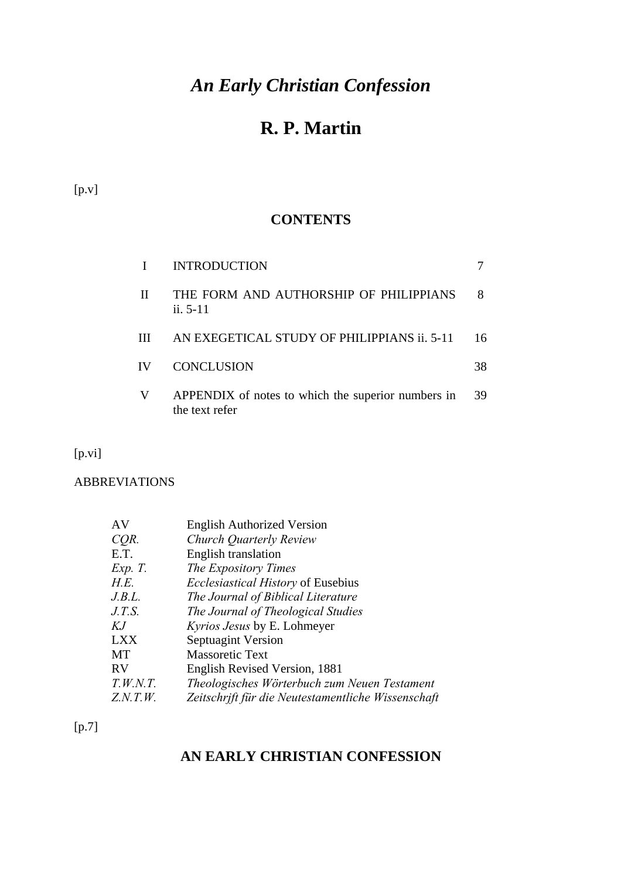# *An Early Christian Confession*

# **R. P. Martin**

[p.v]

## **CONTENTS**

|    | <b>INTRODUCTION</b>                                                  |    |
|----|----------------------------------------------------------------------|----|
| Л  | THE FORM AND AUTHORSHIP OF PHILIPPIANS<br>$\frac{1}{11}$ , 5-11      |    |
| Ш  | AN EXEGETICAL STUDY OF PHILIPPIANS ii. 5-11                          | 16 |
| IV | <b>CONCLUSION</b>                                                    | 38 |
| V  | APPENDIX of notes to which the superior numbers in<br>the text refer | 39 |

[p.vi]

ABBREVIATIONS

| AV         | <b>English Authorized Version</b>                  |
|------------|----------------------------------------------------|
| CQR.       | Church Quarterly Review                            |
| E.T.       | English translation                                |
| Exp. T.    | The Expository Times                               |
| H.E.       | <i>Ecclesiastical History</i> of Eusebius          |
| J.B.L.     | The Journal of Biblical Literature                 |
| J.T.S.     | The Journal of Theological Studies                 |
| KJ         | <i>Kyrios Jesus</i> by E. Lohmeyer                 |
| <b>LXX</b> | Septuagint Version                                 |
| MT         | <b>Massoretic Text</b>                             |
| <b>RV</b>  | English Revised Version, 1881                      |
| T.W.N.T.   | Theologisches Wörterbuch zum Neuen Testament       |
| Z.N.T.W.   | Zeitschrift für die Neutestamentliche Wissenschaft |

 $[p.7]$ 

# **AN EARLY CHRISTIAN CONFESSION**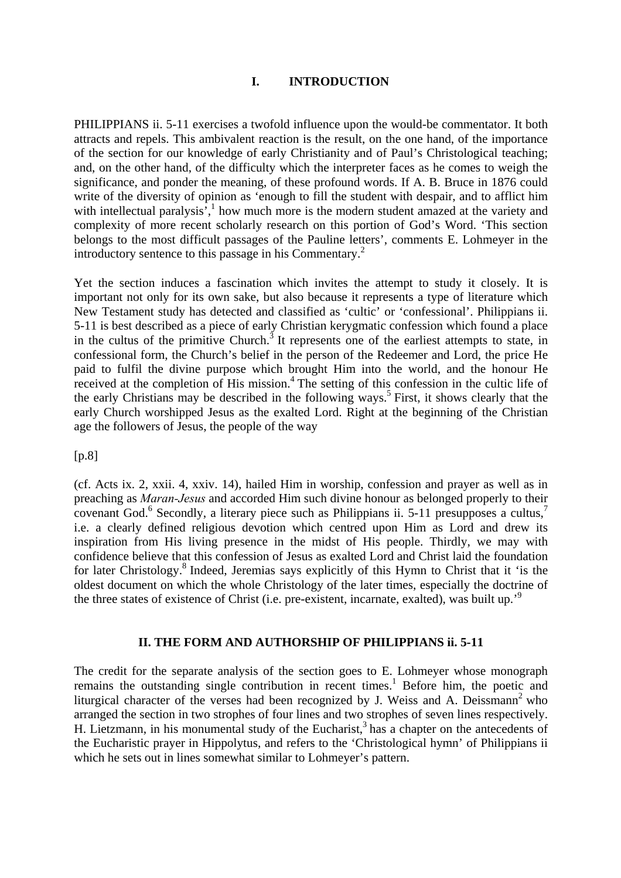#### **I. INTRODUCTION**

PHILIPPIANS ii. 5-11 exercises a twofold influence upon the would-be commentator. It both attracts and repels. This ambivalent reaction is the result, on the one hand, of the importance of the section for our knowledge of early Christianity and of Paul's Christological teaching; and, on the other hand, of the difficulty which the interpreter faces as he comes to weigh the significance, and ponder the meaning, of these profound words. If A. B. Bruce in 1876 could write of the diversity of opinion as 'enough to fill the student with despair, and to afflict him with intellectual paralysis<sup>3</sup>,<sup>1</sup> how much more is the modern student amazed at the variety and complexity of more recent scholarly research on this portion of God's Word. 'This section belongs to the most difficult passages of the Pauline letters', comments E. Lohmeyer in the introductory sentence to this passage in his Commentary.<sup>2</sup>

Yet the section induces a fascination which invites the attempt to study it closely. It is important not only for its own sake, but also because it represents a type of literature which New Testament study has detected and classified as 'cultic' or 'confessional'. Philippians ii. 5-11 is best described as a piece of early Christian kerygmatic confession which found a place in the cultus of the primitive Church.<sup>3</sup> It represents one of the earliest attempts to state, in confessional form, the Church's belief in the person of the Redeemer and Lord, the price He paid to fulfil the divine purpose which brought Him into the world, and the honour He received at the completion of His mission.<sup>4</sup> The setting of this confession in the cultic life of the early Christians may be described in the following ways.<sup>5</sup> First, it shows clearly that the early Church worshipped Jesus as the exalted Lord. Right at the beginning of the Christian age the followers of Jesus, the people of the way

[p.8]

(cf. Acts ix. 2, xxii. 4, xxiv. 14), hailed Him in worship, confession and prayer as well as in preaching as *Maran-Jesus* and accorded Him such divine honour as belonged properly to their covenant God.<sup>6</sup> Secondly, a literary piece such as Philippians ii. 5-11 presupposes a cultus,<sup>7</sup> i.e. a clearly defined religious devotion which centred upon Him as Lord and drew its inspiration from His living presence in the midst of His people. Thirdly, we may with confidence believe that this confession of Jesus as exalted Lord and Christ laid the foundation for later Christology.<sup>8</sup> Indeed, Jeremias says explicitly of this Hymn to Christ that it 'is the oldest document on which the whole Christology of the later times, especially the doctrine of the three states of existence of Christ (i.e. pre-existent, incarnate, exalted), was built up.'9

#### **II. THE FORM AND AUTHORSHIP OF PHILIPPIANS ii. 5-11**

The credit for the separate analysis of the section goes to E. Lohmeyer whose monograph remains the outstanding single contribution in recent times.<sup>1</sup> Before him, the poetic and liturgical character of the verses had been recognized by J. Weiss and A. Deissmann<sup>2</sup> who arranged the section in two strophes of four lines and two strophes of seven lines respectively. H. Lietzmann, in his monumental study of the Eucharist,  $3$  has a chapter on the antecedents of the Eucharistic prayer in Hippolytus, and refers to the 'Christological hymn' of Philippians ii which he sets out in lines somewhat similar to Lohmeyer's pattern.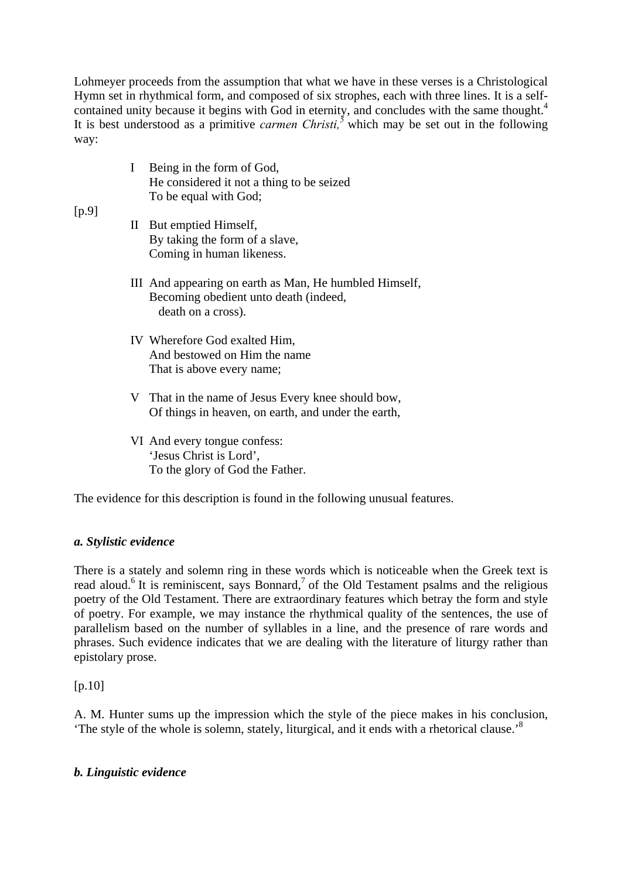Lohmeyer proceeds from the assumption that what we have in these verses is a Christological Hymn set in rhythmical form, and composed of six strophes, each with three lines. It is a selfcontained unity because it begins with God in eternity, and concludes with the same thought.<sup>4</sup> It is best understood as a primitive *carmen Christi,5* which may be set out in the following way:

| Being in the form of God,                 |
|-------------------------------------------|
| He considered it not a thing to be seized |
| To be equal with God;                     |

## $[p.9]$

- II But emptied Himself, By taking the form of a slave, Coming in human likeness.
- III And appearing on earth as Man, He humbled Himself, Becoming obedient unto death (indeed, death on a cross).
- IV Wherefore God exalted Him, And bestowed on Him the name That is above every name;
- V That in the name of Jesus Every knee should bow, Of things in heaven, on earth, and under the earth,
- VI And every tongue confess: 'Jesus Christ is Lord', To the glory of God the Father.

The evidence for this description is found in the following unusual features.

## *a. Stylistic evidence*

There is a stately and solemn ring in these words which is noticeable when the Greek text is read aloud.<sup>6</sup> It is reminiscent, says Bonnard,<sup>7</sup> of the Old Testament psalms and the religious poetry of the Old Testament. There are extraordinary features which betray the form and style of poetry. For example, we may instance the rhythmical quality of the sentences, the use of parallelism based on the number of syllables in a line, and the presence of rare words and phrases. Such evidence indicates that we are dealing with the literature of liturgy rather than epistolary prose.

 $[p.10]$ 

A. M. Hunter sums up the impression which the style of the piece makes in his conclusion, The style of the whole is solemn, stately, liturgical, and it ends with a rhetorical clause.<sup>8</sup>

#### *b. Linguistic evidence*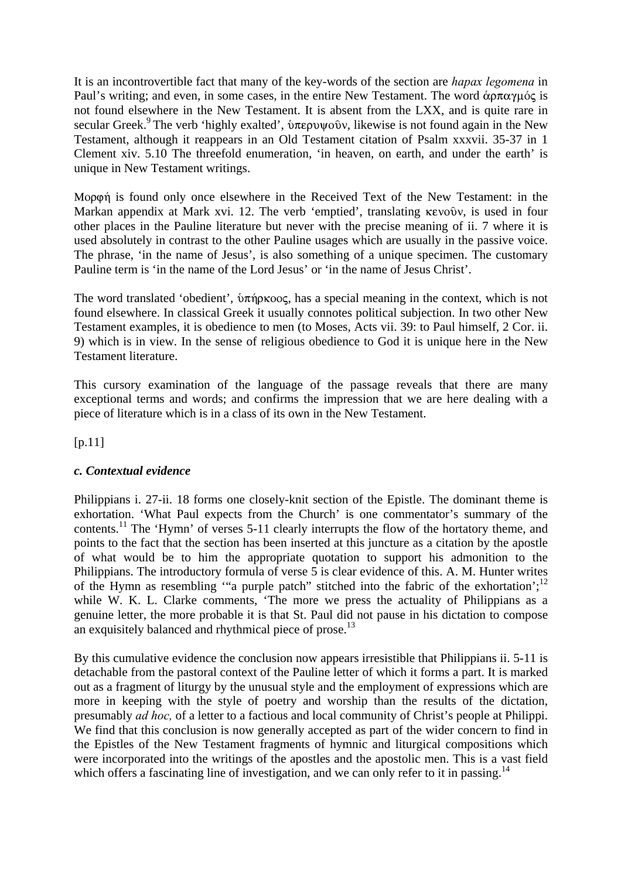It is an incontrovertible fact that many of the key-words of the section are *hapax legomena* in Paul's writing; and even, in some cases, in the entire New Testament. The word  $\alpha \rho \pi \alpha \gamma \mu \gamma$  is not found elsewhere in the New Testament. It is absent from the LXX, and is quite rare in secular Greek.<sup>9</sup> The verb 'highly exalted',  $\delta \pi \epsilon \rho \nu \nu \rho \delta \nu$ , likewise is not found again in the New Testament, although it reappears in an Old Testament citation of Psalm xxxvii. 35-37 in 1 Clement xiv. 5.10 The threefold enumeration, 'in heaven, on earth, and under the earth' is unique in New Testament writings.

Mopon is found only once elsewhere in the Received Text of the New Testament: in the Markan appendix at Mark xvi. 12. The verb 'emptied', translating kevoôv, is used in four other places in the Pauline literature but never with the precise meaning of ii. 7 where it is used absolutely in contrast to the other Pauline usages which are usually in the passive voice. The phrase, 'in the name of Jesus', is also something of a unique specimen. The customary Pauline term is 'in the name of the Lord Jesus' or 'in the name of Jesus Christ'.

The word translated 'obedient',  $\delta \pi \eta \rho \kappa \partial \sigma$ , has a special meaning in the context, which is not found elsewhere. In classical Greek it usually connotes political subjection. In two other New Testament examples, it is obedience to men (to Moses, Acts vii. 39: to Paul himself, 2 Cor. ii. 9) which is in view. In the sense of religious obedience to God it is unique here in the New Testament literature.

This cursory examination of the language of the passage reveals that there are many exceptional terms and words; and confirms the impression that we are here dealing with a piece of literature which is in a class of its own in the New Testament.

 $[p.11]$ 

#### *c. Contextual evidence*

Philippians i. 27-ii. 18 forms one closely-knit section of the Epistle. The dominant theme is exhortation. 'What Paul expects from the Church' is one commentator's summary of the contents.<sup>11</sup> The 'Hymn' of verses 5-11 clearly interrupts the flow of the hortatory theme, and points to the fact that the section has been inserted at this juncture as a citation by the apostle of what would be to him the appropriate quotation to support his admonition to the Philippians. The introductory formula of verse 5 is clear evidence of this. A. M. Hunter writes of the Hymn as resembling "a purple patch" stitched into the fabric of the exhortation'; $^{12}$ while W. K. L. Clarke comments, 'The more we press the actuality of Philippians as a genuine letter, the more probable it is that St. Paul did not pause in his dictation to compose an exquisitely balanced and rhythmical piece of prose.<sup>13</sup>

By this cumulative evidence the conclusion now appears irresistible that Philippians ii. 5-11 is detachable from the pastoral context of the Pauline letter of which it forms a part. It is marked out as a fragment of liturgy by the unusual style and the employment of expressions which are more in keeping with the style of poetry and worship than the results of the dictation, presumably *ad hoc,* of a letter to a factious and local community of Christ's people at Philippi. We find that this conclusion is now generally accepted as part of the wider concern to find in the Epistles of the New Testament fragments of hymnic and liturgical compositions which were incorporated into the writings of the apostles and the apostolic men. This is a vast field which offers a fascinating line of investigation, and we can only refer to it in passing.<sup>14</sup>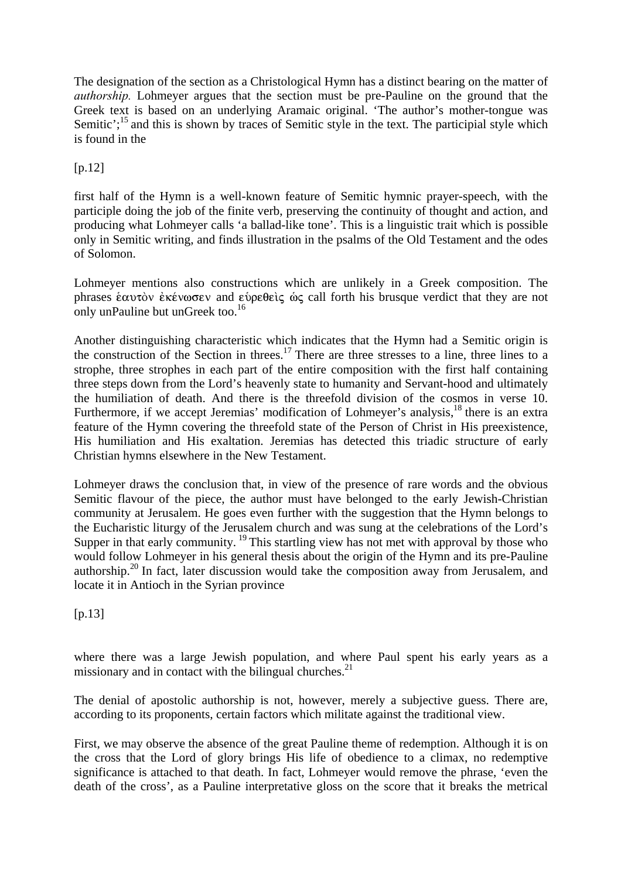The designation of the section as a Christological Hymn has a distinct bearing on the matter of *authorship.* Lohmeyer argues that the section must be pre-Pauline on the ground that the Greek text is based on an underlying Aramaic original. 'The author's mother-tongue was Semitic':<sup>15</sup> and this is shown by traces of Semitic style in the text. The participial style which is found in the

## [p.12]

first half of the Hymn is a well-known feature of Semitic hymnic prayer-speech, with the participle doing the job of the finite verb, preserving the continuity of thought and action, and producing what Lohmeyer calls 'a ballad-like tone'. This is a linguistic trait which is possible only in Semitic writing, and finds illustration in the psalms of the Old Testament and the odes of Solomon.

Lohmeyer mentions also constructions which are unlikely in a Greek composition. The phrases επαυτὸν ἐκένωσεν and ευρεθεὶς ως call forth his brusque verdict that they are not only unPauline but unGreek too.<sup>16</sup>

Another distinguishing characteristic which indicates that the Hymn had a Semitic origin is the construction of the Section in threes.17 There are three stresses to a line, three lines to a strophe, three strophes in each part of the entire composition with the first half containing three steps down from the Lord's heavenly state to humanity and Servant-hood and ultimately the humiliation of death. And there is the threefold division of the cosmos in verse 10. Furthermore, if we accept Jeremias' modification of Lohmeyer's analysis,<sup>18</sup> there is an extra feature of the Hymn covering the threefold state of the Person of Christ in His preexistence, His humiliation and His exaltation. Jeremias has detected this triadic structure of early Christian hymns elsewhere in the New Testament.

Lohmeyer draws the conclusion that, in view of the presence of rare words and the obvious Semitic flavour of the piece, the author must have belonged to the early Jewish-Christian community at Jerusalem. He goes even further with the suggestion that the Hymn belongs to the Eucharistic liturgy of the Jerusalem church and was sung at the celebrations of the Lord's Supper in that early community.  $\frac{19}{19}$  This startling view has not met with approval by those who would follow Lohmeyer in his general thesis about the origin of the Hymn and its pre-Pauline authorship.20 In fact, later discussion would take the composition away from Jerusalem, and locate it in Antioch in the Syrian province

[p.13]

where there was a large Jewish population, and where Paul spent his early years as a missionary and in contact with the bilingual churches. $2<sup>1</sup>$ 

The denial of apostolic authorship is not, however, merely a subjective guess. There are, according to its proponents, certain factors which militate against the traditional view.

First, we may observe the absence of the great Pauline theme of redemption. Although it is on the cross that the Lord of glory brings His life of obedience to a climax, no redemptive significance is attached to that death. In fact, Lohmeyer would remove the phrase, 'even the death of the cross', as a Pauline interpretative gloss on the score that it breaks the metrical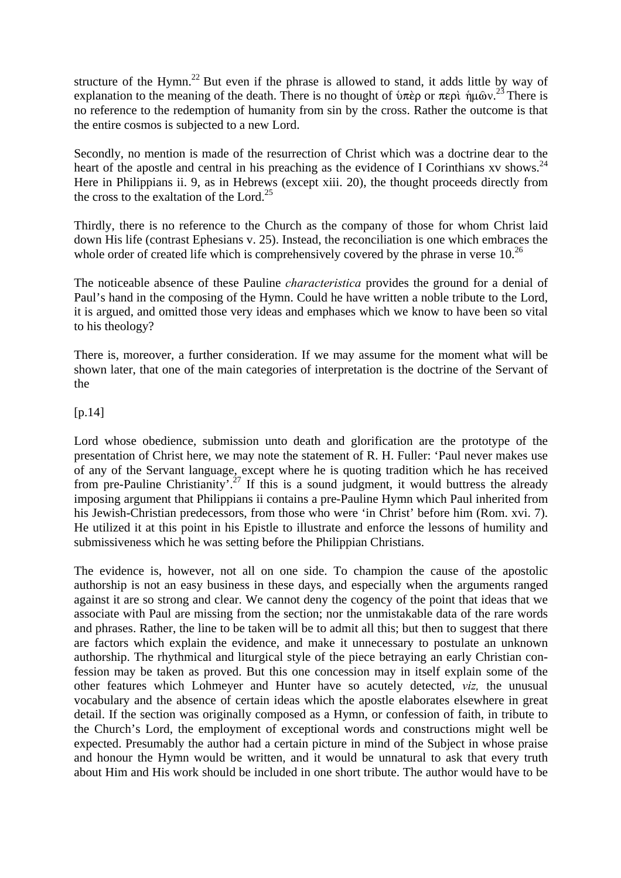structure of the Hymn.<sup>22</sup> But even if the phrase is allowed to stand, it adds little by way of explanation to the meaning of the death. There is no thought of  $\delta \pi$ èp or  $\pi \epsilon$   $\hat{p}$   $\hat{p}$   $\hat{p}$   $\hat{p}$   $\hat{p}$   $\hat{p}$   $\hat{p}$   $\hat{p}$   $\hat{p}$   $\hat{p}$   $\hat{p}$   $\hat{p}$   $\hat{p}$   $\hat{p}$   $\hat{p}$   $\hat{p}$   $\hat{p}$   $\$ no reference to the redemption of humanity from sin by the cross. Rather the outcome is that the entire cosmos is subjected to a new Lord.

Secondly, no mention is made of the resurrection of Christ which was a doctrine dear to the heart of the apostle and central in his preaching as the evidence of I Corinthians xv shows.<sup>24</sup> Here in Philippians ii. 9, as in Hebrews (except xiii. 20), the thought proceeds directly from the cross to the exaltation of the Lord.<sup>25</sup>

Thirdly, there is no reference to the Church as the company of those for whom Christ laid down His life (contrast Ephesians v. 25). Instead, the reconciliation is one which embraces the whole order of created life which is comprehensively covered by the phrase in verse  $10^{26}$ 

The noticeable absence of these Pauline *characteristica* provides the ground for a denial of Paul's hand in the composing of the Hymn. Could he have written a noble tribute to the Lord, it is argued, and omitted those very ideas and emphases which we know to have been so vital to his theology?

There is, moreover, a further consideration. If we may assume for the moment what will be shown later, that one of the main categories of interpretation is the doctrine of the Servant of the

#### [p.14]

Lord whose obedience, submission unto death and glorification are the prototype of the presentation of Christ here, we may note the statement of R. H. Fuller: 'Paul never makes use of any of the Servant language, except where he is quoting tradition which he has received from pre-Pauline Christianity'<sup>27</sup>. If this is a sound judgment, it would buttress the already imposing argument that Philippians ii contains a pre-Pauline Hymn which Paul inherited from his Jewish-Christian predecessors, from those who were 'in Christ' before him (Rom. xvi. 7). He utilized it at this point in his Epistle to illustrate and enforce the lessons of humility and submissiveness which he was setting before the Philippian Christians.

The evidence is, however, not all on one side. To champion the cause of the apostolic authorship is not an easy business in these days, and especially when the arguments ranged against it are so strong and clear. We cannot deny the cogency of the point that ideas that we associate with Paul are missing from the section; nor the unmistakable data of the rare words and phrases. Rather, the line to be taken will be to admit all this; but then to suggest that there are factors which explain the evidence, and make it unnecessary to postulate an unknown authorship. The rhythmical and liturgical style of the piece betraying an early Christian confession may be taken as proved. But this one concession may in itself explain some of the other features which Lohmeyer and Hunter have so acutely detected, *viz,* the unusual vocabulary and the absence of certain ideas which the apostle elaborates elsewhere in great detail. If the section was originally composed as a Hymn, or confession of faith, in tribute to the Church's Lord, the employment of exceptional words and constructions might well be expected. Presumably the author had a certain picture in mind of the Subject in whose praise and honour the Hymn would be written, and it would be unnatural to ask that every truth about Him and His work should be included in one short tribute. The author would have to be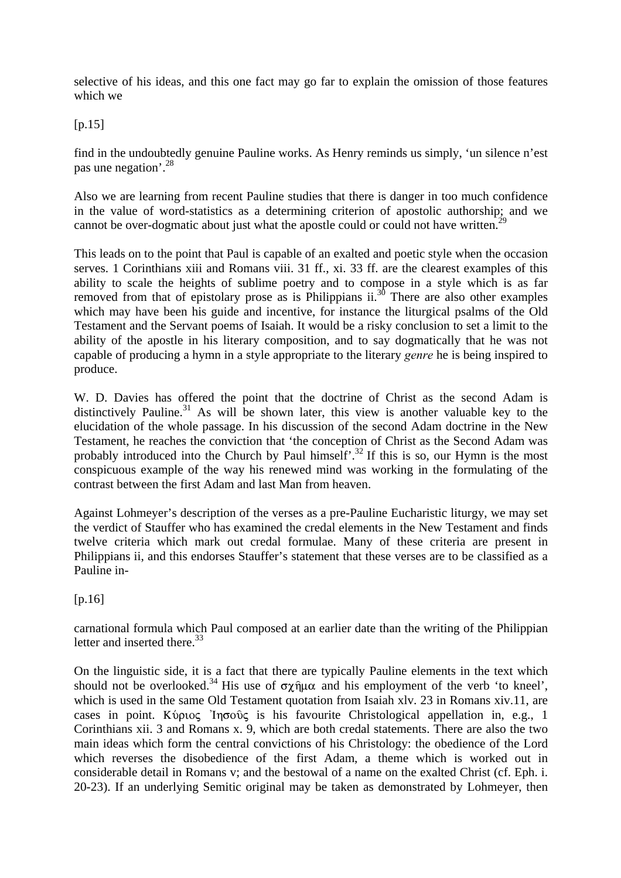selective of his ideas, and this one fact may go far to explain the omission of those features which we

[p.15]

find in the undoubtedly genuine Pauline works. As Henry reminds us simply, 'un silence n'est pas une negation'.28

Also we are learning from recent Pauline studies that there is danger in too much confidence in the value of word-statistics as a determining criterion of apostolic authorship; and we cannot be over-dogmatic about just what the apostle could or could not have written.<sup>2</sup>

This leads on to the point that Paul is capable of an exalted and poetic style when the occasion serves. 1 Corinthians xiii and Romans viii. 31 ff., xi. 33 ff. are the clearest examples of this ability to scale the heights of sublime poetry and to compose in a style which is as far removed from that of epistolary prose as is Philippians ii. $3<sup>0</sup>$  There are also other examples which may have been his guide and incentive, for instance the liturgical psalms of the Old Testament and the Servant poems of Isaiah. It would be a risky conclusion to set a limit to the ability of the apostle in his literary composition, and to say dogmatically that he was not capable of producing a hymn in a style appropriate to the literary *genre* he is being inspired to produce.

W. D. Davies has offered the point that the doctrine of Christ as the second Adam is distinctively Pauline.<sup>31</sup> As will be shown later, this view is another valuable key to the elucidation of the whole passage. In his discussion of the second Adam doctrine in the New Testament, he reaches the conviction that 'the conception of Christ as the Second Adam was probably introduced into the Church by Paul himself'.<sup>32</sup> If this is so, our Hymn is the most conspicuous example of the way his renewed mind was working in the formulating of the contrast between the first Adam and last Man from heaven.

Against Lohmeyer's description of the verses as a pre-Pauline Eucharistic liturgy, we may set the verdict of Stauffer who has examined the credal elements in the New Testament and finds twelve criteria which mark out credal formulae. Many of these criteria are present in Philippians ii, and this endorses Stauffer's statement that these verses are to be classified as a Pauline in-

 $[p.16]$ 

carnational formula which Paul composed at an earlier date than the writing of the Philippian letter and inserted there. $33$ 

On the linguistic side, it is a fact that there are typically Pauline elements in the text which should not be overlooked.<sup>34</sup> His use of  $\sigma \chi \hat{\eta} \mu \alpha$  and his employment of the verb 'to kneel', which is used in the same Old Testament quotation from Isaiah xlv. 23 in Romans xiv.11, are cases in point. Kύριος 'In $\sigma$ ούς is his favourite Christological appellation in, e.g., 1 Corinthians xii. 3 and Romans x. 9, which are both credal statements. There are also the two main ideas which form the central convictions of his Christology: the obedience of the Lord which reverses the disobedience of the first Adam, a theme which is worked out in considerable detail in Romans v; and the bestowal of a name on the exalted Christ (cf. Eph. i. 20-23). If an underlying Semitic original may be taken as demonstrated by Lohmeyer, then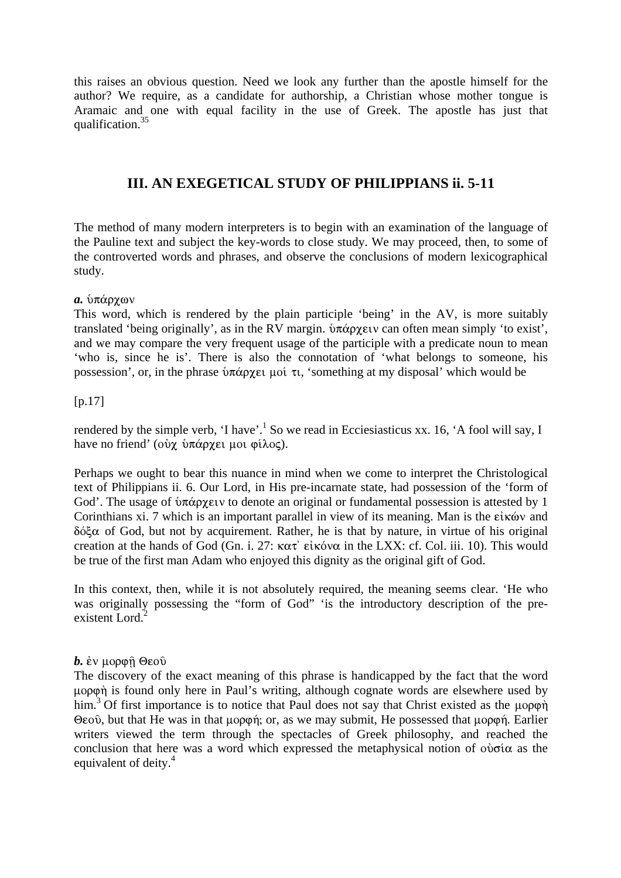this raises an obvious question. Need we look any further than the apostle himself for the author? We require, as a candidate for authorship, a Christian whose mother tongue is Aramaic and one with equal facility in the use of Greek. The apostle has just that qualification.35

# **III. AN EXEGETICAL STUDY OF PHILIPPIANS ii. 5-11**

The method of many modern interpreters is to begin with an examination of the language of the Pauline text and subject the key-words to close study. We may proceed, then, to some of the controverted words and phrases, and observe the conclusions of modern lexicographical study.

#### *a.* υπάρχων

This word, which is rendered by the plain participle 'being' in the AV, is more suitably translated 'being originally', as in the RV margin.  $\delta \pi \dot{\alpha} \rho \chi \dot{\epsilon}$  can often mean simply 'to exist', and we may compare the very frequent usage of the participle with a predicate noun to mean 'who is, since he is'. There is also the connotation of 'what belongs to someone, his possession', or, in the phrase  $\delta \pi \dot{\alpha}$  py  $\epsilon_{\mu}$  isomething at my disposal' which would be

#### [p.17]

rendered by the simple verb, 'I have'.<sup>1</sup> So we read in Ecciesiasticus xx. 16, 'A fool will say, I have no friend' ( $\partial y$   $\partial \pi \alpha$   $\rho \gamma \epsilon_1$  μoi  $\varphi$ ίλος).

Perhaps we ought to bear this nuance in mind when we come to interpret the Christological text of Philippians ii. 6. Our Lord, in His pre-incarnate state, had possession of the 'form of God'. The usage of  $\mathfrak{d}$   $\pi$ άρχειν to denote an original or fundamental possession is attested by 1 Corinthians xi. 7 which is an important parallel in view of its meaning. Man is the εἰκών and  $\delta\acute{\alpha}$  of God, but not by acquirement. Rather, he is that by nature, in virtue of his original creation at the hands of God (Gn. i. 27:  $\kappa \alpha \tau$ ' εἰκόνα in the LXX: cf. Col. iii. 10). This would be true of the first man Adam who enjoyed this dignity as the original gift of God.

In this context, then, while it is not absolutely required, the meaning seems clear. 'He who was originally possessing the "form of God" 'is the introductory description of the preexistent Lord.<sup>2</sup>

#### *. ἐν μορφή Θεού*

The discovery of the exact meaning of this phrase is handicapped by the fact that the word uopon is found only here in Paul's writing, although cognate words are elsewhere used by him.<sup>3</sup> Of first importance is to notice that Paul does not say that Christ existed as the  $\mu$ opon  $\Theta$ εοῦ, but that He was in that μορφή; or, as we may submit, He possessed that μορφή. Earlier writers viewed the term through the spectacles of Greek philosophy, and reached the conclusion that here was a word which expressed the metaphysical notion of  $\phi \phi \sigma \alpha$  as the equivalent of deity.<sup>4</sup>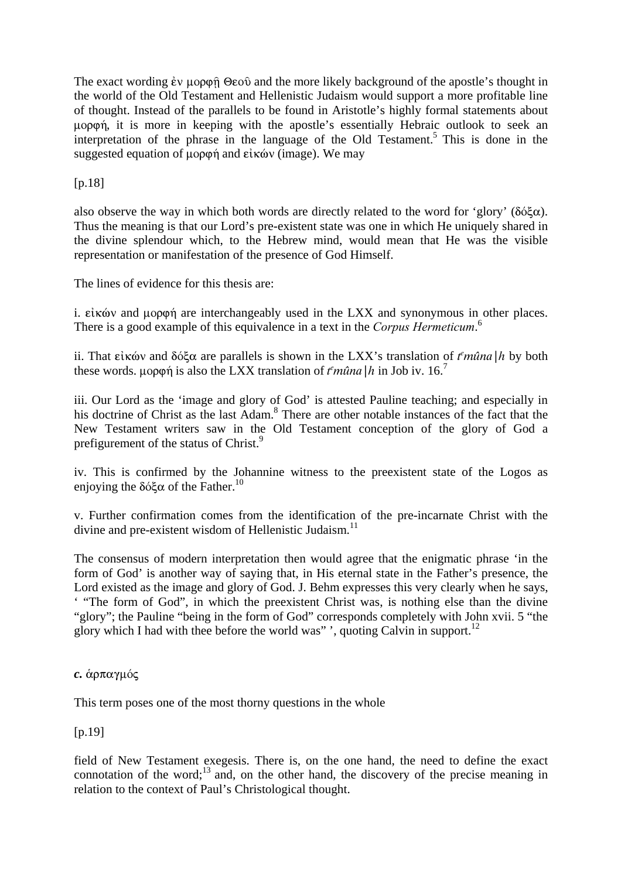The exact wording  $\dot{\epsilon}v \mu \rho \rho \hat{\rho} \Theta \epsilon \hat{\sigma}$  and the more likely background of the apostle's thought in the world of the Old Testament and Hellenistic Judaism would support a more profitable line of thought. Instead of the parallels to be found in Aristotle's highly formal statements about uopon, it is more in keeping with the apostle's essentially Hebraic outlook to seek an interpretation of the phrase in the language of the Old Testament.<sup>5</sup> This is done in the suggested equation of  $\mu$ op $\varphi$  and  $\epsilon$  *i* kóv (image). We may

[p.18]

also observe the way in which both words are directly related to the word for 'glory' ( $\delta \phi \xi \alpha$ ). Thus the meaning is that our Lord's pre-existent state was one in which He uniquely shared in the divine splendour which, to the Hebrew mind, would mean that He was the visible representation or manifestation of the presence of God Himself.

The lines of evidence for this thesis are:

i.  $\epsilon$ *i* k $\omega$  and  $\mu$  $\varphi$  $\varphi$  $\eta$  are interchangeably used in the LXX and synonymous in other places. There is a good example of this equivalence in a text in the *Corpus Hermeticum*. 6

ii. That εἰκών and δόξα are parallels is shown in the LXX's translation of  $t^{\epsilon}$ mûna |h by both these words.  $\mu$ op $\varphi$  is also the LXX translation of  $t^e$  m $\hat{u}$  in Job iv. 16.<sup>7</sup>

iii. Our Lord as the 'image and glory of God' is attested Pauline teaching; and especially in his doctrine of Christ as the last Adam.<sup>8</sup> There are other notable instances of the fact that the New Testament writers saw in the Old Testament conception of the glory of God a prefigurement of the status of Christ.<sup>9</sup>

iv. This is confirmed by the Johannine witness to the preexistent state of the Logos as enjoying the  $\delta\acute{o}\xi\alpha$  of the Father.<sup>10</sup>

v. Further confirmation comes from the identification of the pre-incarnate Christ with the divine and pre-existent wisdom of Hellenistic Judaism.<sup>11</sup>

The consensus of modern interpretation then would agree that the enigmatic phrase 'in the form of God' is another way of saying that, in His eternal state in the Father's presence, the Lord existed as the image and glory of God. J. Behm expresses this very clearly when he says, ' "The form of God", in which the preexistent Christ was, is nothing else than the divine "glory"; the Pauline "being in the form of God" corresponds completely with John xvii. 5 "the glory which I had with thee before the world was" ', quoting Calvin in support.<sup>12</sup>

#### *c.* άρπαγμός

This term poses one of the most thorny questions in the whole

[p.19]

field of New Testament exegesis. There is, on the one hand, the need to define the exact connotation of the word; $^{13}$  and, on the other hand, the discovery of the precise meaning in relation to the context of Paul's Christological thought.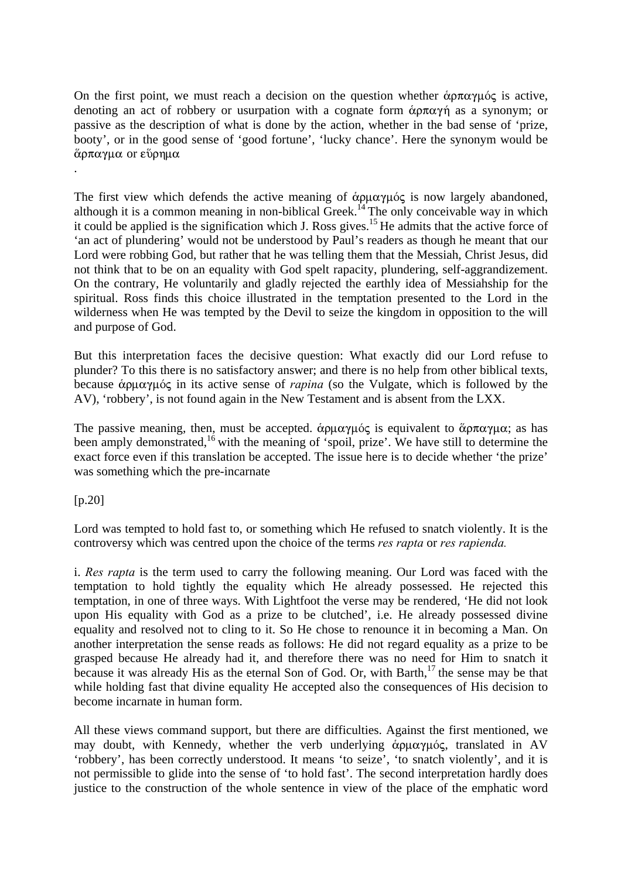On the first point, we must reach a decision on the question whether  $\dot{\alpha}$  $\beta \pi \alpha \gamma \mu \dot{\beta}$  is active, denoting an act of robbery or usurpation with a cognate form  $\& \alpha \pi \alpha \gamma \eta$  as a synonym; or passive as the description of what is done by the action, whether in the bad sense of 'prize, booty', or in the good sense of 'good fortune', 'lucky chance'. Here the synonym would be άρπαγμα or εύρημα

The first view which defends the active meaning of  $\dot{\alpha}$   $\rho\mu\alpha\gamma\mu\acute{o}$  is now largely abandoned, although it is a common meaning in non-biblical Greek.<sup>14</sup> The only conceivable way in which it could be applied is the signification which J. Ross gives.15 He admits that the active force of 'an act of plundering' would not be understood by Paul's readers as though he meant that our Lord were robbing God, but rather that he was telling them that the Messiah, Christ Jesus, did not think that to be on an equality with God spelt rapacity, plundering, self-aggrandizement. On the contrary, He voluntarily and gladly rejected the earthly idea of Messiahship for the spiritual. Ross finds this choice illustrated in the temptation presented to the Lord in the wilderness when He was tempted by the Devil to seize the kingdom in opposition to the will and purpose of God.

But this interpretation faces the decisive question: What exactly did our Lord refuse to plunder? To this there is no satisfactory answer; and there is no help from other biblical texts, because  $\dot{\alpha}$ *p*µ $\dot{\alpha}$  in its active sense of *rapina* (so the Vulgate, which is followed by the AV), 'robbery', is not found again in the New Testament and is absent from the LXX.

The passive meaning, then, must be accepted.  $\dot{\alpha}$ p $\alpha\gamma\mu\dot{\alpha}$  is equivalent to  $\ddot{\alpha}$ p $\pi\alpha\gamma\mu\alpha$ ; as has been amply demonstrated,<sup>16</sup> with the meaning of 'spoil, prize'. We have still to determine the exact force even if this translation be accepted. The issue here is to decide whether 'the prize' was something which the pre-incarnate

 $[p.20]$ 

.

Lord was tempted to hold fast to, or something which He refused to snatch violently. It is the controversy which was centred upon the choice of the terms *res rapta* or *res rapienda.*

i. *Res rapta* is the term used to carry the following meaning. Our Lord was faced with the temptation to hold tightly the equality which He already possessed. He rejected this temptation, in one of three ways. With Lightfoot the verse may be rendered, 'He did not look upon His equality with God as a prize to be clutched', i.e. He already possessed divine equality and resolved not to cling to it. So He chose to renounce it in becoming a Man. On another interpretation the sense reads as follows: He did not regard equality as a prize to be grasped because He already had it, and therefore there was no need for Him to snatch it because it was already His as the eternal Son of God. Or, with Barth, $^{17}$  the sense may be that while holding fast that divine equality He accepted also the consequences of His decision to become incarnate in human form.

All these views command support, but there are difficulties. Against the first mentioned, we may doubt, with Kennedy, whether the verb underlying  $\dot{\alpha}$  pu $\alpha \gamma \mu \dot{\alpha}$ , translated in AV 'robbery', has been correctly understood. It means 'to seize', 'to snatch violently', and it is not permissible to glide into the sense of 'to hold fast'. The second interpretation hardly does justice to the construction of the whole sentence in view of the place of the emphatic word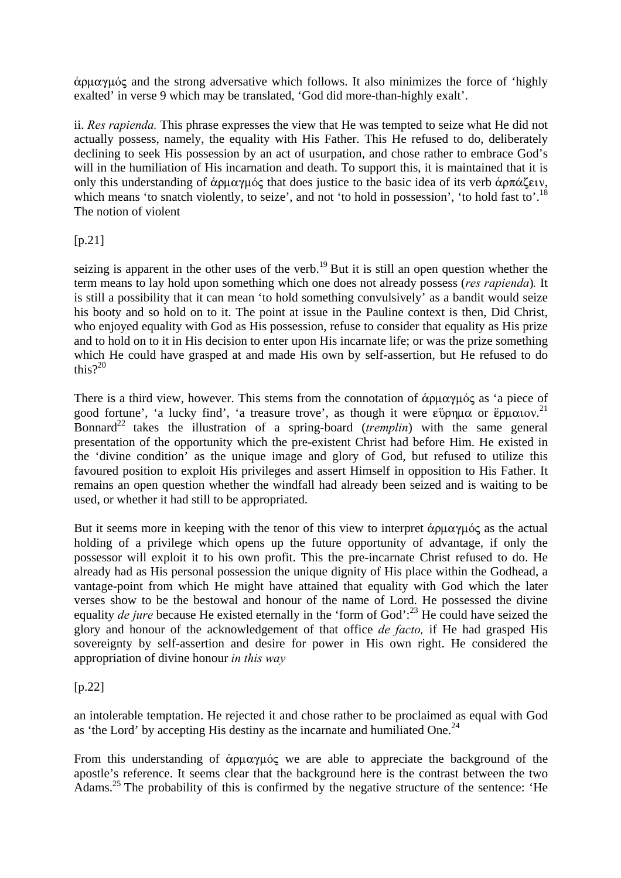$\alpha$ <sub>ph</sub> $\alpha$ <sup>y</sup> and the strong adversative which follows. It also minimizes the force of 'highly exalted' in verse 9 which may be translated, 'God did more-than-highly exalt'.

ii. *Res rapienda.* This phrase expresses the view that He was tempted to seize what He did not actually possess, namely, the equality with His Father. This He refused to do, deliberately declining to seek His possession by an act of usurpation, and chose rather to embrace God's will in the humiliation of His incarnation and death. To support this, it is maintained that it is only this understanding of  $\dot{\alpha}$ ρμαγμός that does justice to the basic idea of its verb  $\dot{\alpha}$ ρπάζειν, which means 'to snatch violently, to seize', and not 'to hold in possession', 'to hold fast to'.<sup>18</sup> The notion of violent

 $[p.21]$ 

seizing is apparent in the other uses of the verb.<sup>19</sup> But it is still an open question whether the term means to lay hold upon something which one does not already possess (*res rapienda*)*.* It is still a possibility that it can mean 'to hold something convulsively' as a bandit would seize his booty and so hold on to it. The point at issue in the Pauline context is then, Did Christ, who enjoyed equality with God as His possession, refuse to consider that equality as His prize and to hold on to it in His decision to enter upon His incarnate life; or was the prize something which He could have grasped at and made His own by self-assertion, but He refused to do this $2^{20}$ 

There is a third view, however. This stems from the connotation of  $\alpha$   $\rho\mu\alpha\gamma\mu\sigma\zeta$  as 'a piece of good fortune', 'a lucky find', 'a treasure trove', as though it were  $\epsilon$  *i* pussophic or  $\epsilon$   $\epsilon$   $\mu$  atov.<sup>21</sup> Bonnard<sup>22</sup> takes the illustration of a spring-board (*tremplin*) with the same general presentation of the opportunity which the pre-existent Christ had before Him. He existed in the 'divine condition' as the unique image and glory of God, but refused to utilize this favoured position to exploit His privileges and assert Himself in opposition to His Father. It remains an open question whether the windfall had already been seized and is waiting to be used, or whether it had still to be appropriated.

But it seems more in keeping with the tenor of this view to interpret  $\alpha$   $\rho$  $\mu \alpha \gamma \mu \delta \zeta$  as the actual holding of a privilege which opens up the future opportunity of advantage, if only the possessor will exploit it to his own profit. This the pre-incarnate Christ refused to do. He already had as His personal possession the unique dignity of His place within the Godhead, a vantage-point from which He might have attained that equality with God which the later verses show to be the bestowal and honour of the name of Lord. He possessed the divine equality *de jure* because He existed eternally in the 'form of God':<sup>23</sup> He could have seized the glory and honour of the acknowledgement of that office *de facto,* if He had grasped His sovereignty by self-assertion and desire for power in His own right. He considered the appropriation of divine honour *in this way*

[p.22]

an intolerable temptation. He rejected it and chose rather to be proclaimed as equal with God as 'the Lord' by accepting His destiny as the incarnate and humiliated One.<sup>24</sup>

From this understanding of  $\alpha$   $\alpha$   $\gamma$   $\mu$  of are able to appreciate the background of the apostle's reference. It seems clear that the background here is the contrast between the two Adams.25 The probability of this is confirmed by the negative structure of the sentence: 'He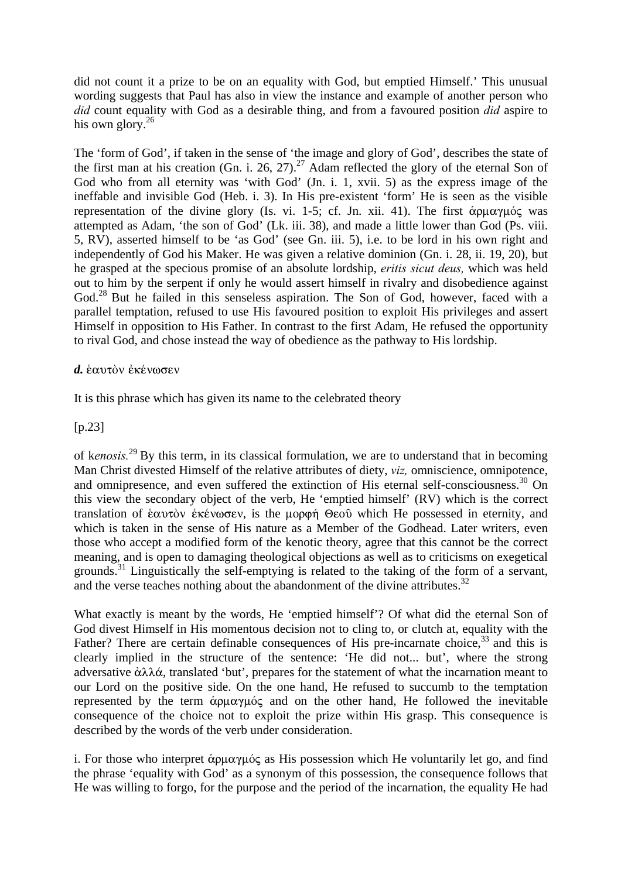did not count it a prize to be on an equality with God, but emptied Himself.' This unusual wording suggests that Paul has also in view the instance and example of another person who *did* count equality with God as a desirable thing, and from a favoured position *did* aspire to his own glory. $^{26}$ 

The 'form of God', if taken in the sense of 'the image and glory of God', describes the state of the first man at his creation (Gn. i. 26, 27).<sup>27</sup> Adam reflected the glory of the eternal Son of God who from all eternity was 'with God' (Jn. i. 1, xvii. 5) as the express image of the ineffable and invisible God (Heb. i. 3). In His pre-existent 'form' He is seen as the visible representation of the divine glory (Is. vi. 1-5; cf. Jn. xii. 41). The first  $\dot{\alpha}$  pu $\alpha$  $\gamma$ u $\dot{\alpha}$  was attempted as Adam, 'the son of God' (Lk. iii. 38), and made a little lower than God (Ps. viii. 5, RV), asserted himself to be 'as God' (see Gn. iii. 5), i.e. to be lord in his own right and independently of God his Maker. He was given a relative dominion (Gn. i. 28, ii. 19, 20), but he grasped at the specious promise of an absolute lordship, *eritis sicut deus,* which was held out to him by the serpent if only he would assert himself in rivalry and disobedience against God.<sup>28</sup> But he failed in this senseless aspiration. The Son of God, however, faced with a parallel temptation, refused to use His favoured position to exploit His privileges and assert Himself in opposition to His Father. In contrast to the first Adam, He refused the opportunity to rival God, and chose instead the way of obedience as the pathway to His lordship.

#### *d.* εαυτόν εκένωσεν

It is this phrase which has given its name to the celebrated theory

[p.23]

of k*enosis.*<sup>29</sup> By this term, in its classical formulation, we are to understand that in becoming Man Christ divested Himself of the relative attributes of diety, *viz,* omniscience, omnipotence, and omnipresence, and even suffered the extinction of His eternal self-consciousness.<sup>30</sup> On this view the secondary object of the verb, He 'emptied himself' (RV) which is the correct translation of ˜autÕn ™kšnwsen, is the morf» Qeoà which He possessed in eternity, and which is taken in the sense of His nature as a Member of the Godhead. Later writers, even those who accept a modified form of the kenotic theory, agree that this cannot be the correct meaning, and is open to damaging theological objections as well as to criticisms on exegetical grounds.<sup>31</sup> Linguistically the self-emptying is related to the taking of the form of a servant, and the verse teaches nothing about the abandonment of the divine attributes.<sup>32</sup>

What exactly is meant by the words, He 'emptied himself'? Of what did the eternal Son of God divest Himself in His momentous decision not to cling to, or clutch at, equality with the Father? There are certain definable consequences of His pre-incarnate choice.<sup>33</sup> and this is clearly implied in the structure of the sentence: 'He did not... but', where the strong adversative  $\dot{\alpha}\lambda\lambda\dot{\alpha}$ , translated 'but', prepares for the statement of what the incarnation meant to our Lord on the positive side. On the one hand, He refused to succumb to the temptation represented by the term  $\dot{\alpha}$  pu $\alpha\gamma\mu\dot{\alpha}$  and on the other hand, He followed the inevitable consequence of the choice not to exploit the prize within His grasp. This consequence is described by the words of the verb under consideration.

i. For those who interpret  $\alpha$   $\alpha$   $\gamma$  $\beta$  as His possession which He voluntarily let go, and find the phrase 'equality with God' as a synonym of this possession, the consequence follows that He was willing to forgo, for the purpose and the period of the incarnation, the equality He had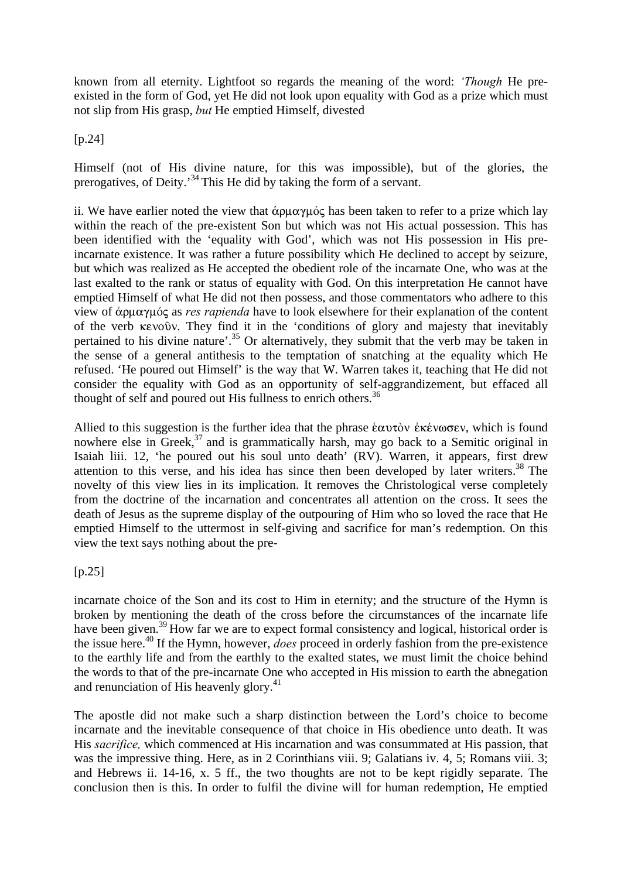known from all eternity. Lightfoot so regards the meaning of the word: *'Though* He preexisted in the form of God, yet He did not look upon equality with God as a prize which must not slip from His grasp, *but* He emptied Himself, divested

[p.24]

Himself (not of His divine nature, for this was impossible), but of the glories, the prerogatives, of Deity.'34 This He did by taking the form of a servant.

ii. We have earlier noted the view that  $\dot{\alpha}$  pu $\alpha\gamma\mu\acute{o}$  has been taken to refer to a prize which lay within the reach of the pre-existent Son but which was not His actual possession. This has been identified with the 'equality with God', which was not His possession in His preincarnate existence. It was rather a future possibility which He declined to accept by seizure, but which was realized as He accepted the obedient role of the incarnate One, who was at the last exalted to the rank or status of equality with God. On this interpretation He cannot have emptied Himself of what He did not then possess, and those commentators who adhere to this view of άρμαγμός as *res rapienda* have to look elsewhere for their explanation of the content of the verb kevoôv. They find it in the 'conditions of glory and majesty that inevitably pertained to his divine nature'.35 Or alternatively, they submit that the verb may be taken in the sense of a general antithesis to the temptation of snatching at the equality which He refused. 'He poured out Himself' is the way that W. Warren takes it, teaching that He did not consider the equality with God as an opportunity of self-aggrandizement, but effaced all thought of self and poured out His fullness to enrich others.<sup>36</sup>

Allied to this suggestion is the further idea that the phrase εαυτὸν ἐκένωσεν, which is found nowhere else in Greek, $3^7$  and is grammatically harsh, may go back to a Semitic original in Isaiah liii. 12, 'he poured out his soul unto death' (RV). Warren, it appears, first drew attention to this verse, and his idea has since then been developed by later writers.<sup>38</sup> The novelty of this view lies in its implication. It removes the Christological verse completely from the doctrine of the incarnation and concentrates all attention on the cross. It sees the death of Jesus as the supreme display of the outpouring of Him who so loved the race that He emptied Himself to the uttermost in self-giving and sacrifice for man's redemption. On this view the text says nothing about the pre-

[p.25]

incarnate choice of the Son and its cost to Him in eternity; and the structure of the Hymn is broken by mentioning the death of the cross before the circumstances of the incarnate life have been given.<sup>39</sup> How far we are to expect formal consistency and logical, historical order is the issue here.40 If the Hymn, however, *does* proceed in orderly fashion from the pre-existence to the earthly life and from the earthly to the exalted states, we must limit the choice behind the words to that of the pre-incarnate One who accepted in His mission to earth the abnegation and renunciation of His heavenly glory.<sup>41</sup>

The apostle did not make such a sharp distinction between the Lord's choice to become incarnate and the inevitable consequence of that choice in His obedience unto death. It was His *sacrifice,* which commenced at His incarnation and was consummated at His passion, that was the impressive thing. Here, as in 2 Corinthians viii. 9; Galatians iv. 4, 5; Romans viii. 3; and Hebrews ii. 14-16, x. 5 ff., the two thoughts are not to be kept rigidly separate. The conclusion then is this. In order to fulfil the divine will for human redemption, He emptied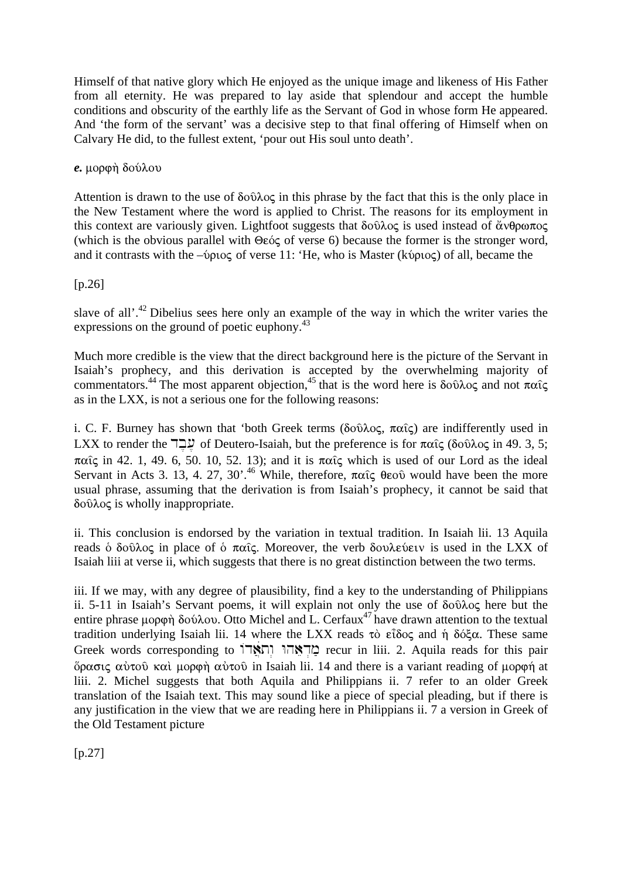Himself of that native glory which He enjoyed as the unique image and likeness of His Father from all eternity. He was prepared to lay aside that splendour and accept the humble conditions and obscurity of the earthly life as the Servant of God in whose form He appeared. And 'the form of the servant' was a decisive step to that final offering of Himself when on Calvary He did, to the fullest extent, 'pour out His soul unto death'.

#### $e.$  μορφή δούλου

Attention is drawn to the use of  $\delta$ o $\hat{v}$  and  $\delta$  in this phrase by the fact that this is the only place in the New Testament where the word is applied to Christ. The reasons for its employment in this context are variously given. Lightfoot suggests that  $\delta$ o $\hat{\theta}$  $\lambda$ o $\varsigma$  is used instead of  $\alpha \vee \theta$  $\rho \omega \pi$ o $\varsigma$ (which is the obvious parallel with  $\Theta \varepsilon \circ \varepsilon$  of verse 6) because the former is the stronger word, and it contrasts with the  $-\psi$  $\chi$  of verse 11: 'He, who is Master (kv $\rho\chi$ ) of all, became the

#### [p.26]

slave of all'.<sup>42</sup> Dibelius sees here only an example of the way in which the writer varies the expressions on the ground of poetic euphony.43

Much more credible is the view that the direct background here is the picture of the Servant in Isaiah's prophecy, and this derivation is accepted by the overwhelming majority of commentators.<sup>44</sup> The most apparent objection.<sup>45</sup> that is the word here is  $\delta$ o $\hat{v}$  and not  $\pi \alpha \hat{i}$ as in the LXX, is not a serious one for the following reasons:

i. C. F. Burney has shown that 'both Greek terms ( $\delta \sigma \hat{\upsilon} \lambda \sigma \varsigma$ ,  $\pi \alpha \hat{\varsigma}$ ) are indifferently used in LXX to render the  $\exists$ Σ of Deutero-Isaiah, but the preference is for παις (δούλος in 49. 3, 5;  $\pi\alpha\hat{i}\varsigma$  in 42. 1, 49. 6, 50. 10, 52. 13); and it is  $\pi\alpha\hat{i}\varsigma$  which is used of our Lord as the ideal Servant in Acts 3. 13, 4. 27, 30'.<sup>46</sup> While, therefore,  $\pi \alpha \hat{i} \zeta$   $\theta \epsilon \omega \hat{j}$  would have been the more usual phrase, assuming that the derivation is from Isaiah's prophecy, it cannot be said that  $\delta$ o $\hat{\theta}$  $\lambda$ o $\varsigma$  is wholly inappropriate.

ii. This conclusion is endorsed by the variation in textual tradition. In Isaiah lii. 13 Aquila reads  $\delta$  δούλος in place of  $\delta$  παίς. Moreover, the verb δουλεύειν is used in the LXX of Isaiah liii at verse ii, which suggests that there is no great distinction between the two terms.

iii. If we may, with any degree of plausibility, find a key to the understanding of Philippians ii. 5-11 in Isaiah's Servant poems, it will explain not only the use of  $\delta$ o $\hat{v}$  $\lambda$ o $\varsigma$  here but the entire phrase  $\mu$ op $\varphi$  $\eta$  do  $\varphi$  $\lambda$ ov. Otto Michel and L. Cerfaux<sup>47</sup> have drawn attention to the textual tradition underlying Isaiah lii. 14 where the LXX reads  $\tau$ ò  $\epsilon \tilde{\iota}$ δος and ή δόξα. These same Greek words corresponding to נְחָאֲדוֹ וְחָאֲדוֹ recur in liii. 2. Aquila reads for this pair  $\phi$ ρασις αὐτοῦ καὶ μορφὴ αὐτοῦ in Isaiah lii. 14 and there is a variant reading of μορφή at liii. 2. Michel suggests that both Aquila and Philippians ii. 7 refer to an older Greek translation of the Isaiah text. This may sound like a piece of special pleading, but if there is any justification in the view that we are reading here in Philippians ii. 7 a version in Greek of the Old Testament picture

 $[p.27]$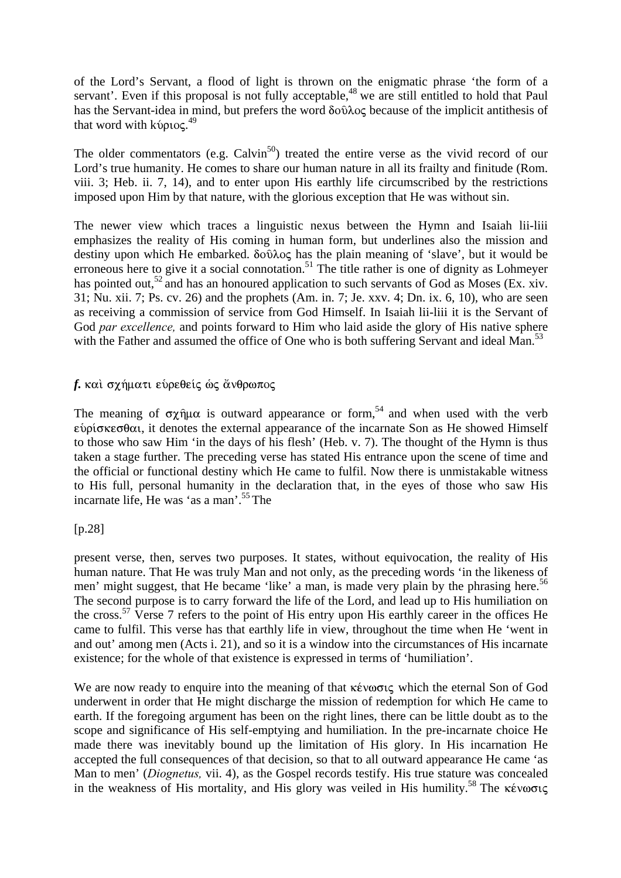of the Lord's Servant, a flood of light is thrown on the enigmatic phrase 'the form of a servant'. Even if this proposal is not fully acceptable,<sup>48</sup> we are still entitled to hold that Paul has the Servant-idea in mind, but prefers the word  $\delta$ o $\hat{v}$  because of the implicit antithesis of that word with kύριος.<sup>49</sup>

The older commentators (e.g.  $Calvin<sup>50</sup>$ ) treated the entire verse as the vivid record of our Lord's true humanity. He comes to share our human nature in all its frailty and finitude (Rom. viii. 3; Heb. ii. 7, 14), and to enter upon His earthly life circumscribed by the restrictions imposed upon Him by that nature, with the glorious exception that He was without sin.

The newer view which traces a linguistic nexus between the Hymn and Isaiah lii-liii emphasizes the reality of His coming in human form, but underlines also the mission and destiny upon which He embarked.  $\delta \tilde{\omega} \lambda o \varsigma$  has the plain meaning of 'slave', but it would be erroneous here to give it a social connotation.<sup>51</sup> The title rather is one of dignity as Lohmeyer has pointed out,<sup>52</sup> and has an honoured application to such servants of God as Moses (Ex. xiv. 31; Nu. xii. 7; Ps. cv. 26) and the prophets (Am. in. 7; Je. xxv. 4; Dn. ix. 6, 10), who are seen as receiving a commission of service from God Himself. In Isaiah lii-liii it is the Servant of God *par excellence*, and points forward to Him who laid aside the glory of His native sphere with the Father and assumed the office of One who is both suffering Servant and ideal Man.<sup>53</sup>

#### f. και σγήματι ευρεθείς ως άνθρωπος

The meaning of  $\sigma \chi \hat{\eta} \mu \alpha$  is outward appearance or form,<sup>54</sup> and when used with the verb  $\epsilon$ νρίσκεσθαι, it denotes the external appearance of the incarnate Son as He showed Himself to those who saw Him 'in the days of his flesh' (Heb. v. 7). The thought of the Hymn is thus taken a stage further. The preceding verse has stated His entrance upon the scene of time and the official or functional destiny which He came to fulfil. Now there is unmistakable witness to His full, personal humanity in the declaration that, in the eyes of those who saw His incarnate life, He was 'as a man'.55 The

#### [p.28]

present verse, then, serves two purposes. It states, without equivocation, the reality of His human nature. That He was truly Man and not only, as the preceding words 'in the likeness of men' might suggest, that He became 'like' a man, is made very plain by the phrasing here.<sup>56</sup> The second purpose is to carry forward the life of the Lord, and lead up to His humiliation on the cross.57 Verse 7 refers to the point of His entry upon His earthly career in the offices He came to fulfil. This verse has that earthly life in view, throughout the time when He 'went in and out' among men (Acts i. 21), and so it is a window into the circumstances of His incarnate existence; for the whole of that existence is expressed in terms of 'humiliation'.

We are now ready to enquire into the meaning of that  $\kappa \hat{\epsilon}$  which the eternal Son of God underwent in order that He might discharge the mission of redemption for which He came to earth. If the foregoing argument has been on the right lines, there can be little doubt as to the scope and significance of His self-emptying and humiliation. In the pre-incarnate choice He made there was inevitably bound up the limitation of His glory. In His incarnation He accepted the full consequences of that decision, so that to all outward appearance He came 'as Man to men' (*Diognetus,* vii. 4), as the Gospel records testify. His true stature was concealed in the weakness of His mortality, and His glory was veiled in His humility.<sup>58</sup> The  $\kappa \epsilon v \omega \sigma \iota \varsigma$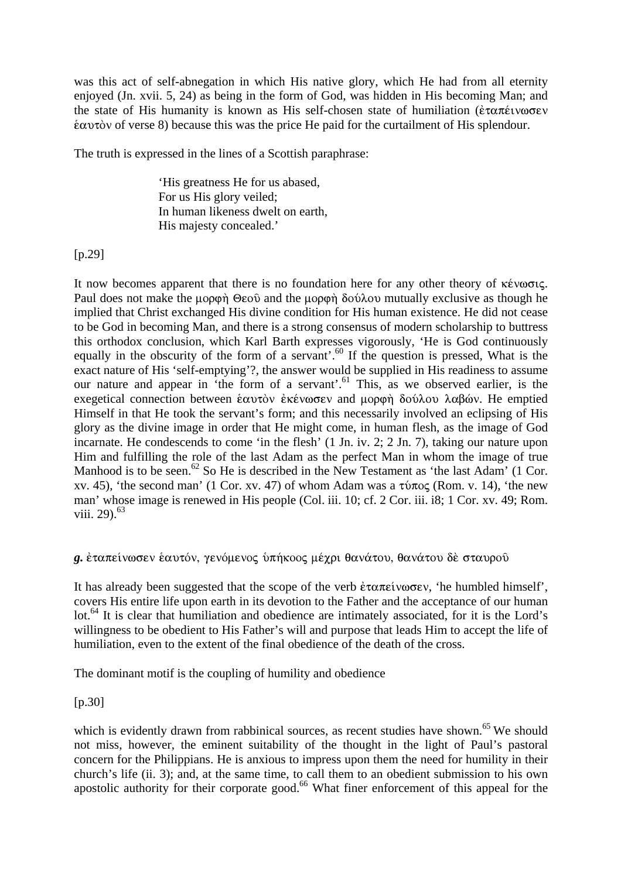was this act of self-abnegation in which His native glory, which He had from all eternity enjoyed (Jn. xvii. 5, 24) as being in the form of God, was hidden in His becoming Man; and the state of His humanity is known as His self-chosen state of humiliation ( $\epsilon \tau \alpha \pi \epsilon \nu \omega \sigma \epsilon \nu$  $\frac{\partial u}{\partial x}$  autobecause this was the price He paid for the curtailment of His splendour.

The truth is expressed in the lines of a Scottish paraphrase:

'His greatness He for us abased, For us His glory veiled; In human likeness dwelt on earth, His majesty concealed.'

#### [p.29]

It now becomes apparent that there is no foundation here for any other theory of  $\kappa \epsilon v \omega \sigma \iota \varsigma$ . Paul does not make the  $\mu$ op $\varphi$   $\varphi$   $\varphi$  and the  $\mu$ op $\varphi$  $\varphi$  do  $\varphi$  mutually exclusive as though he implied that Christ exchanged His divine condition for His human existence. He did not cease to be God in becoming Man, and there is a strong consensus of modern scholarship to buttress this orthodox conclusion, which Karl Barth expresses vigorously, 'He is God continuously equally in the obscurity of the form of a servant'.<sup>60</sup> If the question is pressed, What is the exact nature of His 'self-emptying'?, the answer would be supplied in His readiness to assume our nature and appear in 'the form of a servant'.<sup>61</sup> This, as we observed earlier, is the exegetical connection between εαυτὸν ἐκένωσεν and μορφή δούλου λαβών. He emptied Himself in that He took the servant's form; and this necessarily involved an eclipsing of His glory as the divine image in order that He might come, in human flesh, as the image of God incarnate. He condescends to come 'in the flesh' (1 Jn. iv. 2; 2 Jn. 7), taking our nature upon Him and fulfilling the role of the last Adam as the perfect Man in whom the image of true Manhood is to be seen.<sup>62</sup> So He is described in the New Testament as 'the last Adam' (1 Cor. xv. 45), 'the second man' (1 Cor. xv. 47) of whom Adam was a  $\tau \nu \tau \in (Rom. v. 14)$ , 'the new man' whose image is renewed in His people (Col. iii. 10; cf. 2 Cor. iii. i8; 1 Cor. xv. 49; Rom. viii. 29 $1^{63}$ 

## g. έταπείνωσεν έαυτόν, γενόμενος υπήκοος μέχρι θανάτου, θανάτου δέ σταυρού

It has already been suggested that the scope of the verb  $\epsilon \tau \alpha \pi \epsilon \alpha \nu \omega \sigma \epsilon \nu$ , 'he humbled himself', covers His entire life upon earth in its devotion to the Father and the acceptance of our human lot.<sup>64</sup> It is clear that humiliation and obedience are intimately associated, for it is the Lord's willingness to be obedient to His Father's will and purpose that leads Him to accept the life of humiliation, even to the extent of the final obedience of the death of the cross.

The dominant motif is the coupling of humility and obedience

[p.30]

which is evidently drawn from rabbinical sources, as recent studies have shown.<sup>65</sup> We should not miss, however, the eminent suitability of the thought in the light of Paul's pastoral concern for the Philippians. He is anxious to impress upon them the need for humility in their church's life (ii. 3); and, at the same time, to call them to an obedient submission to his own apostolic authority for their corporate good.<sup>66</sup> What finer enforcement of this appeal for the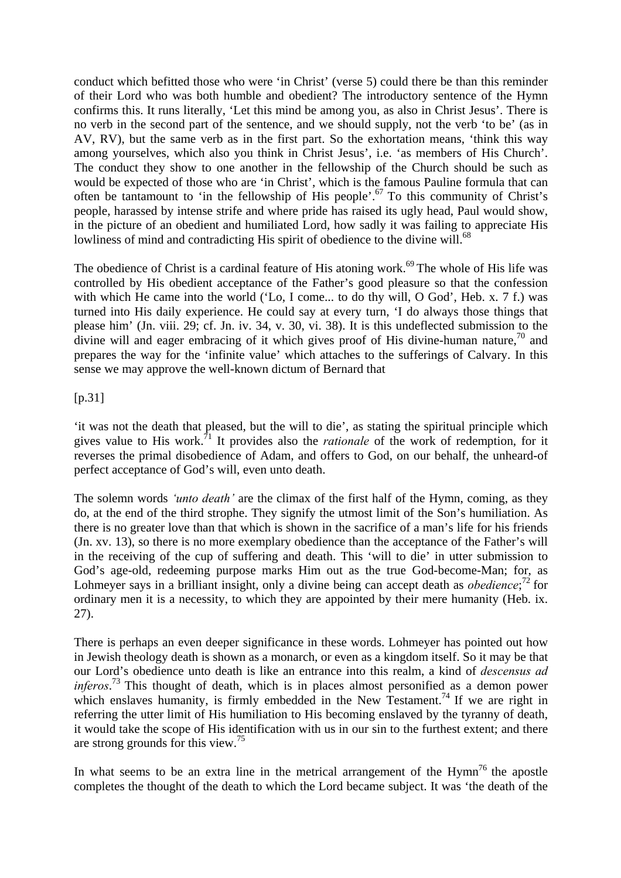conduct which befitted those who were 'in Christ' (verse 5) could there be than this reminder of their Lord who was both humble and obedient? The introductory sentence of the Hymn confirms this. It runs literally, 'Let this mind be among you, as also in Christ Jesus'. There is no verb in the second part of the sentence, and we should supply, not the verb 'to be' (as in AV, RV), but the same verb as in the first part. So the exhortation means, 'think this way among yourselves, which also you think in Christ Jesus', i.e. 'as members of His Church'. The conduct they show to one another in the fellowship of the Church should be such as would be expected of those who are 'in Christ', which is the famous Pauline formula that can often be tantamount to 'in the fellowship of His people'.<sup>67</sup> To this community of Christ's people, harassed by intense strife and where pride has raised its ugly head, Paul would show, in the picture of an obedient and humiliated Lord, how sadly it was failing to appreciate His lowliness of mind and contradicting His spirit of obedience to the divine will.<sup>68</sup>

The obedience of Christ is a cardinal feature of His atoning work.<sup>69</sup> The whole of His life was controlled by His obedient acceptance of the Father's good pleasure so that the confession with which He came into the world ('Lo, I come... to do thy will, O God', Heb. x. 7 f.) was turned into His daily experience. He could say at every turn, 'I do always those things that please him' (Jn. viii. 29; cf. Jn. iv. 34, v. 30, vi. 38). It is this undeflected submission to the divine will and eager embracing of it which gives proof of His divine-human nature,<sup>70</sup> and prepares the way for the 'infinite value' which attaches to the sufferings of Calvary. In this sense we may approve the well-known dictum of Bernard that

 $[p.31]$ 

'it was not the death that pleased, but the will to die', as stating the spiritual principle which gives value to His work.71 It provides also the *rationale* of the work of redemption, for it reverses the primal disobedience of Adam, and offers to God, on our behalf, the unheard-of perfect acceptance of God's will, even unto death.

The solemn words *'unto death'* are the climax of the first half of the Hymn, coming, as they do, at the end of the third strophe. They signify the utmost limit of the Son's humiliation. As there is no greater love than that which is shown in the sacrifice of a man's life for his friends (Jn. xv. 13), so there is no more exemplary obedience than the acceptance of the Father's will in the receiving of the cup of suffering and death. This 'will to die' in utter submission to God's age-old, redeeming purpose marks Him out as the true God-become-Man; for, as Lohmeyer says in a brilliant insight, only a divine being can accept death as *obedience*;<sup>72</sup> for ordinary men it is a necessity, to which they are appointed by their mere humanity (Heb. ix. 27).

There is perhaps an even deeper significance in these words. Lohmeyer has pointed out how in Jewish theology death is shown as a monarch, or even as a kingdom itself. So it may be that our Lord's obedience unto death is like an entrance into this realm, a kind of *descensus ad inferos*. <sup>73</sup> This thought of death, which is in places almost personified as a demon power which enslaves humanity, is firmly embedded in the New Testament.<sup>74</sup> If we are right in referring the utter limit of His humiliation to His becoming enslaved by the tyranny of death, it would take the scope of His identification with us in our sin to the furthest extent; and there are strong grounds for this view.<sup>75</sup>

In what seems to be an extra line in the metrical arrangement of the Hymn<sup>76</sup> the apostle completes the thought of the death to which the Lord became subject. It was 'the death of the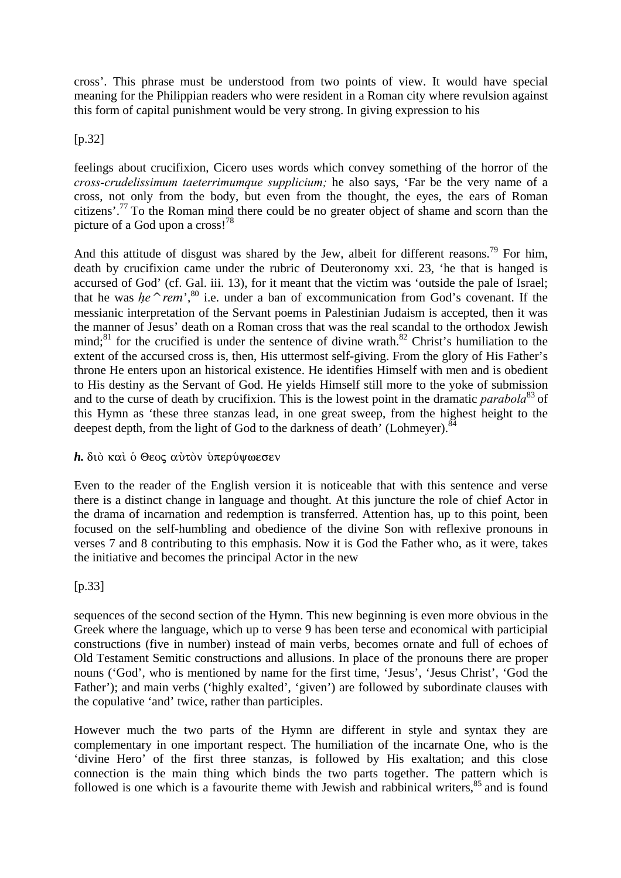cross'. This phrase must be understood from two points of view. It would have special meaning for the Philippian readers who were resident in a Roman city where revulsion against this form of capital punishment would be very strong. In giving expression to his

#### [p.32]

feelings about crucifixion, Cicero uses words which convey something of the horror of the *cross-crudelissimum taeterrimumque supplicium;* he also says, 'Far be the very name of a cross, not only from the body, but even from the thought, the eyes, the ears of Roman citizens'.77 To the Roman mind there could be no greater object of shame and scorn than the picture of a God upon a cross!<sup>78</sup>

And this attitude of disgust was shared by the Jew, albeit for different reasons.<sup>79</sup> For him, death by crucifixion came under the rubric of Deuteronomy xxi. 23, 'he that is hanged is accursed of God' (cf. Gal. iii. 13), for it meant that the victim was 'outside the pale of Israel; that he was he<sup> $\sim$ rem',<sup>80</sup> i.e. under a ban of excommunication from God's covenant. If the</sup> messianic interpretation of the Servant poems in Palestinian Judaism is accepted, then it was the manner of Jesus' death on a Roman cross that was the real scandal to the orthodox Jewish mind;<sup>81</sup> for the crucified is under the sentence of divine wrath.<sup>82</sup> Christ's humiliation to the extent of the accursed cross is, then, His uttermost self-giving. From the glory of His Father's throne He enters upon an historical existence. He identifies Himself with men and is obedient to His destiny as the Servant of God. He yields Himself still more to the yoke of submission and to the curse of death by crucifixion. This is the lowest point in the dramatic *parabola*<sup>83</sup> of this Hymn as 'these three stanzas lead, in one great sweep, from the highest height to the deepest depth, from the light of God to the darkness of death' (Lohmeyer).<sup>84</sup>

#### *h.* διὸ καὶ ὁ Θεος αὐτὸν ὑπερύψωεσεν

Even to the reader of the English version it is noticeable that with this sentence and verse there is a distinct change in language and thought. At this juncture the role of chief Actor in the drama of incarnation and redemption is transferred. Attention has, up to this point, been focused on the self-humbling and obedience of the divine Son with reflexive pronouns in verses 7 and 8 contributing to this emphasis. Now it is God the Father who, as it were, takes the initiative and becomes the principal Actor in the new

#### [p.33]

sequences of the second section of the Hymn. This new beginning is even more obvious in the Greek where the language, which up to verse 9 has been terse and economical with participial constructions (five in number) instead of main verbs, becomes ornate and full of echoes of Old Testament Semitic constructions and allusions. In place of the pronouns there are proper nouns ('God', who is mentioned by name for the first time, 'Jesus', 'Jesus Christ', 'God the Father'); and main verbs ('highly exalted', 'given') are followed by subordinate clauses with the copulative 'and' twice, rather than participles.

However much the two parts of the Hymn are different in style and syntax they are complementary in one important respect. The humiliation of the incarnate One, who is the 'divine Hero' of the first three stanzas, is followed by His exaltation; and this close connection is the main thing which binds the two parts together. The pattern which is followed is one which is a favourite theme with Jewish and rabbinical writers, <sup>85</sup> and is found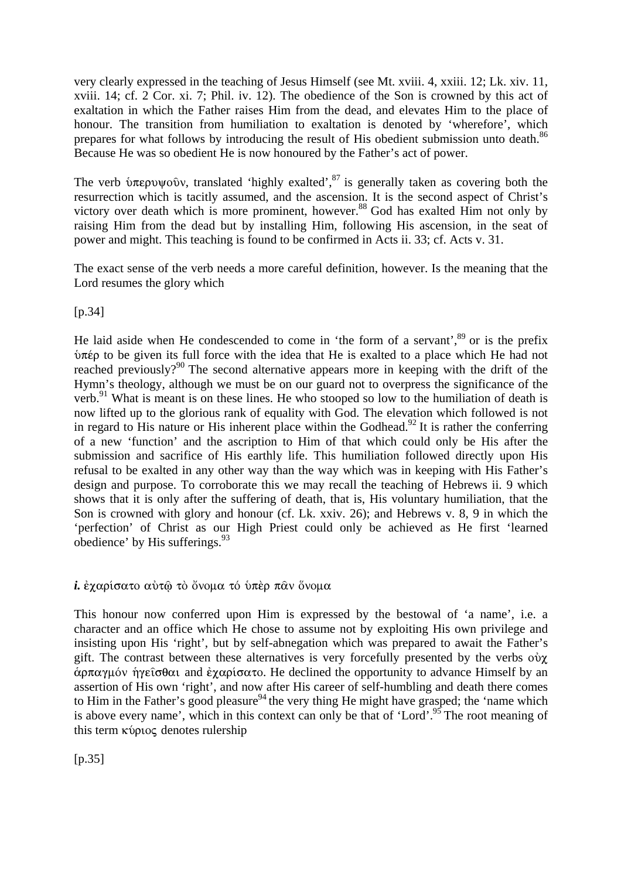very clearly expressed in the teaching of Jesus Himself (see Mt. xviii. 4, xxiii. 12; Lk. xiv. 11, xviii. 14; cf. 2 Cor. xi. 7; Phil. iv. 12). The obedience of the Son is crowned by this act of exaltation in which the Father raises Him from the dead, and elevates Him to the place of honour. The transition from humiliation to exaltation is denoted by 'wherefore', which prepares for what follows by introducing the result of His obedient submission unto death.<sup>86</sup> Because He was so obedient He is now honoured by the Father's act of power.

The verb  $\hat{\nu}$ περυψοῦν, translated 'highly exalted',  $\delta$ <sup>7</sup> is generally taken as covering both the resurrection which is tacitly assumed, and the ascension. It is the second aspect of Christ's victory over death which is more prominent, however.<sup>88</sup> God has exalted Him not only by raising Him from the dead but by installing Him, following His ascension, in the seat of power and might. This teaching is found to be confirmed in Acts ii. 33; cf. Acts v. 31.

The exact sense of the verb needs a more careful definition, however. Is the meaning that the Lord resumes the glory which

[p.34]

He laid aside when He condescended to come in 'the form of a servant', $89$  or is the prefix  $\hat{v}$ πέρ to be given its full force with the idea that He is exalted to a place which He had not reached previously?<sup>90</sup> The second alternative appears more in keeping with the drift of the Hymn's theology, although we must be on our guard not to overpress the significance of the verb.<sup>91</sup> What is meant is on these lines. He who stooped so low to the humiliation of death is now lifted up to the glorious rank of equality with God. The elevation which followed is not in regard to His nature or His inherent place within the Godhead.<sup>92</sup> It is rather the conferring of a new 'function' and the ascription to Him of that which could only be His after the submission and sacrifice of His earthly life. This humiliation followed directly upon His refusal to be exalted in any other way than the way which was in keeping with His Father's design and purpose. To corroborate this we may recall the teaching of Hebrews ii. 9 which shows that it is only after the suffering of death, that is, His voluntary humiliation, that the Son is crowned with glory and honour (cf. Lk. xxiv. 26); and Hebrews v. 8, 9 in which the 'perfection' of Christ as our High Priest could only be achieved as He first 'learned obedience' by His sufferings. $93$ 

i. έχαρίσατο αύτώ τὸ ὄνομα τό υπέρ παν ὅνομα

This honour now conferred upon Him is expressed by the bestowal of 'a name', i.e. a character and an office which He chose to assume not by exploiting His own privilege and insisting upon His 'right', but by self-abnegation which was prepared to await the Father's gift. The contrast between these alternatives is very forcefully presented by the verbs  $\phi \gamma$  $\alpha$ <sub>p</sub>  $\alpha$ <sup>y</sup>  $\beta$  of  $\alpha$ <sub>2</sub> and  $\dot{\epsilon}$   $\gamma$   $\alpha$  $\beta$   $\alpha$ <sub>2</sub> and  $\alpha$ <sub>5</sub>. He declined the opportunity to advance Himself by an assertion of His own 'right', and now after His career of self-humbling and death there comes to Him in the Father's good pleasure<sup>94</sup> the very thing He might have grasped; the 'name which is above every name', which in this context can only be that of 'Lord'.<sup>95</sup> The root meaning of this term  $\kappa$  *ú* $\rho$  $\iota$ *o* $\varsigma$  denotes rulership

 $[p.35]$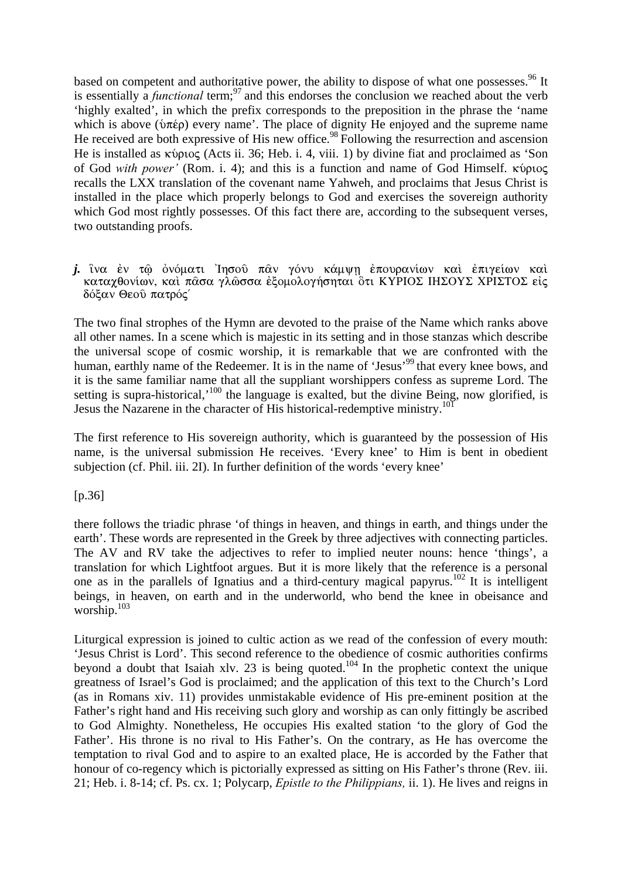based on competent and authoritative power, the ability to dispose of what one possesses.<sup>96</sup> It is essentially a *functional* term;<sup>97</sup> and this endorses the conclusion we reached about the verb 'highly exalted', in which the prefix corresponds to the preposition in the phrase the 'name which is above ( $\delta \pi \epsilon \rho$ ) every name'. The place of dignity He enjoyed and the supreme name He received are both expressive of His new office.<sup>98</sup> Following the resurrection and ascension He is installed as κύριος (Acts ii. 36; Heb. i. 4, viii. 1) by divine fiat and proclaimed as 'Son of God *with power'* (Rom. i. 4); and this is a function and name of God Himself. κύριος recalls the LXX translation of the covenant name Yahweh, and proclaims that Jesus Christ is installed in the place which properly belongs to God and exercises the sovereign authority which God most rightly possesses. Of this fact there are, according to the subsequent verses, two outstanding proofs.

#### j. îνα έν τώ ὀνόματι 'Iησού παν γόνυ κάμψη έπουρανίων καὶ έπιγείων καὶ καταχθονίων, καὶ πασα γλώσσα ἐξομολογήσηται ὃτι ΚΥΡΙΟΣ ΙΗΣΟΥΣ ΧΡΙΣΤΟΣ εἰς δόξαν Θεού πατρός

The two final strophes of the Hymn are devoted to the praise of the Name which ranks above all other names. In a scene which is majestic in its setting and in those stanzas which describe the universal scope of cosmic worship, it is remarkable that we are confronted with the human, earthly name of the Redeemer. It is in the name of 'Jesus'<sup>99</sup> that every knee bows, and it is the same familiar name that all the suppliant worshippers confess as supreme Lord. The setting is supra-historical,<sup>100</sup> the language is exalted, but the divine Being, now glorified, is Jesus the Nazarene in the character of His historical-redemptive ministry.<sup>101</sup>

The first reference to His sovereign authority, which is guaranteed by the possession of His name, is the universal submission He receives. 'Every knee' to Him is bent in obedient subjection (cf. Phil. iii. 2I). In further definition of the words 'every knee'

#### [p.36]

there follows the triadic phrase 'of things in heaven, and things in earth, and things under the earth'. These words are represented in the Greek by three adjectives with connecting particles. The AV and RV take the adjectives to refer to implied neuter nouns: hence 'things', a translation for which Lightfoot argues. But it is more likely that the reference is a personal one as in the parallels of Ignatius and a third-century magical papyrus.<sup>102</sup> It is intelligent beings, in heaven, on earth and in the underworld, who bend the knee in obeisance and worship.<sup>103</sup>

Liturgical expression is joined to cultic action as we read of the confession of every mouth: 'Jesus Christ is Lord'. This second reference to the obedience of cosmic authorities confirms beyond a doubt that Isaiah xlv. 23 is being quoted.<sup>104</sup> In the prophetic context the unique greatness of Israel's God is proclaimed; and the application of this text to the Church's Lord (as in Romans xiv. 11) provides unmistakable evidence of His pre-eminent position at the Father's right hand and His receiving such glory and worship as can only fittingly be ascribed to God Almighty. Nonetheless, He occupies His exalted station 'to the glory of God the Father'. His throne is no rival to His Father's. On the contrary, as He has overcome the temptation to rival God and to aspire to an exalted place, He is accorded by the Father that honour of co-regency which is pictorially expressed as sitting on His Father's throne (Rev. iii. 21; Heb. i. 8-14; cf. Ps. cx. 1; Polycarp, *Epistle to the Philippians,* ii. 1). He lives and reigns in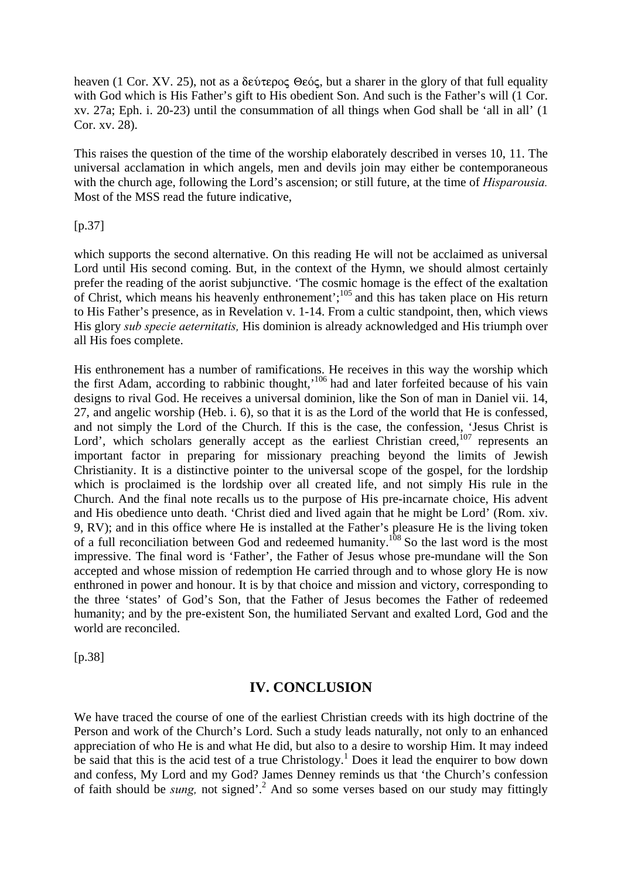heaven (1 Cor. XV. 25), not as a  $\delta \epsilon \dot{\nu} \epsilon \rho o \zeta$   $\Theta \epsilon \dot{o} \zeta$ , but a sharer in the glory of that full equality with God which is His Father's gift to His obedient Son. And such is the Father's will (1 Cor. xv. 27a; Eph. i. 20-23) until the consummation of all things when God shall be 'all in all' (1 Cor. xv. 28).

This raises the question of the time of the worship elaborately described in verses 10, 11. The universal acclamation in which angels, men and devils join may either be contemporaneous with the church age, following the Lord's ascension; or still future, at the time of *Hisparousia.* Most of the MSS read the future indicative,

#### [p.37]

which supports the second alternative. On this reading He will not be acclaimed as universal Lord until His second coming. But, in the context of the Hymn, we should almost certainly prefer the reading of the aorist subjunctive. 'The cosmic homage is the effect of the exaltation of Christ, which means his heavenly enthronement';<sup>105</sup> and this has taken place on His return of Christ, to His Father's presence, as in Revelation v. 1-14. From a cultic standpoint, then, which views His glory *sub specie aeternitatis,* His dominion is already acknowledged and His triumph over all His foes complete.

His enthronement has a number of ramifications. He receives in this way the worship which the first Adam, according to rabbinic thought,<sup>106</sup> had and later forfeited because of his vain designs to rival God. He receives a universal dominion, like the Son of man in Daniel vii. 14, 27, and angelic worship (Heb. i. 6), so that it is as the Lord of the world that He is confessed, and not simply the Lord of the Church. If this is the case, the confession, 'Jesus Christ is Lord', which scholars generally accept as the earliest Christian creed, $^{107}$  represents an important factor in preparing for missionary preaching beyond the limits of Jewish Christianity. It is a distinctive pointer to the universal scope of the gospel, for the lordship which is proclaimed is the lordship over all created life, and not simply His rule in the Church. And the final note recalls us to the purpose of His pre-incarnate choice, His advent and His obedience unto death. 'Christ died and lived again that he might be Lord' (Rom. xiv. 9, RV); and in this office where He is installed at the Father's pleasure He is the living token of a full reconciliation between God and redeemed humanity.<sup>108</sup> So the last word is the most impressive. The final word is 'Father', the Father of Jesus whose pre-mundane will the Son accepted and whose mission of redemption He carried through and to whose glory He is now enthroned in power and honour. It is by that choice and mission and victory, corresponding to the three 'states' of God's Son, that the Father of Jesus becomes the Father of redeemed humanity; and by the pre-existent Son, the humiliated Servant and exalted Lord, God and the world are reconciled.

[p.38]

## **IV. CONCLUSION**

We have traced the course of one of the earliest Christian creeds with its high doctrine of the Person and work of the Church's Lord. Such a study leads naturally, not only to an enhanced appreciation of who He is and what He did, but also to a desire to worship Him. It may indeed be said that this is the acid test of a true Christology.<sup>1</sup> Does it lead the enquirer to bow down and confess, My Lord and my God? James Denney reminds us that 'the Church's confession of faith should be *sung*, not signed'.<sup>2</sup> And so some verses based on our study may fittingly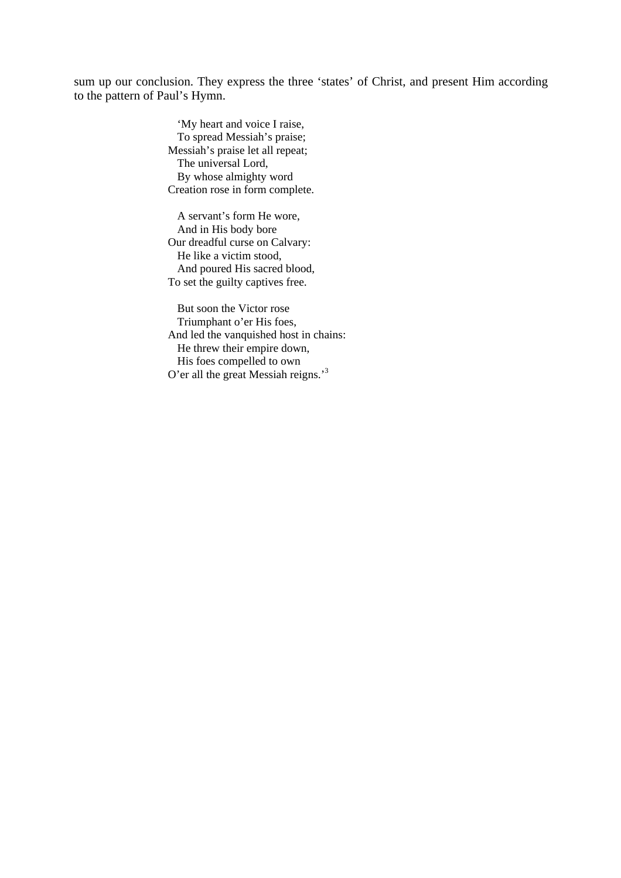sum up our conclusion. They express the three 'states' of Christ, and present Him according to the pattern of Paul's Hymn.

> 'My heart and voice I raise, To spread Messiah's praise; Messiah's praise let all repeat; The universal Lord, By whose almighty word Creation rose in form complete.

A servant's form He wore, And in His body bore Our dreadful curse on Calvary: He like a victim stood, And poured His sacred blood, To set the guilty captives free.

But soon the Victor rose Triumphant o'er His foes, And led the vanquished host in chains: He threw their empire down, His foes compelled to own O'er all the great Messiah reigns.'<sup>3</sup>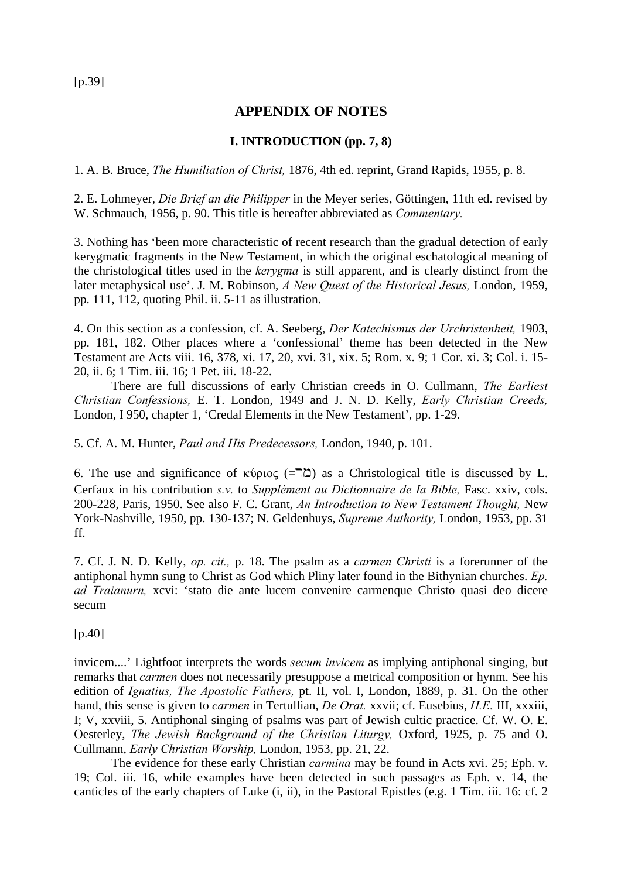$[p.39]$ 

## **APPENDIX OF NOTES**

## **I. INTRODUCTION (pp. 7, 8)**

1. A. B. Bruce, *The Humiliation of Christ,* 1876, 4th ed. reprint, Grand Rapids, 1955, p. 8.

2. E. Lohmeyer, *Die Brief an die Philipper* in the Meyer series, Göttingen, 11th ed. revised by W. Schmauch, 1956, p. 90. This title is hereafter abbreviated as *Commentary.*

3. Nothing has 'been more characteristic of recent research than the gradual detection of early kerygmatic fragments in the New Testament, in which the original eschatological meaning of the christological titles used in the *kerygma* is still apparent, and is clearly distinct from the later metaphysical use'. J. M. Robinson, *A New Quest of the Historical Jesus,* London, 1959, pp. 111, 112, quoting Phil. ii. 5-11 as illustration.

4. On this section as a confession, cf. A. Seeberg, *Der Katechismus der Urchristenheit,* 1903, pp. 181, 182. Other places where a 'confessional' theme has been detected in the New Testament are Acts viii. 16, 378, xi. 17, 20, xvi. 31, xix. 5; Rom. x. 9; 1 Cor. xi. 3; Col. i. 15- 20, ii. 6; 1 Tim. iii. 16; 1 Pet. iii. 18-22.

There are full discussions of early Christian creeds in O. Cullmann, *The Earliest Christian Confessions,* E. T. London, 1949 and J. N. D. Kelly, *Early Christian Creeds,* London, I 950, chapter 1, 'Credal Elements in the New Testament', pp. 1-29.

5. Cf. A. M. Hunter, *Paul and His Predecessors,* London, 1940, p. 101.

6. The use and significance of  $\kappa$ ύριος ( $\Xi$ ) as a Christological title is discussed by L. Cerfaux in his contribution *s.v.* to *Supplément au Dictionnaire de Ia Bible,* Fasc. xxiv, cols. 200-228, Paris, 1950. See also F. C. Grant, *An Introduction to New Testament Thought,* New York-Nashville, 1950, pp. 130-137; N. Geldenhuys, *Supreme Authority,* London, 1953, pp. 31 ff.

7. Cf. J. N. D. Kelly, *op. cit.,* p. 18. The psalm as a *carmen Christi* is a forerunner of the antiphonal hymn sung to Christ as God which Pliny later found in the Bithynian churches. *Ep. ad Traianurn,* xcvi: 'stato die ante lucem convenire carmenque Christo quasi deo dicere secum

[p.40]

invicem....' Lightfoot interprets the words *secum invicem* as implying antiphonal singing, but remarks that *carmen* does not necessarily presuppose a metrical composition or hynm. See his edition of *Ignatius, The Apostolic Fathers,* pt. II, vol. I, London, 1889, p. 31. On the other hand, this sense is given to *carmen* in Tertullian, *De Orat.* xxvii; cf. Eusebius, *H.E.* III, xxxiii, I; V, xxviii, 5. Antiphonal singing of psalms was part of Jewish cultic practice. Cf. W. O. E. Oesterley, *The Jewish Background of the Christian Liturgy,* Oxford, 1925, p. 75 and O. Cullmann, *Early Christian Worship,* London, 1953, pp. 21, 22.

The evidence for these early Christian *carmina* may be found in Acts xvi. 25; Eph. v. 19; Col. iii. 16, while examples have been detected in such passages as Eph. v. 14, the canticles of the early chapters of Luke (i, ii), in the Pastoral Epistles (e.g. 1 Tim. iii. 16: cf. 2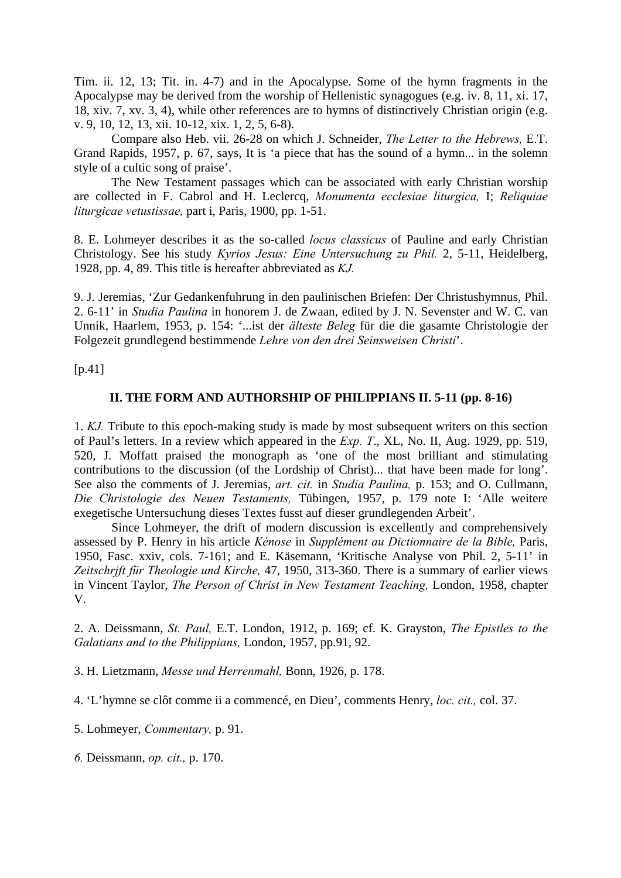Tim. ii. 12, 13; Tit. in. 4-7) and in the Apocalypse. Some of the hymn fragments in the Apocalypse may be derived from the worship of Hellenistic synagogues (e.g. iv. 8, 11, xi. 17, 18, xiv. 7, xv. 3, 4), while other references are to hymns of distinctively Christian origin (e.g. v. 9, 10, 12, 13, xii. 10-12, xix. 1, 2, 5, 6-8).

Compare also Heb. vii. 26-28 on which J. Schneider, *The Letter to the Hebrews,* E.T. Grand Rapids, 1957, p. 67, says, It is 'a piece that has the sound of a hymn... in the solemn style of a cultic song of praise'.

The New Testament passages which can be associated with early Christian worship are collected in F. Cabrol and H. Leclercq, *Monumenta ecclesiae liturgica,* I; *Reliquiae liturgicae vetustissae,* part i, Paris, 1900, pp. 1-51.

8. E. Lohmeyer describes it as the so-called *locus classicus* of Pauline and early Christian Christology. See his study *Kyrios Jesus: Eine Untersuchung zu Phil.* 2, 5-11, Heidelberg, 1928, pp. 4, 89. This title is hereafter abbreviated as *KJ.*

9. J. Jeremias, 'Zur Gedankenfuhrung in den paulinischen Briefen: Der Christushymnus, Phil. 2. 6-11' in *Studia Paulina* in honorem J. de Zwaan, edited by J. N. Sevenster and W. C. van Unnik, Haarlem, 1953, p. 154: '...ist der *älteste Beleg* für die die gasamte Christologie der Folgezeit grundlegend bestimmende *Lehre von den drei Seinsweisen Christi*'.

 $[p.41]$ 

#### **II. THE FORM AND AUTHORSHIP OF PHILIPPIANS II. 5-11 (pp. 8-16)**

1. *KJ.* Tribute to this epoch-making study is made by most subsequent writers on this section of Paul's letters. In a review which appeared in the *Exp. T*., XL, No. II, Aug. 1929, pp. 519, 520, J. Moffatt praised the monograph as 'one of the most brilliant and stimulating contributions to the discussion (of the Lordship of Christ)... that have been made for long'. See also the comments of J. Jeremias, *art. cit.* in *Studia Paulina,* p. 153; and O. Cullmann, *Die Christologie des Neuen Testaments,* Tübingen, 1957, p. 179 note I: 'Alle weitere exegetische Untersuchung dieses Textes fusst auf dieser grundlegenden Arbeit'.

Since Lohmeyer, the drift of modern discussion is excellently and comprehensively assessed by P. Henry in his article *Kénose* in *Supplément au Dictionnaire de la Bible,* Paris, 1950, Fasc. xxiv, cols. 7-161; and E. Käsemann, 'Kritische Analyse von Phil. 2, 5-11' in *Zeitschrjft für Theologie und Kirche,* 47, 1950, 313-360. There is a summary of earlier views in Vincent Taylor, *The Person of Christ in New Testament Teaching,* London, 1958, chapter V.

2. A. Deissmann, *St. Paul,* E.T. London, 1912, p. 169; cf. K. Grayston, *The Epistles to the Galatians and to the Philippians,* London, 1957, pp.91, 92.

3. H. Lietzmann, *Messe und Herrenmahl,* Bonn, 1926, p. 178.

4. 'L'hymne se clôt comme ii a commencé, en Dieu', comments Henry, *loc. cit.,* col. 37.

5. Lohmeyer, *Commentary,* p. 91.

*6.* Deissmann, *op. cit.,* p. 170.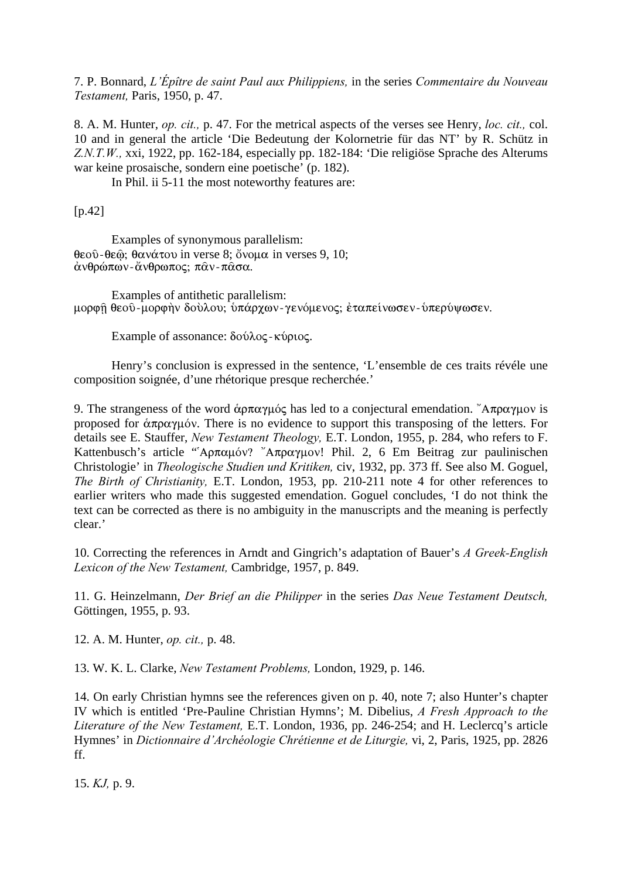7. P. Bonnard, *L'Épître de saint Paul aux Philippiens,* in the series *Commentaire du Nouveau Testament,* Paris, 1950, p. 47.

8. A. M. Hunter, *op. cit.,* p. 47. For the metrical aspects of the verses see Henry, *loc. cit.,* col. 10 and in general the article 'Die Bedeutung der Kolornetrie für das NT' by R. Schütz in *Z.N.T.W.,* xxi, 1922, pp. 162-184, especially pp. 182-184: 'Die religiöse Sprache des Alterums war keine prosaische, sondern eine poetische' (p. 182).

In Phil. ii 5-11 the most noteworthy features are:

[p.42]

Examples of synonymous parallelism:  $\theta$ εοῦ- $\theta$ εῶ;  $\theta$ ανάτου in verse 8; ὄνομα in verses 9, 10; άνθρώπων-ἄνθρωπος; παν-πασα.

Examples of antithetic parallelism: μορφή θεού-μορφήν δούλου; υπάρχων-γενόμενος; εταπείνωσεν- υπερύψωσεν.

Example of assonance:  $\delta$ ούλος - κύριος.

Henry's conclusion is expressed in the sentence, 'L'ensemble de ces traits révéle une composition soignée, d'une rhétorique presque recherchée.'

9. The strangeness of the word  $\alpha \rho \pi \alpha \gamma \mu \delta \varsigma$  has led to a conjectural emendation. "A $\pi \rho \alpha \gamma \mu \delta \upsilon$  is proposed for  $\alpha \pi \rho \alpha \gamma \mu \delta \nu$ . There is no evidence to support this transposing of the letters. For details see E. Stauffer, *New Testament Theology,* E.T. London, 1955, p. 284, who refers to F. Kattenbusch's article "' $A\pi\alpha\mu\omega$ '' A $\pi\rho\alpha\gamma\mu\omega$ '! Phil. 2, 6 Em Beitrag zur paulinischen Christologie' in *Theologische Studien und Kritiken,* civ, 1932, pp. 373 ff. See also M. Goguel, *The Birth of Christianity,* E.T. London, 1953, pp. 210-211 note 4 for other references to earlier writers who made this suggested emendation. Goguel concludes, 'I do not think the text can be corrected as there is no ambiguity in the manuscripts and the meaning is perfectly clear.'

10. Correcting the references in Arndt and Gingrich's adaptation of Bauer's *A Greek-English Lexicon of the New Testament,* Cambridge, 1957, p. 849.

11. G. Heinzelmann, *Der Brief an die Philipper* in the series *Das Neue Testament Deutsch,* Göttingen, 1955, p. 93.

12. A. M. Hunter, *op. cit.,* p. 48.

13. W. K. L. Clarke, *New Testament Problems,* London, 1929, p. 146.

14. On early Christian hymns see the references given on p. 40, note 7; also Hunter's chapter IV which is entitled 'Pre-Pauline Christian Hymns'; M. Dibelius, *A Fresh Approach to the Literature of the New Testament,* E.T. London, 1936, pp. 246-254; and H. Leclercq's article Hymnes' in *Dictionnaire d'Archéologie Chrétienne et de Liturgie,* vi, 2, Paris, 1925, pp. 2826 ff.

15. *KJ,* p. 9.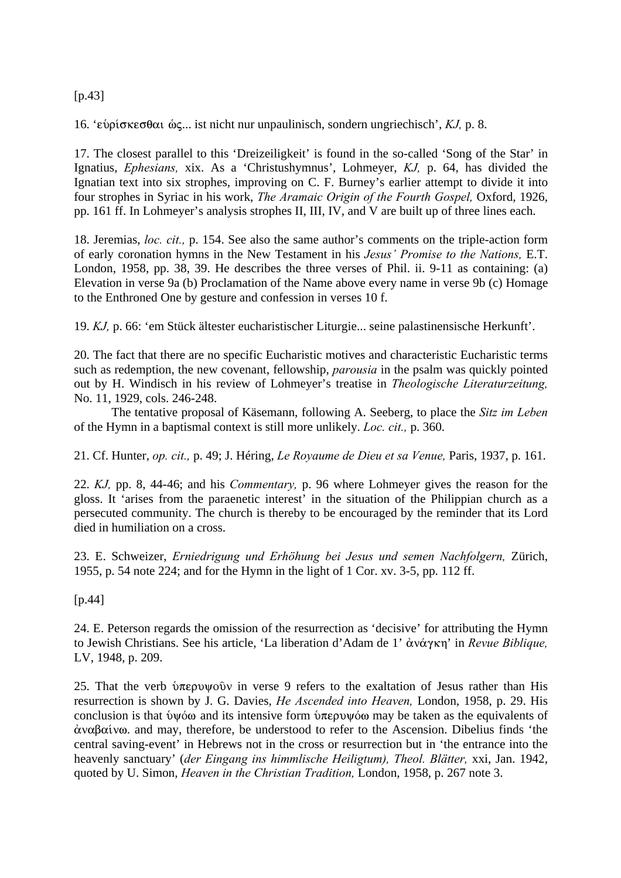[p.43]

16. 'εὑρίσκεσθαι ώς... ist nicht nur unpaulinisch, sondern ungriechisch', *KJ*, p. 8.

17. The closest parallel to this 'Dreizeiligkeit' is found in the so-called 'Song of the Star' in Ignatius, *Ephesians,* xix. As a 'Christushymnus', Lohmeyer, *KJ,* p. 64, has divided the Ignatian text into six strophes, improving on C. F. Burney's earlier attempt to divide it into four strophes in Syriac in his work, *The Aramaic Origin of the Fourth Gospel,* Oxford, 1926, pp. 161 ff. In Lohmeyer's analysis strophes II, III, IV, and V are built up of three lines each.

18. Jeremias, *loc. cit.,* p. 154. See also the same author's comments on the triple-action form of early coronation hymns in the New Testament in his *Jesus' Promise to the Nations,* E.T. London, 1958, pp. 38, 39. He describes the three verses of Phil. ii. 9-11 as containing: (a) Elevation in verse 9a (b) Proclamation of the Name above every name in verse 9b (c) Homage to the Enthroned One by gesture and confession in verses 10 f.

19. *KJ,* p. 66: 'em Stück ältester eucharistischer Liturgie... seine palastinensische Herkunft'.

20. The fact that there are no specific Eucharistic motives and characteristic Eucharistic terms such as redemption, the new covenant, fellowship, *parousia* in the psalm was quickly pointed out by H. Windisch in his review of Lohmeyer's treatise in *Theologische Literaturzeitung,* No. 11, 1929, cols. 246-248.

The tentative proposal of Käsemann, following A. Seeberg, to place the *Sitz im Leben* of the Hymn in a baptismal context is still more unlikely. *Loc. cit.,* p. 360.

21. Cf. Hunter, *op. cit.,* p. 49; J. Héring, *Le Royaume de Dieu et sa Venue,* Paris, 1937, p. 161.

22. *KJ,* pp. 8, 44-46; and his *Commentary,* p. 96 where Lohmeyer gives the reason for the gloss. It 'arises from the paraenetic interest' in the situation of the Philippian church as a persecuted community. The church is thereby to be encouraged by the reminder that its Lord died in humiliation on a cross.

23. E. Schweizer, *Erniedrigung und Erhöhung bei Jesus und semen Nachfolgern,* Zürich, 1955, p. 54 note 224; and for the Hymn in the light of 1 Cor. xv. 3-5, pp. 112 ff.

[p.44]

24. E. Peterson regards the omission of the resurrection as 'decisive' for attributing the Hymn to Jewish Christians. See his article, 'La liberation d'Adam de 1' ἀνάγκη' in *Revue Biblique*, LV, 1948, p. 209.

25. That the verb  $\hat{\nu}$ περυψούν in verse 9 refers to the exaltation of Jesus rather than His resurrection is shown by J. G. Davies, *He Ascended into Heaven,* London, 1958, p. 29. His conclusion is that  $\psi\phi\omega$  and its intensive form  $\psi\pi\varepsilon\rho\psi\phi\omega$  may be taken as the equivalents of  $\alpha$ v $\alpha$  $\beta$  $\alpha$  iv $\alpha$ , and may, therefore, be understood to refer to the Ascension. Dibelius finds 'the central saving-event' in Hebrews not in the cross or resurrection but in 'the entrance into the heavenly sanctuary' (*der Eingang ins himmlische Heiligtum), Theol. Blätter,* xxi, Jan. 1942, quoted by U. Simon, *Heaven in the Christian Tradition,* London, 1958, p. 267 note 3.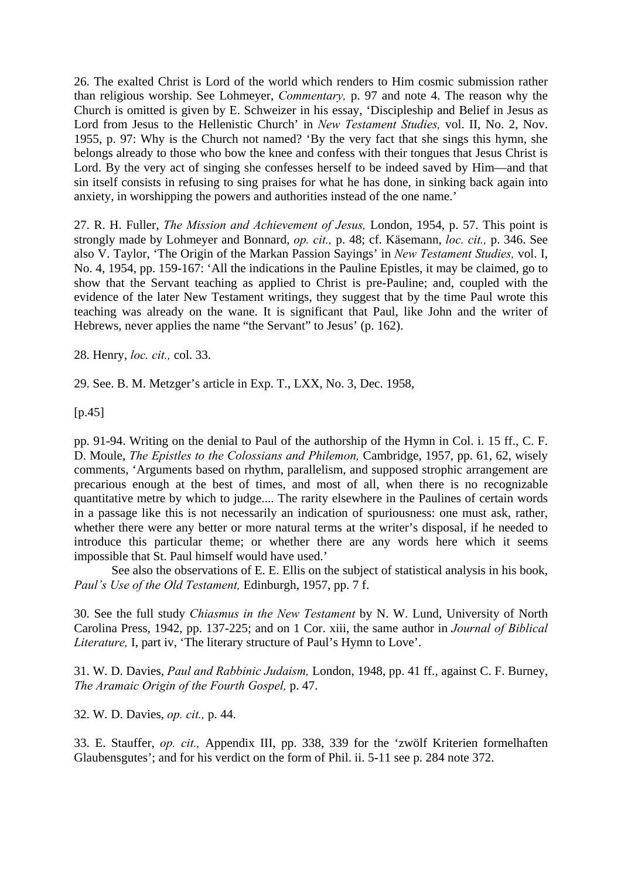26. The exalted Christ is Lord of the world which renders to Him cosmic submission rather than religious worship. See Lohmeyer, *Commentary,* p. 97 and note 4. The reason why the Church is omitted is given by E. Schweizer in his essay, 'Discipleship and Belief in Jesus as Lord from Jesus to the Hellenistic Church' in *New Testament Studies,* vol. II, No. 2, Nov. 1955, p. 97: Why is the Church not named? 'By the very fact that she sings this hymn, she belongs already to those who bow the knee and confess with their tongues that Jesus Christ is Lord. By the very act of singing she confesses herself to be indeed saved by Him—and that sin itself consists in refusing to sing praises for what he has done, in sinking back again into anxiety, in worshipping the powers and authorities instead of the one name.'

27. R. H. Fuller, *The Mission and Achievement of Jesus,* London, 1954, p. 57. This point is strongly made by Lohmeyer and Bonnard, *op. cit.,* p. 48; cf. Käsemann, *loc. cit.,* p. 346. See also V. Taylor, 'The Origin of the Markan Passion Sayings' in *New Testament Studies,* vol. I, No. 4, 1954, pp. 159-167: 'All the indications in the Pauline Epistles, it may be claimed, go to show that the Servant teaching as applied to Christ is pre-Pauline; and, coupled with the evidence of the later New Testament writings, they suggest that by the time Paul wrote this teaching was already on the wane. It is significant that Paul, like John and the writer of Hebrews, never applies the name "the Servant" to Jesus' (p. 162).

28. Henry, *loc. cit.,* col. 33.

29. See. B. M. Metzger's article in Exp. T., LXX, No. 3, Dec. 1958,

[p.45]

pp. 91-94. Writing on the denial to Paul of the authorship of the Hymn in Col. i. 15 ff., C. F. D. Moule, *The Epistles to the Colossians and Philemon,* Cambridge, 1957, pp. 61, 62, wisely comments, 'Arguments based on rhythm, parallelism, and supposed strophic arrangement are precarious enough at the best of times, and most of all, when there is no recognizable quantitative metre by which to judge.... The rarity elsewhere in the Paulines of certain words in a passage like this is not necessarily an indication of spuriousness: one must ask, rather, whether there were any better or more natural terms at the writer's disposal, if he needed to introduce this particular theme; or whether there are any words here which it seems impossible that St. Paul himself would have used.'

See also the observations of E. E. Ellis on the subject of statistical analysis in his book, *Paul's Use of the Old Testament,* Edinburgh, 1957, pp. 7 f.

30. See the full study *Chiasmus in the New Testament* by N. W. Lund, University of North Carolina Press, 1942, pp. 137-225; and on 1 Cor. xiii, the same author in *Journal of Biblical Literature,* I, part iv, 'The literary structure of Paul's Hymn to Love'.

31. W. D. Davies, *Paul and Rabbinic Judaism,* London, 1948, pp. 41 ff., against C. F. Burney, *The Aramaic Origin of the Fourth Gospel,* p. 47.

32. W. D. Davies, *op. cit.,* p. 44.

33. E. Stauffer, *op. cit.,* Appendix III, pp. 338, 339 for the 'zwölf Kriterien formelhaften Glaubensgutes'; and for his verdict on the form of Phil. ii. 5-11 see p. 284 note 372.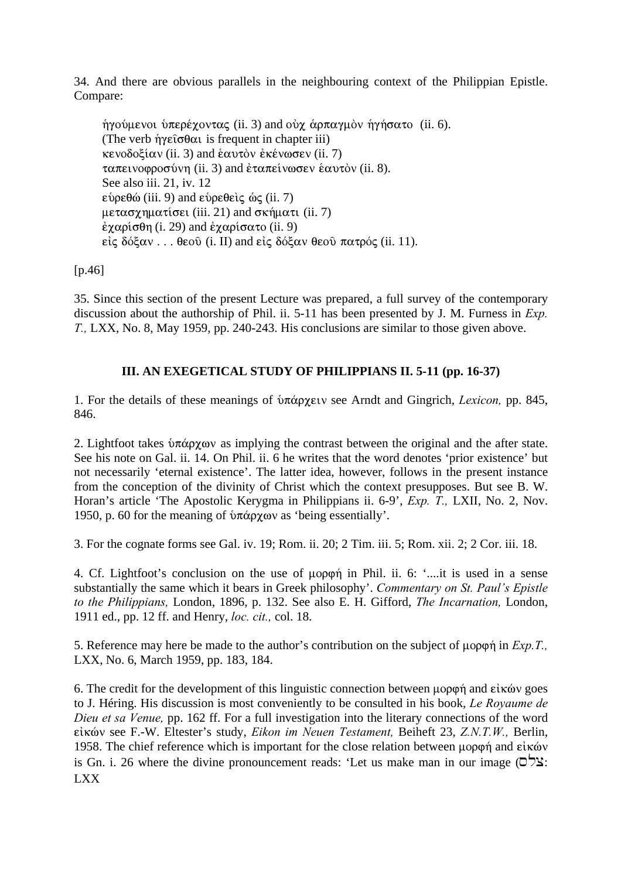34. And there are obvious parallels in the neighbouring context of the Philippian Epistle. Compare:

 $\eta$ γούμενοι υπερέχοντας (ii. 3) and οὐχ ἁρπαγμὸν ηγήσατο (ii. 6). (The verb  $\hat{\eta}$ γείσθαι is frequent in chapter iii)  $\kappa$ ενοδοξίαν (ii. 3) and επαντὸν ἐκένωσεν (ii. 7)  $ταπεινοφροσύνη (ii. 3) and ἐταπείνωσεν ἑαυτὸν (ii. 8).$ See also iii. 21, iv. 12  $\epsilon$ bp $\epsilon$ θώ (iii. 9) and  $\epsilon$ bp $\epsilon$ θε
iς ως (ii. 7)  $\mu \varepsilon \alpha \sigma \chi \eta \mu \alpha \tau$ ίσει (iii. 21) and σκήματι (ii. 7)  $\dot{\epsilon} \chi \alpha \rho i \sigma \theta \eta$  (i. 29) and  $\dot{\epsilon} \chi \alpha \rho i \sigma \alpha \tau$  (ii. 9) είς δόξαν . . . θεού (i. II) and είς δόξαν θεού πατρός (ii. 11).

[p.46]

35. Since this section of the present Lecture was prepared, a full survey of the contemporary discussion about the authorship of Phil. ii. 5-11 has been presented by J. M. Furness in *Exp. T.,* LXX, No. 8, May 1959, pp. 240-243. His conclusions are similar to those given above.

## **III. AN EXEGETICAL STUDY OF PHILIPPIANS II. 5-11 (pp. 16-37)**

1. For the details of these meanings of *υπάρχειν* see Arndt and Gingrich, *Lexicon*, pp. 845, 846.

2. Lightfoot takes  $\delta \pi \dot{\alpha} \rho \chi \omega \nu$  as implying the contrast between the original and the after state. See his note on Gal. ii. 14. On Phil. ii. 6 he writes that the word denotes 'prior existence' but not necessarily 'eternal existence'. The latter idea, however, follows in the present instance from the conception of the divinity of Christ which the context presupposes. But see B. W. Horan's article 'The Apostolic Kerygma in Philippians ii. 6-9', *Exp. T.,* LXII, No. 2, Nov. 1950, p. 60 for the meaning of  $\frac{\partial \pi}{\partial \rho}$  as 'being essentially'.

3. For the cognate forms see Gal. iv. 19; Rom. ii. 20; 2 Tim. iii. 5; Rom. xii. 2; 2 Cor. iii. 18.

4. Cf. Lightfoot's conclusion on the use of  $\mu$ op $\varphi$  in Phil. ii. 6: '...,it is used in a sense substantially the same which it bears in Greek philosophy'. *Commentary on St. Paul's Epistle to the Philippians,* London, 1896, p. 132. See also E. H. Gifford, *The Incarnation,* London, 1911 ed., pp. 12 ff. and Henry, *loc. cit.,* col. 18.

5. Reference may here be made to the author's contribution on the subject of  $\mu$ opon in *Exp.T.*, LXX, No. 6, March 1959, pp. 183, 184.

6. The credit for the development of this linguistic connection between  $\mu$ op $\varphi$  $\eta$  and  $\epsilon$ *i* $\kappa$  $\omega$  goes to J. Héring. His discussion is most conveniently to be consulted in his book, *Le Royaume de Dieu et sa Venue,* pp. 162 ff. For a full investigation into the literary connections of the word εἰκών see F.-W. Eltester's study, *Eikon im Neuen Testament*, Beiheft 23, *Z.N.T.W.*, Berlin, 1958. The chief reference which is important for the close relation between  $\mu$ opon and είκών is Gn. i. 26 where the divine pronouncement reads: 'Let us make man in our image  $(D^{\prime})$ ' LXX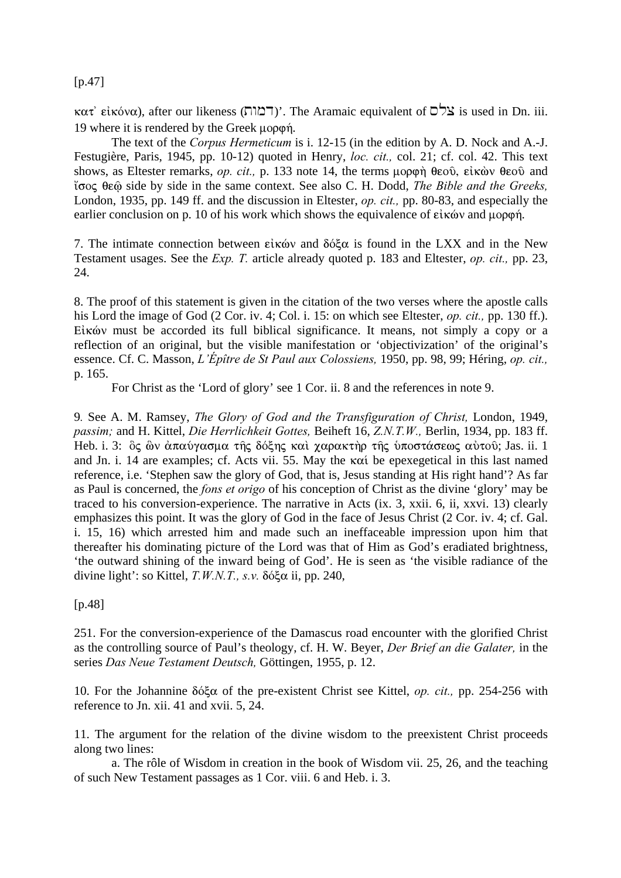#### $[p.47]$

 $\kappa \alpha \tau$ ' ei $\kappa \omega \alpha$ ), after our likeness (דמוה)'. The Aramaic equivalent of  $\sigma$ צלס is used in Dn. iii. 19 where it is rendered by the Greek  $\mu$ op $\varphi$ *n*.

The text of the *Corpus Hermeticum* is i. 12-15 (in the edition by A. D. Nock and A.-J. Festugière, Paris, 1945, pp. 10-12) quoted in Henry, *loc. cit.,* col. 21; cf. col. 42. This text shows, as Eltester remarks, *op. cit.*, p. 133 note 14, the terms  $\mu$ opon  $\theta$ eoô,  $\epsilon$ ik $\dot{\omega}$   $\theta$ eoô and ‡soj qeù side by side in the same context. See also C. H. Dodd, *The Bible and the Greeks,* London, 1935, pp. 149 ff. and the discussion in Eltester, *op. cit.,* pp. 80-83, and especially the earlier conclusion on p. 10 of his work which shows the equivalence of  $\epsilon\hat{i}$  x and  $\mu$  $\rho\rho\varphi\hat{n}$ .

7. The intimate connection between  $\epsilon \in \kappa$  and  $\delta \delta \xi \alpha$  is found in the LXX and in the New Testament usages. See the *Exp. T.* article already quoted p. 183 and Eltester, *op. cit.,* pp. 23, 24.

8. The proof of this statement is given in the citation of the two verses where the apostle calls his Lord the image of God (2 Cor. iv. 4; Col. i. 15: on which see Eltester, *op. cit.,* pp. 130 ff.).  $E$ *i* kóv must be accorded its full biblical significance. It means, not simply a copy or a reflection of an original, but the visible manifestation or 'objectivization' of the original's essence. Cf. C. Masson, *L'Épître de St Paul aux Colossiens,* 1950, pp. 98, 99; Héring, *op. cit.,* p. 165.

For Christ as the 'Lord of glory' see 1 Cor. ii. 8 and the references in note 9.

9*.* See A. M. Ramsey, *The Glory of God and the Transfiguration of Christ,* London, 1949, *passim;* and H. Kittel, *Die Herrlichkeit Gottes,* Beiheft 16, *Z.N.T.W.,* Berlin, 1934, pp. 183 ff. Heb. i. 3:  $\delta$ ς  $\delta$ ν άπαύγασμα της δόξης και χαρακτήρ της υποστάσεως αύτου; Jas. ii. 1 and Jn. i. 14 are examples; cf. Acts vii. 55. May the  $\kappa \alpha i$  be epexegetical in this last named reference, i.e. 'Stephen saw the glory of God, that is, Jesus standing at His right hand'? As far as Paul is concerned, the *fons et origo* of his conception of Christ as the divine 'glory' may be traced to his conversion-experience. The narrative in Acts (ix. 3, xxii. 6, ii, xxvi. 13) clearly emphasizes this point. It was the glory of God in the face of Jesus Christ (2 Cor. iv. 4; cf. Gal. i. 15, 16) which arrested him and made such an ineffaceable impression upon him that thereafter his dominating picture of the Lord was that of Him as God's eradiated brightness, 'the outward shining of the inward being of God'. He is seen as 'the visible radiance of the divine light': so Kittel,  $T.W.N.T., s.v.$   $\delta \delta \xi \alpha$  ii, pp. 240,

[p.48]

251. For the conversion-experience of the Damascus road encounter with the glorified Christ as the controlling source of Paul's theology, cf. H. W. Beyer, *Der Brief an die Galater,* in the series *Das Neue Testament Deutsch,* Göttingen, 1955, p. 12.

10. For the Johannine dÒxa of the pre-existent Christ see Kittel, *op. cit.,* pp. 254-256 with reference to Jn. xii. 41 and xvii. 5, 24.

11. The argument for the relation of the divine wisdom to the preexistent Christ proceeds along two lines:

a. The rôle of Wisdom in creation in the book of Wisdom vii. 25, 26, and the teaching of such New Testament passages as 1 Cor. viii. 6 and Heb. i. 3.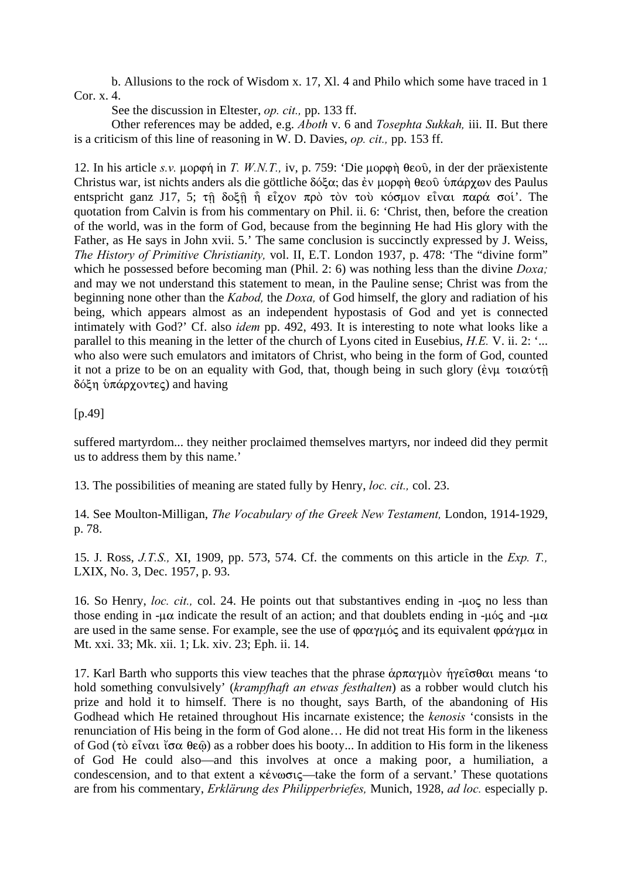b. Allusions to the rock of Wisdom x. 17, Xl. 4 and Philo which some have traced in 1 Cor. x. 4.

See the discussion in Eltester, *op. cit.,* pp. 133 ff.

Other references may be added, e.g. *Aboth* v. 6 and *Tosephta Sukkah,* iii. II. But there is a criticism of this line of reasoning in W. D. Davies, *op. cit.,* pp. 153 ff.

12. In his article *s.v.* μορφή in *T. W.N.T.*, *iv, p.* 759: 'Die μορφή θεού, in der der präexistente Christus war, ist nichts anders als die göttliche  $\delta\acute{o}\xi\alpha$ ; das ἐν μορφή θεοῦ ὑπάρχων des Paulus entspricht ganz J17, 5;  $\tau$  $\hat{\eta}$  δοξ $\hat{\eta}$   $\hat{\eta}$  είχον πρὸ τὸν τοὺ κόσμον είναι παρά σοί'. The quotation from Calvin is from his commentary on Phil. ii. 6: 'Christ, then, before the creation of the world, was in the form of God, because from the beginning He had His glory with the Father, as He says in John xvii. 5.' The same conclusion is succinctly expressed by J. Weiss, *The History of Primitive Christianity,* vol. II, E.T. London 1937, p. 478: 'The "divine form" which he possessed before becoming man (Phil. 2: 6) was nothing less than the divine *Doxa;* and may we not understand this statement to mean, in the Pauline sense; Christ was from the beginning none other than the *Kabod,* the *Doxa,* of God himself, the glory and radiation of his being, which appears almost as an independent hypostasis of God and yet is connected intimately with God?' Cf. also *idem* pp. 492, 493. It is interesting to note what looks like a parallel to this meaning in the letter of the church of Lyons cited in Eusebius, *H.E.* V. ii. 2: '... who also were such emulators and imitators of Christ, who being in the form of God, counted it not a prize to be on an equality with God, that, though being in such glory ( $\epsilon v\mu \tau o\alpha\omega\tau\hat{\eta}$ )  $δ$ όξη ὑπάργοντες) and having

[p.49]

suffered martyrdom... they neither proclaimed themselves martyrs, nor indeed did they permit us to address them by this name.'

13. The possibilities of meaning are stated fully by Henry, *loc. cit.,* col. 23.

14. See Moulton-Milligan, *The Vocabulary of the Greek New Testament,* London, 1914-1929, p. 78.

15. J. Ross, *J.T.S.,* XI, 1909, pp. 573, 574. Cf. the comments on this article in the *Exp. T.,* LXIX, No. 3, Dec. 1957, p. 93.

16. So Henry, *loc. cit.*, col. 24. He points out that substantives ending in -uoc no less than those ending in - $\mu\alpha$  indicate the result of an action; and that doublets ending in - $\mu\acute{o}c$  and - $\mu\alpha$ are used in the same sense. For example, see the use of  $\phi \rho \alpha \gamma \mu \dot{\alpha}$  and its equivalent  $\phi \rho \dot{\alpha} \gamma \mu \alpha$  in Mt. xxi. 33; Mk. xii. 1; Lk. xiv. 23; Eph. ii. 14.

17. Karl Barth who supports this view teaches that the phrase  $\alpha p \pi \alpha \gamma \mu \delta v$  means 'to  $\eta$ hold something convulsively' (*krampfhaft an etwas festhalten*) as a robber would clutch his prize and hold it to himself. There is no thought, says Barth, of the abandoning of His Godhead which He retained throughout His incarnate existence; the *kenosis* 'consists in the renunciation of His being in the form of God alone… He did not treat His form in the likeness of God ( $\tau$ )  $\tilde{\sigma}$   $\alpha$   $\tilde{\sigma}$   $\alpha$   $\tilde{\sigma}$  $\alpha$   $\tilde{\sigma}$  $\alpha$   $\tilde{\sigma}$  $\alpha$   $\tilde{\sigma}$  $\alpha$   $\tilde{\sigma}$   $\alpha$   $\tilde{\sigma}$   $\alpha$   $\tilde{\sigma}$   $\alpha$   $\tilde{\sigma}$   $\alpha$   $\tilde{\sigma}$   $\alpha$   $\tilde{\sigma}$   $\alpha$   $\tilde{\sigma}$   $\alpha$   $\tilde{\sigma}$   $\alpha$   $\tilde{\sigma}$   $\alpha$  of God He could also—and this involves at once a making poor, a humiliation, a condescension, and to that extent a  $\kappa \acute{\epsilon}$  vootc—take the form of a servant.' These quotations are from his commentary, *Erklärung des Philipperbriefes,* Munich, 1928, *ad loc.* especially p.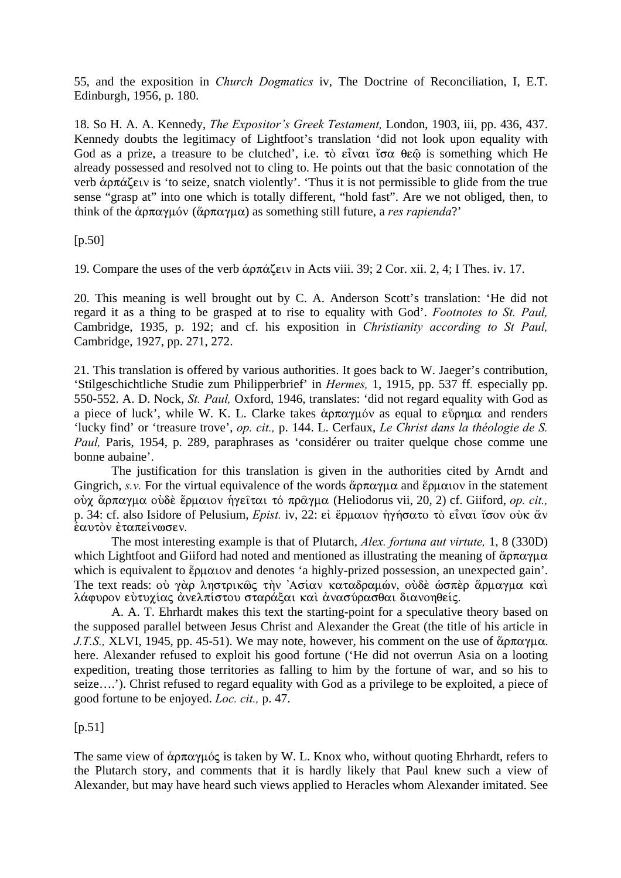55, and the exposition in *Church Dogmatics* iv, The Doctrine of Reconciliation, I, E.T. Edinburgh, 1956, p. 180.

18. So H. A. A. Kennedy, *The Expositor's Greek Testament,* London, 1903, iii, pp. 436, 437. Kennedy doubts the legitimacy of Lightfoot's translation 'did not look upon equality with God as a prize, a treasure to be clutched', i.e.  $\tau\delta$   $\epsilon\tilde{i}v\alpha$   $\tilde{i}\sigma\alpha$   $\theta\epsilon\hat{\omega}$  is something which He already possessed and resolved not to cling to. He points out that the basic connotation of the verb  $\alpha \in \alpha$  is 'to seize, snatch violently'. 'Thus it is not permissible to glide from the true sense "grasp at" into one which is totally different, "hold fast". Are we not obliged, then, to think of the  $\alpha p \pi \alpha \gamma \mu \omega$  ( $\alpha p \pi \alpha \gamma \mu \alpha$ ) as something still future, a *res rapienda*?'

[p.50]

19. Compare the uses of the verb  $\alpha \pi \alpha \xi \in V$  in Acts viii. 39; 2 Cor. xii. 2, 4; I Thes. iv. 17.

20. This meaning is well brought out by C. A. Anderson Scott's translation: 'He did not regard it as a thing to be grasped at to rise to equality with God'. *Footnotes to St. Paul,* Cambridge, 1935, p. 192; and cf. his exposition in *Christianity according to St Paul,* Cambridge, 1927, pp. 271, 272.

21. This translation is offered by various authorities. It goes back to W. Jaeger's contribution, 'Stilgeschichtliche Studie zum Philipperbrief' in *Hermes,* 1, 1915, pp. 537 ff*.* especially pp. 550-552. A. D. Nock, *St. Paul,* Oxford, 1946, translates: 'did not regard equality with God as a piece of luck', while W. K. L. Clarke takes  $\stackrel{\sim}{\alpha}$   $\frac{\sim}{\alpha}$  and to  $\stackrel{\sim}{\alpha}$  and renders 'lucky find' or 'treasure trove', *op. cit.,* p. 144. L. Cerfaux, *Le Christ dans la théologie de S. Paul*, Paris, 1954, p. 289, paraphrases as 'considérer ou traiter quelque chose comme une bonne aubaine'.

The justification for this translation is given in the authorities cited by Arndt and Gingrich, *s.v.* For the virtual equivalence of the words  $\&\rho \pi \alpha \gamma \mu \alpha$  and  $\&\rho \mu \alpha$  is the statement oύχ ἄρπαγμα οὐδε ἕρμαιον ἡγεῖται τό πρᾶγμα (Heliodorus vii, 20, 2) cf. Giiford, *op. cit.*, p. 34: cf. also Isidore of Pelusium, *Epist.* iv, 22: εί ἕρμαιον ήγήσατο τὸ εἶναι ἴσον οὐκ ἄν  $\bar{\epsilon}$ αυτόν έταπείνωσεν.

The most interesting example is that of Plutarch, *Alex. fortuna aut virtute,* 1, 8 (330D) which Lightfoot and Giiford had noted and mentioned as illustrating the meaning of  $\alpha p \pi \alpha \gamma \mu \alpha$ which is equivalent to  $\epsilon_{\text{p}}$  and denotes 'a highly-prized possession, an unexpected gain'. The text reads: ού γάρ ληστρικῶς την 'Ασίαν καταδραμών, ούδε ωσπερ ἄρμαγμα και λάφυρον εὐτυχίας ἀνελπίστου σταράξαι και ἀνασύρασθαι διανοηθείς.

A. A. T. Ehrhardt makes this text the starting-point for a speculative theory based on the supposed parallel between Jesus Christ and Alexander the Great (the title of his article in *J.T.S., XLVI, 1945, pp. 45-51).* We may note, however, his comment on the use of  $\alpha$  $\alpha$  $\gamma$  $\mu\alpha$ . here. Alexander refused to exploit his good fortune ('He did not overrun Asia on a looting expedition, treating those territories as falling to him by the fortune of war, and so his to seize….'). Christ refused to regard equality with God as a privilege to be exploited, a piece of good fortune to be enjoyed. *Loc. cit.,* p. 47.

 $[p.51]$ 

The same view of  $\alpha p \pi \alpha \gamma \mu \gamma$  is taken by W. L. Knox who, without quoting Ehrhardt, refers to the Plutarch story, and comments that it is hardly likely that Paul knew such a view of Alexander, but may have heard such views applied to Heracles whom Alexander imitated. See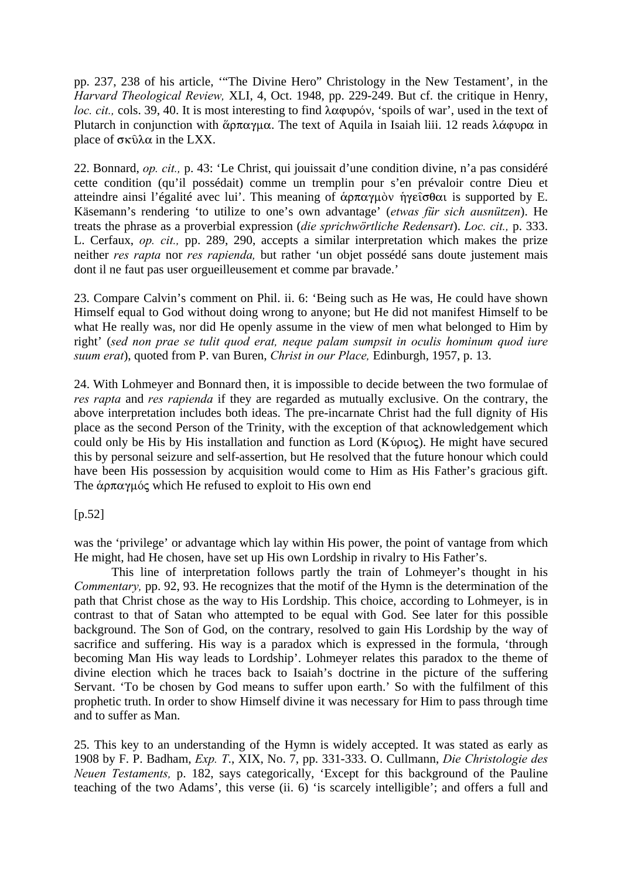pp. 237, 238 of his article, '"The Divine Hero" Christology in the New Testament', in the *Harvard Theological Review,* XLI, 4, Oct. 1948, pp. 229-249. But cf. the critique in Henry, *loc. cit., cols.* 39, 40. It is most interesting to find  $\lambda \alpha \varphi \nu \varphi \varphi \nu$ , 'spoils of war', used in the text of Plutarch in conjunction with  $\&\rho\pi\alpha\gamma\mu\alpha$ . The text of Aquila in Isaiah liii. 12 reads  $\lambda\alpha\phi\nu\rho\alpha$  in place of  $\sigma \kappa \hat{\nu} \lambda \alpha$  in the LXX.

22. Bonnard, *op. cit.,* p. 43: 'Le Christ, qui jouissait d'une condition divine, n'a pas considéré cette condition (qu'il possédait) comme un tremplin pour s'en prévaloir contre Dieu et atteindre ainsi l'égalité avec lui'. This meaning of  $\dot{\alpha}$ p $\pi\alpha\gamma\mu\dot{\alpha}$   $\gamma\gamma\epsilon\hat{\sigma}\theta\alpha\alpha$  is supported by E. Käsemann's rendering 'to utilize to one's own advantage' (*etwas für sich ausnützen*). He treats the phrase as a proverbial expression (*die sprichwörtliche Redensart*). *Loc. cit.,* p. 333. L. Cerfaux, *op. cit.,* pp. 289, 290, accepts a similar interpretation which makes the prize neither *res rapta* nor *res rapienda,* but rather 'un objet possédé sans doute justement mais dont il ne faut pas user orgueilleusement et comme par bravade.'

23. Compare Calvin's comment on Phil. ii. 6: 'Being such as He was, He could have shown Himself equal to God without doing wrong to anyone; but He did not manifest Himself to be what He really was, nor did He openly assume in the view of men what belonged to Him by right' (*sed non prae se tulit quod erat, neque palam sumpsit in oculis hominum quod iure suum erat*), quoted from P. van Buren, *Christ in our Place,* Edinburgh, 1957, p. 13.

24. With Lohmeyer and Bonnard then, it is impossible to decide between the two formulae of *res rapta* and *res rapienda* if they are regarded as mutually exclusive. On the contrary, the above interpretation includes both ideas. The pre-incarnate Christ had the full dignity of His place as the second Person of the Trinity, with the exception of that acknowledgement which could only be His by His installation and function as Lord ( $K$ ύριος). He might have secured this by personal seizure and self-assertion, but He resolved that the future honour which could have been His possession by acquisition would come to Him as His Father's gracious gift. The  $\alpha$  $\alpha$  $\gamma$  $\mu$  $\alpha$  which He refused to exploit to His own end

[p.52]

was the 'privilege' or advantage which lay within His power, the point of vantage from which He might, had He chosen, have set up His own Lordship in rivalry to His Father's.

This line of interpretation follows partly the train of Lohmeyer's thought in his *Commentary,* pp. 92, 93. He recognizes that the motif of the Hymn is the determination of the path that Christ chose as the way to His Lordship. This choice, according to Lohmeyer, is in contrast to that of Satan who attempted to be equal with God. See later for this possible background. The Son of God, on the contrary, resolved to gain His Lordship by the way of sacrifice and suffering. His way is a paradox which is expressed in the formula, 'through becoming Man His way leads to Lordship'. Lohmeyer relates this paradox to the theme of divine election which he traces back to Isaiah's doctrine in the picture of the suffering Servant. 'To be chosen by God means to suffer upon earth.' So with the fulfilment of this prophetic truth. In order to show Himself divine it was necessary for Him to pass through time and to suffer as Man.

25. This key to an understanding of the Hymn is widely accepted. It was stated as early as 1908 by F. P. Badham, *Exp. T*., XIX, No. 7, pp. 331-333. O. Cullmann, *Die Christologie des Neuen Testaments,* p. 182, says categorically, 'Except for this background of the Pauline teaching of the two Adams', this verse (ii. 6) 'is scarcely intelligible'; and offers a full and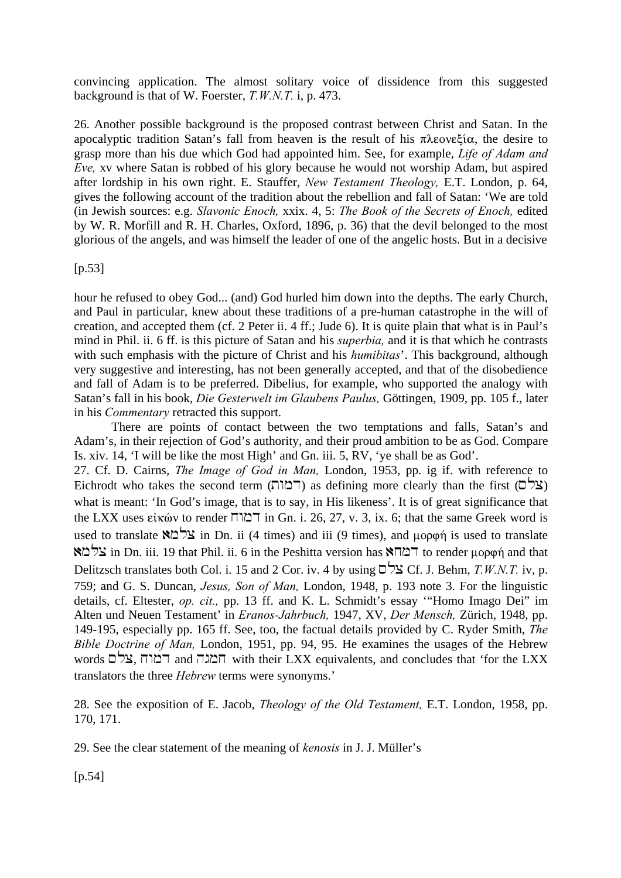convincing application. The almost solitary voice of dissidence from this suggested background is that of W. Foerster, *T.W.N.T.* i, p. 473.

26. Another possible background is the proposed contrast between Christ and Satan. In the apocalyptic tradition Satan's fall from heaven is the result of his  $\pi\lambda\epsilon\text{ove} \xi\text{i}\alpha$ , the desire to grasp more than his due which God had appointed him. See, for example, *Life of Adam and Eve,* xv where Satan is robbed of his glory because he would not worship Adam, but aspired after lordship in his own right. E. Stauffer, *New Testament Theology,* E.T. London, p. 64, gives the following account of the tradition about the rebellion and fall of Satan: 'We are told (in Jewish sources: e.g. *Slavonic Enoch,* xxix. 4, 5: *The Book of the Secrets of Enoch,* edited by W. R. Morfill and R. H. Charles, Oxford, 1896, p. 36) that the devil belonged to the most glorious of the angels, and was himself the leader of one of the angelic hosts. But in a decisive

 $[p.53]$ 

hour he refused to obey God... (and) God hurled him down into the depths. The early Church, and Paul in particular, knew about these traditions of a pre-human catastrophe in the will of creation, and accepted them (cf. 2 Peter ii. 4 ff.; Jude 6). It is quite plain that what is in Paul's mind in Phil. ii. 6 ff. is this picture of Satan and his *superbia,* and it is that which he contrasts with such emphasis with the picture of Christ and his *humibitas*'. This background, although very suggestive and interesting, has not been generally accepted, and that of the disobedience and fall of Adam is to be preferred. Dibelius, for example, who supported the analogy with Satan's fall in his book, *Die Gesterwelt im Glaubens Paulus,* Göttingen, 1909, pp. 105 f., later in his *Commentary* retracted this support.

There are points of contact between the two temptations and falls, Satan's and Adam's, in their rejection of God's authority, and their proud ambition to be as God. Compare Is. xiv. 14, 'I will be like the most High' and Gn. iii. 5, RV, 'ye shall be as God'. 27. Cf. D. Cairns, *The Image of God in Man,* London, 1953, pp. ig if. with reference to Eichrodt who takes the second term ( $\Gamma$ ( $\Gamma$ ור) as defining more clearly than the first ( $\Gamma$ ( $\Gamma$ ) what is meant: 'In God's image, that is to say, in His likeness'. It is of great significance that the LXX uses  $\epsilon\$ ik $\omega$  to render  $\Box\Box\Box$  in Gn. i. 26, 27, v. 3, ix. 6; that the same Greek word is used to translate  $\mathbb{R} \rightharpoonup \mathbb{Z}$  in Dn. ii (4 times) and iii (9 times), and  $\mu$ op $\varphi$  $\eta$  is used to translate  $\forall x \in \mathbb{R}$  in Dn. iii. 19 that Phil. ii. 6 in the Peshitta version has  $\forall x \in \mathbb{R}$  to render  $\mu$ opon and that Delitzsch translates both Col. i. 15 and 2 Cor. iv. 4 by using  $\sum \sum$  Cf. J. Behm, *T.W.N.T.* iv, p. 759; and G. S. Duncan, *Jesus, Son of Man,* London, 1948, p. 193 note 3. For the linguistic details, cf. Eltester, *op. cit.,* pp. 13 ff. and K. L. Schmidt's essay '"Homo Imago Dei" im Alten und Neuen Testament' in *Eranos-Jahrbuch,* 1947, XV, *Der Mensch,* Zürich, 1948, pp. 149-195, especially pp. 165 ff. See, too, the factual details provided by C. Ryder Smith, *The Bible Doctrine of Man,* London, 1951, pp. 94, 95. He examines the usages of the Hebrew words המגה and  $\Box$  and  $\Box$ מגה with their LXX equivalents, and concludes that 'for the LXX translators the three *Hebrew* terms were synonyms.'

28. See the exposition of E. Jacob, *Theology of the Old Testament,* E.T. London, 1958, pp. 170, 171.

29. See the clear statement of the meaning of *kenosis* in J. J. Müller's

[p.54]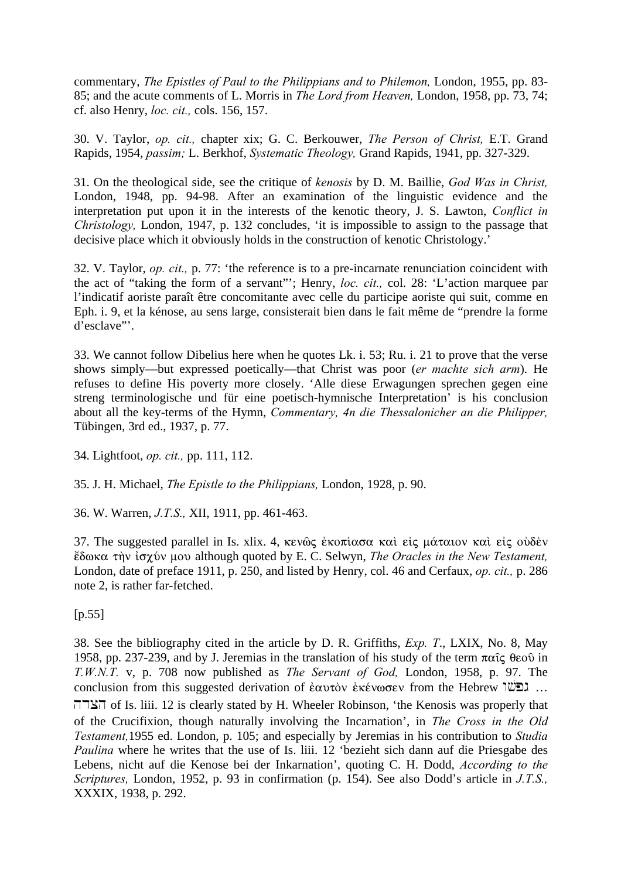commentary, *The Epistles of Paul to the Philippians and to Philemon,* London, 1955, pp. 83- 85; and the acute comments of L. Morris in *The Lord from Heaven,* London, 1958, pp. 73, 74; cf. also Henry, *loc. cit.,* cols. 156, 157.

30. V. Taylor, *op. cit.,* chapter xix; G. C. Berkouwer, *The Person of Christ,* E.T. Grand Rapids, 1954, *passim;* L. Berkhof, *Systematic Theology,* Grand Rapids, 1941, pp. 327-329.

31. On the theological side, see the critique of *kenosis* by D. M. Baillie, *God Was in Christ,* London, 1948, pp. 94-98. After an examination of the linguistic evidence and the interpretation put upon it in the interests of the kenotic theory, J. S. Lawton, *Conflict in Christology,* London, 1947, p. 132 concludes, 'it is impossible to assign to the passage that decisive place which it obviously holds in the construction of kenotic Christology.'

32. V. Taylor, *op. cit.,* p. 77: 'the reference is to a pre-incarnate renunciation coincident with the act of "taking the form of a servant"'; Henry, *loc. cit.,* col. 28: 'L'action marquee par l'indicatif aoriste paraît être concomitante avec celle du participe aoriste qui suit, comme en Eph. i. 9, et la kénose, au sens large, consisterait bien dans le fait même de "prendre la forme d'esclave"'.

33. We cannot follow Dibelius here when he quotes Lk. i. 53; Ru. i. 21 to prove that the verse shows simply—but expressed poetically—that Christ was poor (*er machte sich arm*). He refuses to define His poverty more closely. 'Alle diese Erwagungen sprechen gegen eine streng terminologische und für eine poetisch-hymnische Interpretation' is his conclusion about all the key-terms of the Hymn, *Commentary, 4n die Thessalonicher an die Philipper,* Tübingen, 3rd ed., 1937, p. 77.

34. Lightfoot, *op. cit.,* pp. 111, 112.

35. J. H. Michael, *The Epistle to the Philippians,* London, 1928, p. 90.

36. W. Warren, *J.T.S.,* XII, 1911, pp. 461-463.

37. The suggested parallel in Is. xlix. 4, κενῶς ἐκοπίασα καὶ εἰς μάταιον καὶ εἰς οὐδὲν œdwka t¾n "scÚn mou although quoted by E. C. Selwyn, *The Oracles in the New Testament,* London, date of preface 1911, p. 250, and listed by Henry, col. 46 and Cerfaux, *op. cit.,* p. 286 note 2, is rather far-fetched.

 $[p.55]$ 

38. See the bibliography cited in the article by D. R. Griffiths, *Exp. T*., LXIX, No. 8, May 1958, pp. 237-239, and by J. Jeremias in the translation of his study of the term  $\pi\alpha\hat{i}\varsigma$   $\theta\epsilon$ o $\hat{o}$  in *T.W.N.T.* v, p. 708 now published as *The Servant of God,* London, 1958, p. 97. The conclusion from this suggested derivation of ἐαυτὸν ἐκένωσεν from the Hebrew  $\mathbb{W}$ : … hdxh of Is. liii. 12 is clearly stated by H. Wheeler Robinson, 'the Kenosis was properly that of the Crucifixion, though naturally involving the Incarnation', in *The Cross in the Old Testament,*1955 ed. London, p. 105; and especially by Jeremias in his contribution to *Studia Paulina* where he writes that the use of Is. liii. 12 'bezieht sich dann auf die Priesgabe des Lebens, nicht auf die Kenose bei der Inkarnation', quoting C. H. Dodd, *According to the Scriptures,* London, 1952, p. 93 in confirmation (p. 154). See also Dodd's article in *J.T.S.,* XXXIX, 1938, p. 292.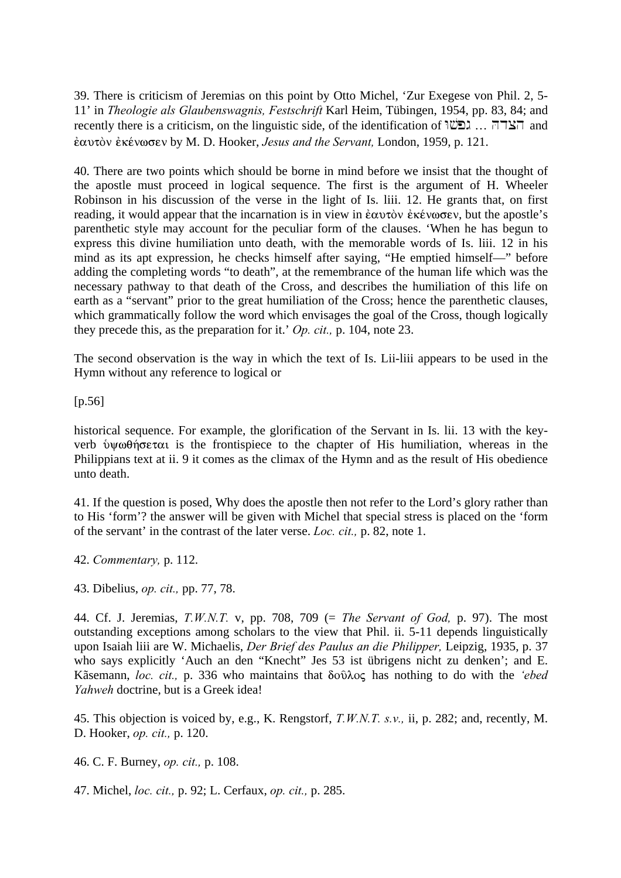39. There is criticism of Jeremias on this point by Otto Michel, 'Zur Exegese von Phil. 2, 5- 11' in *Theologie als Glaubenswagnis, Festschrift* Karl Heim, Tübingen, 1954, pp. 83, 84; and recently there is a criticism, on the linguistic side, of the identification of  $\mathbb{W}$ . Henrician and ™autÕn ™kšnwsen by M. D. Hooker, *Jesus and the Servant,* London, 1959, p. 121.

40. There are two points which should be borne in mind before we insist that the thought of the apostle must proceed in logical sequence. The first is the argument of H. Wheeler Robinson in his discussion of the verse in the light of Is. liii. 12. He grants that, on first reading, it would appear that the incarnation is in view in  $\epsilon \alpha v \tau \delta v \epsilon \kappa \epsilon v \omega \sigma \epsilon v$ , but the apostle's parenthetic style may account for the peculiar form of the clauses. 'When he has begun to express this divine humiliation unto death, with the memorable words of Is. liii. 12 in his mind as its apt expression, he checks himself after saying, "He emptied himself—" before adding the completing words "to death", at the remembrance of the human life which was the necessary pathway to that death of the Cross, and describes the humiliation of this life on earth as a "servant" prior to the great humiliation of the Cross; hence the parenthetic clauses, which grammatically follow the word which envisages the goal of the Cross, though logically they precede this, as the preparation for it.' *Op. cit.,* p. 104, note 23.

The second observation is the way in which the text of Is. Lii-liii appears to be used in the Hymn without any reference to logical or

[p.56]

historical sequence. For example, the glorification of the Servant in Is. lii. 13 with the keyverb  $\psi \omega \theta \eta \sigma \epsilon \tau \alpha$  is the frontispiece to the chapter of His humiliation, whereas in the Philippians text at ii. 9 it comes as the climax of the Hymn and as the result of His obedience unto death.

41. If the question is posed, Why does the apostle then not refer to the Lord's glory rather than to His 'form'? the answer will be given with Michel that special stress is placed on the 'form of the servant' in the contrast of the later verse. *Loc. cit.,* p. 82, note 1.

42. *Commentary,* p. 112.

43. Dibelius, *op. cit.,* pp. 77, 78.

44. Cf. J. Jeremias, *T.W.N.T.* v, pp. 708, 709 (= *The Servant of God,* p. 97). The most outstanding exceptions among scholars to the view that Phil. ii. 5-11 depends linguistically upon Isaiah liii are W. Michaelis, *Der Brief des Paulus an die Philipper,* Leipzig, 1935, p. 37 who says explicitly 'Auch an den "Knecht" Jes 53 ist übrigens nicht zu denken'; and E. Kãsemann, *loc. cit.*, p. 336 who maintains that δούλος has nothing to do with the *'ebed Yahweh* doctrine, but is a Greek idea!

45. This objection is voiced by, e.g., K. Rengstorf, *T.W.N.T. s.v.,* ii, p. 282; and, recently, M. D. Hooker, *op. cit.,* p. 120.

46. C. F. Burney, *op. cit.,* p. 108.

47. Michel, *loc. cit.,* p. 92; L. Cerfaux, *op. cit.,* p. 285.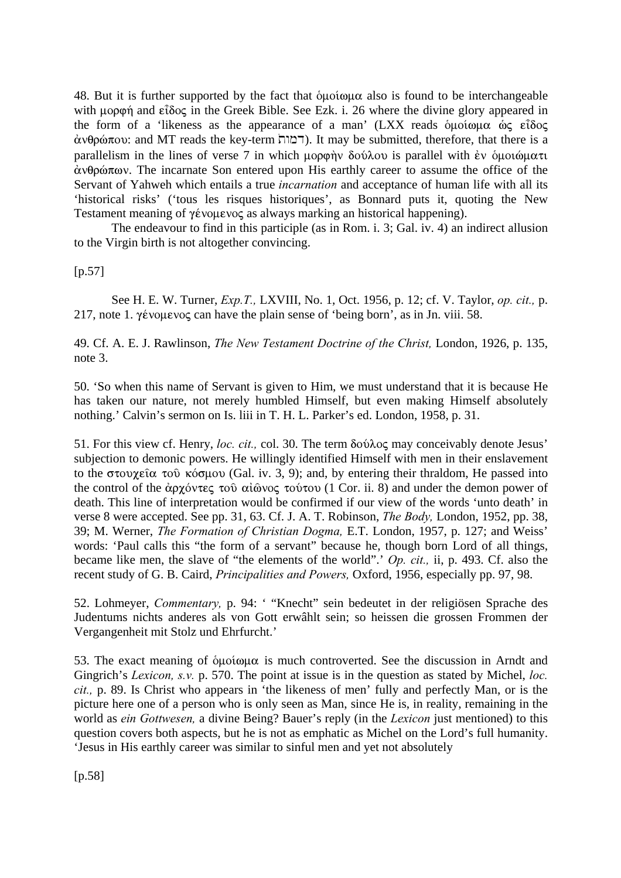48. But it is further supported by the fact that  $\delta\mu\sigma\omega\mu\alpha$  also is found to be interchangeable with  $\mu$ opon and  $\epsilon \hat{i}$ oc in the Greek Bible. See Ezk. i. 26 where the divine glory appeared in the form of a 'likeness as the appearance of a man' (LXX reads  $\delta \mu \acute{o}$  the  $\delta \zeta$   $\epsilon \hat{i}$   $\delta \circ \zeta$  $\dot{\alpha}$ (Γαιτίπ κεγ-term דמות). It may be submitted, therefore, that there is a parallelism in the lines of verse 7 in which  $\mu$ opon  $\delta$ oύλου is parallel with έν διμοιώματι  $\dot{\alpha}$ νθρώπων. The incarnate Son entered upon His earthly career to assume the office of the Servant of Yahweh which entails a true *incarnation* and acceptance of human life with all its 'historical risks' ('tous les risques historiques', as Bonnard puts it, quoting the New Testament meaning of  $\gamma \acute{\epsilon}$  you $\epsilon$  vocal as always marking an historical happening).

The endeavour to find in this participle (as in Rom. i. 3; Gal. iv. 4) an indirect allusion to the Virgin birth is not altogether convincing.

 $[p.57]$ 

See H. E. W. Turner, *Exp.T.,* LXVIII, No. 1, Oct. 1956, p. 12; cf. V. Taylor, *op. cit.,* p. 217, note 1.  $\gamma \acute{\text{\text{e}}}$  y  $\acute{\text{\text{e}}}$  can have the plain sense of 'being born', as in Jn. viii. 58.

49. Cf. A. E. J. Rawlinson, *The New Testament Doctrine of the Christ,* London, 1926, p. 135, note 3.

50. 'So when this name of Servant is given to Him, we must understand that it is because He has taken our nature, not merely humbled Himself, but even making Himself absolutely nothing.' Calvin's sermon on Is. liii in T. H. L. Parker's ed. London, 1958, p. 31.

51. For this view cf. Henry, *loc. cit.*, col. 30. The term δούλος may conceivably denote Jesus' subjection to demonic powers. He willingly identified Himself with men in their enslavement to the  $\sigma \tau$ ov $\chi \epsilon \hat{\alpha}$  to  $\hat{\beta}$  kÓsmou (Gal. iv. 3, 9); and, by entering their thraldom, He passed into the control of the  $\alpha$ <sub>p</sub>  $\gamma$  over  $\alpha$   $\alpha$   $\alpha$   $\alpha$   $\beta$   $\alpha$  to  $\alpha$  to  $\alpha$  (1 Cor. ii. 8) and under the demon power of death. This line of interpretation would be confirmed if our view of the words 'unto death' in verse 8 were accepted. See pp. 31, 63. Cf. J. A. T. Robinson, *The Body,* London, 1952, pp. 38, 39; M. Werner, *The Formation of Christian Dogma,* E.T. London, 1957, p. 127; and Weiss' words: 'Paul calls this "the form of a servant" because he, though born Lord of all things, became like men, the slave of "the elements of the world".' *Op. cit.,* ii, p. 493. Cf. also the recent study of G. B. Caird, *Principalities and Powers,* Oxford, 1956, especially pp. 97, 98.

52. Lohmeyer, *Commentary,* p. 94: ' "Knecht" sein bedeutet in der religiösen Sprache des Judentums nichts anderes als von Gott erwâhlt sein; so heissen die grossen Frommen der Vergangenheit mit Stolz und Ehrfurcht.'

53. The exact meaning of  $\delta\mu\delta\omega\mu\alpha$  is much controverted. See the discussion in Arndt and Gingrich's *Lexicon, s.v.* p. 570. The point at issue is in the question as stated by Michel, *loc. cit.,* p. 89. Is Christ who appears in 'the likeness of men' fully and perfectly Man, or is the picture here one of a person who is only seen as Man, since He is, in reality, remaining in the world as *ein Gottwesen,* a divine Being? Bauer's reply (in the *Lexicon* just mentioned) to this question covers both aspects, but he is not as emphatic as Michel on the Lord's full humanity. 'Jesus in His earthly career was similar to sinful men and yet not absolutely

[p.58]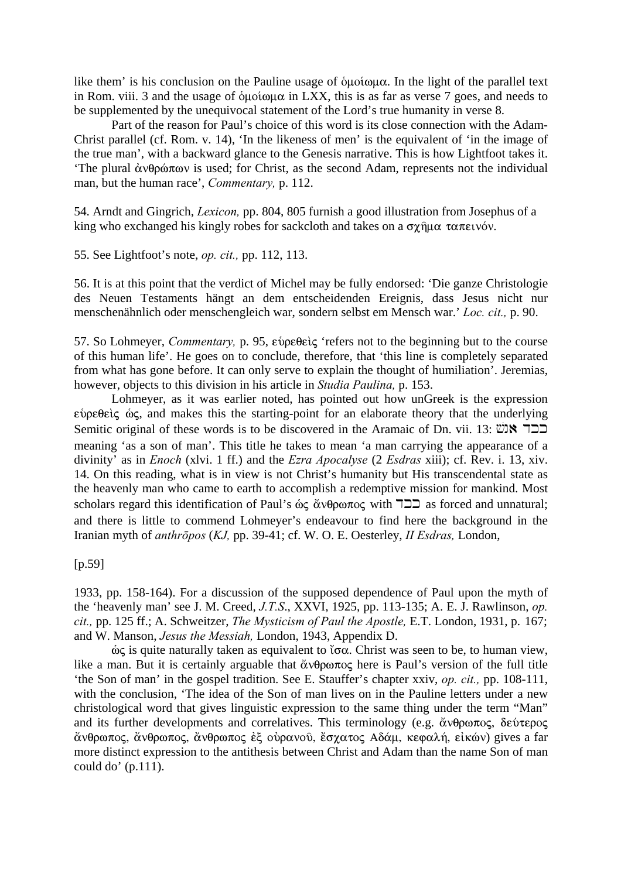like them' is his conclusion on the Pauline usage of  $\delta\mu\sigma\omega\mu\alpha$ . In the light of the parallel text in Rom. viii. 3 and the usage of  $\delta\mu\alpha\omega\mu\alpha$  in LXX, this is as far as verse 7 goes, and needs to be supplemented by the unequivocal statement of the Lord's true humanity in verse 8.

Part of the reason for Paul's choice of this word is its close connection with the Adam-Christ parallel (cf. Rom. v. 14), 'In the likeness of men' is the equivalent of 'in the image of the true man', with a backward glance to the Genesis narrative. This is how Lightfoot takes it. 'The plural  $\dot{\alpha}$ νθρώπων is used; for Christ, as the second Adam, represents not the individual man, but the human race', *Commentary,* p. 112.

54. Arndt and Gingrich, *Lexicon,* pp. 804, 805 furnish a good illustration from Josephus of a king who exchanged his kingly robes for sackcloth and takes on a  $\sigma \chi \hat{\eta} \mu \alpha \tau \alpha \pi \epsilon \nu \delta \nu$ .

55. See Lightfoot's note, *op. cit.,* pp. 112, 113.

56. It is at this point that the verdict of Michel may be fully endorsed: 'Die ganze Christologie des Neuen Testaments hängt an dem entscheidenden Ereignis, dass Jesus nicht nur menschenähnlich oder menschengleich war, sondern selbst em Mensch war.' *Loc. cit.,* p. 90.

57. So Lohmeyer, *Commentary*, p. 95, εύρεθεὶς 'refers not to the beginning but to the course of this human life'. He goes on to conclude, therefore, that 'this line is completely separated from what has gone before. It can only serve to explain the thought of humiliation'. Jeremias, however, objects to this division in his article in *Studia Paulina,* p. 153.

Lohmeyer, as it was earlier noted, has pointed out how unGreek is the expression  $\epsilon$ νοεθείς ώς, and makes this the starting-point for an elaborate theory that the underlying Semitic original of these words is to be discovered in the Aramaic of Dn. vii. 13: בר $\blacktriangleright$   $\blacktriangleright$ meaning 'as a son of man'. This title he takes to mean 'a man carrying the appearance of a divinity' as in *Enoch* (xlvi. 1 ff.) and the *Ezra Apocalyse* (2 *Esdras* xiii); cf. Rev. i. 13, xiv. 14. On this reading, what is in view is not Christ's humanity but His transcendental state as the heavenly man who came to earth to accomplish a redemptive mission for mankind. Most scholars regard this identification of Paul's æj ¥nqrwpoj with dkk as forced and unnatural; and there is little to commend Lohmeyer's endeavour to find here the background in the Iranian myth of *anthrōpos* (*KJ,* pp. 39-41; cf. W. O. E. Oesterley, *II Esdras,* London,

[p.59]

1933, pp. 158-164). For a discussion of the supposed dependence of Paul upon the myth of the 'heavenly man' see J. M. Creed, *J.T.S*., XXVI, 1925, pp. 113-135; A. E. J. Rawlinson, *op. cit.,* pp. 125 ff.; A. Schweitzer, *The Mysticism of Paul the Apostle,* E.T. London, 1931, p. 167; and W. Manson, *Jesus the Messiah,* London, 1943, Appendix D.

 $\dot{\omega}$ ς is quite naturally taken as equivalent to  $\check{\alpha}$  α. Christ was seen to be, to human view, like a man. But it is certainly arguable that  $\alpha \theta \rho \omega \pi \sigma \rho$  here is Paul's version of the full title 'the Son of man' in the gospel tradition. See E. Stauffer's chapter xxiv, *op. cit.,* pp. 108-111, with the conclusion, 'The idea of the Son of man lives on in the Pauline letters under a new christological word that gives linguistic expression to the same thing under the term "Man" and its further developments and correlatives. This terminology (e.g.  $\alpha \theta \rho \omega \pi o \varsigma$ ,  $\delta \epsilon \upsilon \tau \epsilon \rho o \varsigma$ άνθρωπος, άνθρωπος, άνθρωπος έξ ούρανοῦ, ἔσχατος Αδάμ, κεφαλή, εἰκών) gives a far more distinct expression to the antithesis between Christ and Adam than the name Son of man could do' (p.111).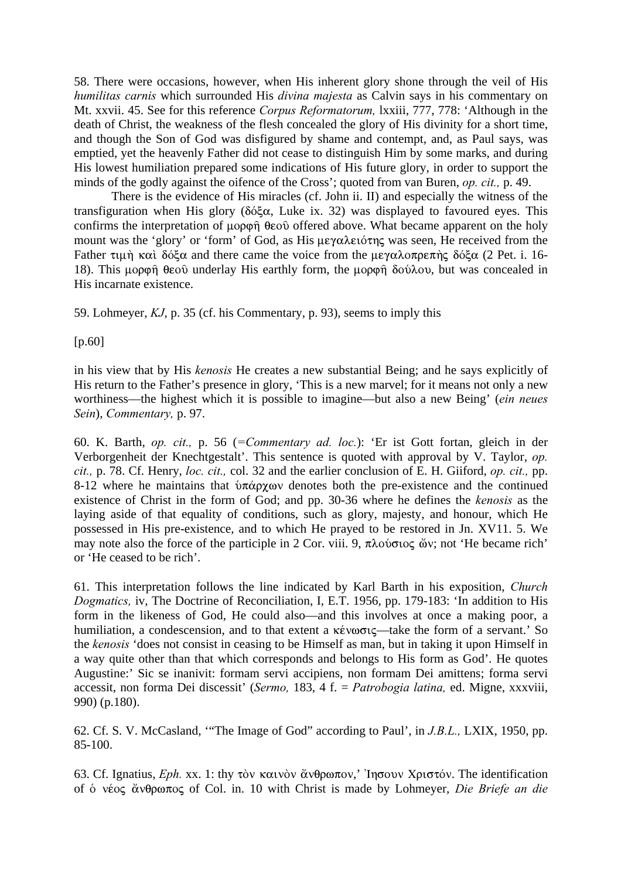58. There were occasions, however, when His inherent glory shone through the veil of His *humilitas carnis* which surrounded His *divina majesta* as Calvin says in his commentary on Mt. xxvii. 45. See for this reference *Corpus Reformatorum,* lxxiii, 777, 778: 'Although in the death of Christ, the weakness of the flesh concealed the glory of His divinity for a short time, and though the Son of God was disfigured by shame and contempt, and, as Paul says, was emptied, yet the heavenly Father did not cease to distinguish Him by some marks, and during His lowest humiliation prepared some indications of His future glory, in order to support the minds of the godly against the oifence of the Cross'; quoted from van Buren, *op. cit.,* p. 49.

There is the evidence of His miracles (cf. John ii. II) and especially the witness of the transfiguration when His glory ( $\delta\acute{\varphi}\alpha$ , Luke ix. 32) was displayed to favoured eyes. This confirms the interpretation of  $\mu$ op  $\hat{\theta}$  expanding above. What became apparent on the holy mount was the 'glory' or 'form' of God, as His  $\mu \epsilon \gamma \alpha \lambda \epsilon \omega$  was seen, He received from the Father  $\tau$ un  $\kappa \alpha$   $\delta$ όξα and there came the voice from the μεγαλοπρεπής δόξα (2 Pet. i. 16-18). This uppon  $\theta \in \partial \Omega$  underlay His earthly form, the uppon  $\delta \circ \theta \circ \lambda$  but was concealed in His incarnate existence.

59. Lohmeyer, *KJ*, p. 35 (cf. his Commentary, p. 93), seems to imply this

[p.60]

in his view that by His *kenosis* He creates a new substantial Being; and he says explicitly of His return to the Father's presence in glory, 'This is a new marvel; for it means not only a new worthiness—the highest which it is possible to imagine—but also a new Being' (*ein neues Sein*), *Commentary,* p. 97.

60. K. Barth, *op. cit.,* p. 56 (*=Commentary ad. loc.*): 'Er ist Gott fortan, gleich in der Verborgenheit der Knechtgestalt'. This sentence is quoted with approval by V. Taylor, *op. cit.,* p. 78. Cf. Henry, *loc. cit.,* col. 32 and the earlier conclusion of E. H. Giiford, *op. cit.,* pp. 8-12 where he maintains that  $\delta \pi \alpha \rho \chi \omega$  denotes both the pre-existence and the continued existence of Christ in the form of God; and pp. 30-36 where he defines the *kenosis* as the laying aside of that equality of conditions, such as glory, majesty, and honour, which He possessed in His pre-existence, and to which He prayed to be restored in Jn. XV11. 5. We may note also the force of the participle in 2 Cor. viii. 9,  $\pi\lambda$  oύσιος  $\check{\omega}$ ν; not 'He became rich' or 'He ceased to be rich'.

61. This interpretation follows the line indicated by Karl Barth in his exposition, *Church Dogmatics,* iv, The Doctrine of Reconciliation, I, E.T. 1956, pp. 179-183: 'In addition to His form in the likeness of God, He could also—and this involves at once a making poor, a humiliation, a condescension, and to that extent a  $\kappa \epsilon \nu \omega \sigma \iota \varsigma$ —take the form of a servant.' So the *kenosis* 'does not consist in ceasing to be Himself as man, but in taking it upon Himself in a way quite other than that which corresponds and belongs to His form as God'. He quotes Augustine:' Sic se inanivit: formam servi accipiens, non formam Dei amittens; forma servi accessit, non forma Dei discessit' (*Sermo,* 183, 4 f. = *Patrobogia latina,* ed. Migne, xxxviii, 990) (p.180).

62. Cf. S. V. McCasland, '"The Image of God" according to Paul', in *J.B.L.,* LXIX, 1950, pp. 85-100.

63. Cf. Ignatius, *Eph.* xx. 1: thy τὸν καινὸν ἄνθρωπον,' 'Ιησουν Χριστόν. The identification of ὁ νέος ἄνθρωπος of Col. in. 10 with Christ is made by Lohmeyer, *Die Briefe an die*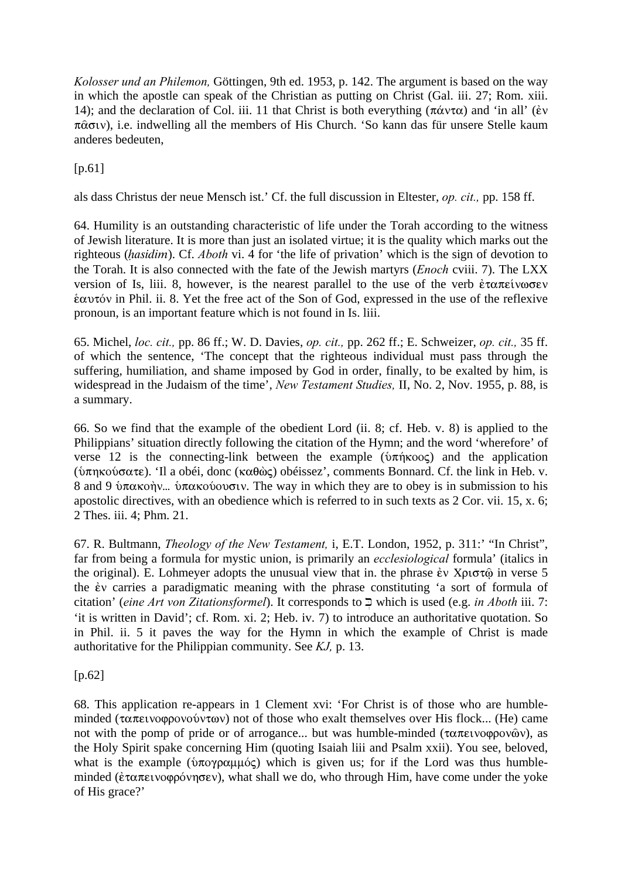*Kolosser und an Philemon,* Göttingen, 9th ed. 1953, p. 142. The argument is based on the way in which the apostle can speak of the Christian as putting on Christ (Gal. iii. 27; Rom. xiii. 14); and the declaration of Col. iii. 11 that Christ is both everything ( $\pi \alpha v \tau \alpha$ ) and 'in all' ( $\dot{\epsilon} v$  $\pi \hat{\alpha} \sigma \nu$ ), i.e. indwelling all the members of His Church. 'So kann das für unsere Stelle kaum anderes bedeuten,

 $[p.61]$ 

als dass Christus der neue Mensch ist.' Cf. the full discussion in Eltester, *op. cit.,* pp. 158 ff.

64. Humility is an outstanding characteristic of life under the Torah according to the witness of Jewish literature. It is more than just an isolated virtue; it is the quality which marks out the righteous (hasidim). Cf. *Aboth* vi. 4 for 'the life of privation' which is the sign of devotion to the Torah. It is also connected with the fate of the Jewish martyrs (*Enoch* cviii. 7). The LXX version of Is, liii. 8, however, is the nearest parallel to the use of the verb  $\dot{\epsilon} \tau \alpha \pi \epsilon i \nu \omega \sigma \epsilon \nu$  $\frac{\partial u}{\partial x}$  in Phil. ii. 8. Yet the free act of the Son of God, expressed in the use of the reflexive pronoun, is an important feature which is not found in Is. liii.

65. Michel, *loc. cit.,* pp. 86 ff.; W. D. Davies, *op. cit.,* pp. 262 ff.; E. Schweizer, *op. cit.,* 35 ff. of which the sentence, 'The concept that the righteous individual must pass through the suffering, humiliation, and shame imposed by God in order, finally, to be exalted by him, is widespread in the Judaism of the time', *New Testament Studies,* II, No. 2, Nov. 1955, p. 88, is a summary.

66. So we find that the example of the obedient Lord (ii. 8; cf. Heb. v. 8) is applied to the Philippians' situation directly following the citation of the Hymn; and the word 'wherefore' of verse 12 is the connecting-link between the example ( $\hat{v}\pi\hat{\eta}\kappa\omega\varsigma$ ) and the application (ύπηκούσατε). 'Il a obéi, donc (καθώς) obéissez', comments Bonnard. Cf. the link in Heb. v. 8 and 9 ύπακοήν... ύπακού τους The way in which they are to obey is in submission to his apostolic directives, with an obedience which is referred to in such texts as 2 Cor. vii. 15, x. 6; 2 Thes. iii. 4; Phm. 21.

67. R. Bultmann, *Theology of the New Testament,* i, E.T. London, 1952, p. 311:' "In Christ", far from being a formula for mystic union, is primarily an *ecclesiological* formula' (italics in the original). E. Lohmeyer adopts the unusual view that in. the phrase  $\dot{\epsilon}$  x  $X$  $\rho$  to  $\tau$  $\hat{\omega}$  in verse 5 the  $\dot{\epsilon}$  carries a paradigmatic meaning with the phrase constituting 'a sort of formula of citation' (*eine Art von Zitationsformel*). It corresponds to K] which is used (e.g. *in Aboth* iii. 7: 'it is written in David'; cf. Rom. xi. 2; Heb. iv. 7) to introduce an authoritative quotation. So in Phil. ii. 5 it paves the way for the Hymn in which the example of Christ is made authoritative for the Philippian community. See *KJ,* p. 13.

[p.62]

68. This application re-appears in 1 Clement xvi: 'For Christ is of those who are humbleminded ( $\tau \alpha \pi \epsilon \nu \varphi \varphi \varphi \nu \varphi \varphi \nu \varphi$ ) not of those who exalt themselves over His flock... (He) came not with the pomp of pride or of arrogance... but was humble-minded ( $\tau \alpha \pi \epsilon \nu \varphi \varphi \varphi \varphi \varphi \varphi$ ), as the Holy Spirit spake concerning Him (quoting Isaiah liii and Psalm xxii). You see, beloved, what is the example ( $\hat{v}$  $\pi$ o $\gamma$  $\rho$  $\alpha$  $\mu$  $\mu$  $\acute{\alpha}$ ) which is given us; for if the Lord was thus humbleminded ( $\epsilon \tau \alpha \pi \epsilon \nu \varphi \rho \varphi \nu$ ), what shall we do, who through Him, have come under the yoke of His grace?'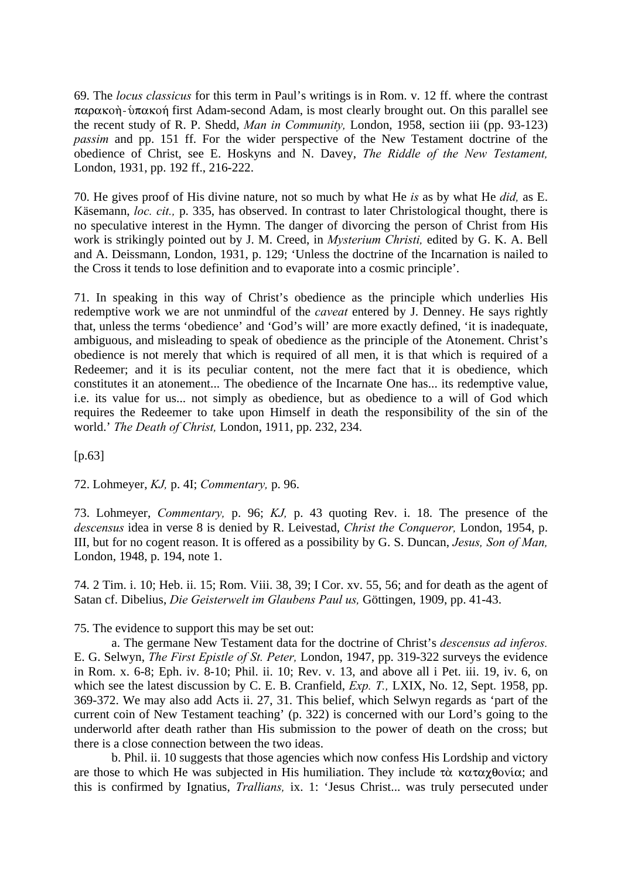69. The *locus classicus* for this term in Paul's writings is in Rom. v. 12 ff. where the contrast  $\pi\alpha\rho\alpha\kappa\omega\eta$ -ύ $\pi\alpha\kappa\omega\eta$  first Adam-second Adam, is most clearly brought out. On this parallel see the recent study of R. P. Shedd, *Man in Community,* London, 1958, section iii (pp. 93-123) *passim* and pp. 151 ff. For the wider perspective of the New Testament doctrine of the obedience of Christ, see E. Hoskyns and N. Davey, *The Riddle of the New Testament,* London, 1931, pp. 192 ff., 216-222.

70. He gives proof of His divine nature, not so much by what He *is* as by what He *did,* as E. Käsemann, *loc. cit.,* p. 335, has observed. In contrast to later Christological thought, there is no speculative interest in the Hymn. The danger of divorcing the person of Christ from His work is strikingly pointed out by J. M. Creed, in *Mysterium Christi,* edited by G. K. A. Bell and A. Deissmann, London, 1931, p. 129; 'Unless the doctrine of the Incarnation is nailed to the Cross it tends to lose definition and to evaporate into a cosmic principle'.

71. In speaking in this way of Christ's obedience as the principle which underlies His redemptive work we are not unmindful of the *caveat* entered by J. Denney. He says rightly that, unless the terms 'obedience' and 'God's will' are more exactly defined, 'it is inadequate, ambiguous, and misleading to speak of obedience as the principle of the Atonement. Christ's obedience is not merely that which is required of all men, it is that which is required of a Redeemer; and it is its peculiar content, not the mere fact that it is obedience, which constitutes it an atonement... The obedience of the Incarnate One has... its redemptive value, i.e. its value for us... not simply as obedience, but as obedience to a will of God which requires the Redeemer to take upon Himself in death the responsibility of the sin of the world.' *The Death of Christ,* London, 1911, pp. 232, 234.

[p.63]

72. Lohmeyer, *KJ,* p. 4I; *Commentary,* p. 96.

73. Lohmeyer, *Commentary,* p. 96; *KJ,* p. 43 quoting Rev. i. 18. The presence of the *descensus* idea in verse 8 is denied by R. Leivestad, *Christ the Conqueror,* London, 1954, p. III, but for no cogent reason. It is offered as a possibility by G. S. Duncan, *Jesus, Son of Man,* London, 1948, p. 194, note 1.

74. 2 Tim. i. 10; Heb. ii. 15; Rom. Viii. 38, 39; I Cor. xv. 55, 56; and for death as the agent of Satan cf. Dibelius, *Die Geisterwelt im Glaubens Paul us,* Göttingen, 1909, pp. 41-43.

75. The evidence to support this may be set out:

a. The germane New Testament data for the doctrine of Christ's *descensus ad inferos.* E. G. Selwyn, *The First Epistle of St. Peter,* London, 1947, pp. 319-322 surveys the evidence in Rom. x. 6-8; Eph. iv. 8-10; Phil. ii. 10; Rev. v. 13, and above all i Pet. iii. 19, iv. 6, on which see the latest discussion by C. E. B. Cranfield, *Exp. T.,* LXIX, No. 12, Sept. 1958, pp. 369-372. We may also add Acts ii. 27, 31. This belief, which Selwyn regards as 'part of the current coin of New Testament teaching' (p. 322) is concerned with our Lord's going to the underworld after death rather than His submission to the power of death on the cross; but there is a close connection between the two ideas.

b. Phil. ii. 10 suggests that those agencies which now confess His Lordship and victory are those to which He was subjected in His humiliation. They include  $\tau\dot{\alpha}$  καταχθονία; and this is confirmed by Ignatius, *Trallians,* ix. 1: 'Jesus Christ... was truly persecuted under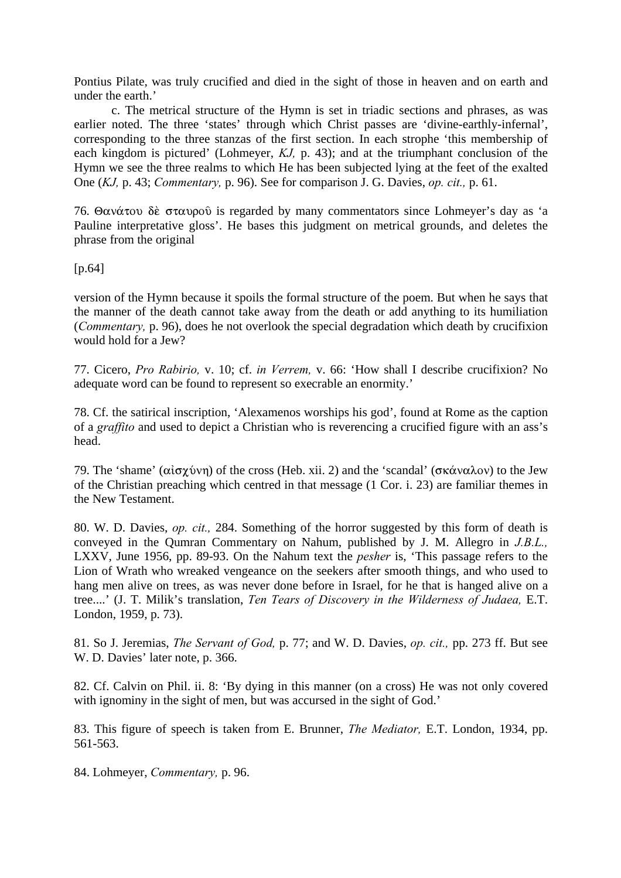Pontius Pilate, was truly crucified and died in the sight of those in heaven and on earth and under the earth.'

c. The metrical structure of the Hymn is set in triadic sections and phrases, as was earlier noted. The three 'states' through which Christ passes are 'divine-earthly-infernal', corresponding to the three stanzas of the first section. In each strophe 'this membership of each kingdom is pictured' (Lohmeyer, *KJ,* p. 43); and at the triumphant conclusion of the Hymn we see the three realms to which He has been subjected lying at the feet of the exalted One (*KJ,* p. 43; *Commentary,* p. 96). See for comparison J. G. Davies, *op. cit.,* p. 61.

76. Θανάτου δε σταυρού is regarded by many commentators since Lohmeyer's day as 'a Pauline interpretative gloss'. He bases this judgment on metrical grounds, and deletes the phrase from the original

[p.64]

version of the Hymn because it spoils the formal structure of the poem. But when he says that the manner of the death cannot take away from the death or add anything to its humiliation (*Commentary,* p. 96), does he not overlook the special degradation which death by crucifixion would hold for a Jew?

77. Cicero, *Pro Rabirio,* v. 10; cf. *in Verrem,* v. 66: 'How shall I describe crucifixion? No adequate word can be found to represent so execrable an enormity.'

78. Cf. the satirical inscription, 'Alexamenos worships his god', found at Rome as the caption of a *graffito* and used to depict a Christian who is reverencing a crucified figure with an ass's head.

79. The 'shame' ( $\alpha i \sigma \chi \acute{\nu}$ ) of the cross (Heb. xii. 2) and the 'scandal' ( $\sigma \kappa \acute{\alpha} \nu \alpha \lambda \sigma \nu$ ) to the Jew of the Christian preaching which centred in that message (1 Cor. i. 23) are familiar themes in the New Testament.

80. W. D. Davies, *op. cit.,* 284. Something of the horror suggested by this form of death is conveyed in the Qumran Commentary on Nahum, published by J. M. Allegro in *J.B.L.,* LXXV, June 1956, pp. 89-93. On the Nahum text the *pesher* is, 'This passage refers to the Lion of Wrath who wreaked vengeance on the seekers after smooth things, and who used to hang men alive on trees, as was never done before in Israel, for he that is hanged alive on a tree....' (J. T. Milik's translation, *Ten Tears of Discovery in the Wilderness of Judaea,* E.T. London, 1959, p. 73).

81. So J. Jeremias, *The Servant of God,* p. 77; and W. D. Davies, *op. cit.,* pp. 273 ff. But see W. D. Davies' later note, p. 366.

82. Cf. Calvin on Phil. ii. 8: 'By dying in this manner (on a cross) He was not only covered with ignominy in the sight of men, but was accursed in the sight of God.'

83. This figure of speech is taken from E. Brunner, *The Mediator,* E.T. London, 1934, pp. 561-563.

84. Lohmeyer, *Commentary,* p. 96.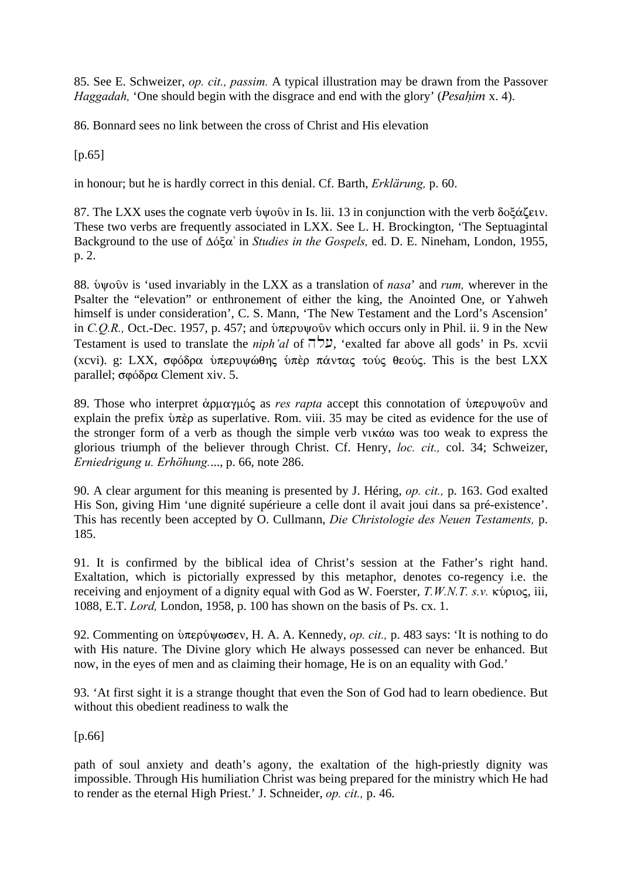85. See E. Schweizer, *op. cit., passim.* A typical illustration may be drawn from the Passover *Haggadah*, 'One should begin with the disgrace and end with the glory' (*Pesahim x. 4*).

86. Bonnard sees no link between the cross of Christ and His elevation

 $[p.65]$ 

in honour; but he is hardly correct in this denial. Cf. Barth, *Erklärung,* p. 60.

87. The LXX uses the cognate verb  $\delta \psi$  over in Is. lii. 13 in conjunction with the verb  $\delta o \xi \alpha \xi \epsilon \nu$ . These two verbs are frequently associated in LXX. See L. H. Brockington, 'The Septuagintal Background to the use of Δόξα' in *Studies in the Gospels*, ed. D. E. Nineham, London, 1955, p. 2.

88. Øyoàn is 'used invariably in the LXX as a translation of *nasa*' and *rum,* wherever in the Psalter the "elevation" or enthronement of either the king, the Anointed One, or Yahweh himself is under consideration', C. S. Mann, 'The New Testament and the Lord's Ascension' in *C.O.R.*, Oct.-Dec. 1957, p. 457; and *δ*περυψοδ*ν* which occurs only in Phil. ii. 9 in the New Testament is used to translate the *niph'al* of  $\vec{p}$ , 'exalted far above all gods' in Ps. xcvii (xcvi). g: LXX, σφόδρα ύπερυψώθης ύπερ πάντας τούς θεούς. This is the best LXX parallel; σφόδρα Clement xiv. 5.

89. Those who interpret άρμαγμός as *res rapta* accept this connotation of υπερυψούν and explain the prefix  $\delta \vec{\pi}$  as superlative. Rom. viii. 35 may be cited as evidence for the use of the stronger form of a verb as though the simple verb  $\nu$ <sub>K</sub>  $\alpha$  was too weak to express the glorious triumph of the believer through Christ. Cf. Henry, *loc. cit.,* col. 34; Schweizer, *Erniedrigung u. Erhöhung.*..., p. 66, note 286.

90. A clear argument for this meaning is presented by J. Héring, *op. cit.,* p. 163. God exalted His Son, giving Him 'une dignité supérieure a celle dont il avait joui dans sa pré-existence'. This has recently been accepted by O. Cullmann, *Die Christologie des Neuen Testaments,* p. 185.

91. It is confirmed by the biblical idea of Christ's session at the Father's right hand. Exaltation, which is pictorially expressed by this metaphor, denotes co-regency i.e. the receiving and enjoyment of a dignity equal with God as W. Foerster, *T.W.N.T. s.ν.* κύριος, iii, 1088, E.T. *Lord,* London, 1958, p. 100 has shown on the basis of Ps. cx. 1.

92. Commenting on *υπερύψωσεν*, H. A. A. Kennedy, *op. cit.*, *p.* 483 says: 'It is nothing to do with His nature. The Divine glory which He always possessed can never be enhanced. But now, in the eyes of men and as claiming their homage, He is on an equality with God.'

93. 'At first sight it is a strange thought that even the Son of God had to learn obedience. But without this obedient readiness to walk the

[p.66]

path of soul anxiety and death's agony, the exaltation of the high-priestly dignity was impossible. Through His humiliation Christ was being prepared for the ministry which He had to render as the eternal High Priest.' J. Schneider, *op. cit.,* p. 46.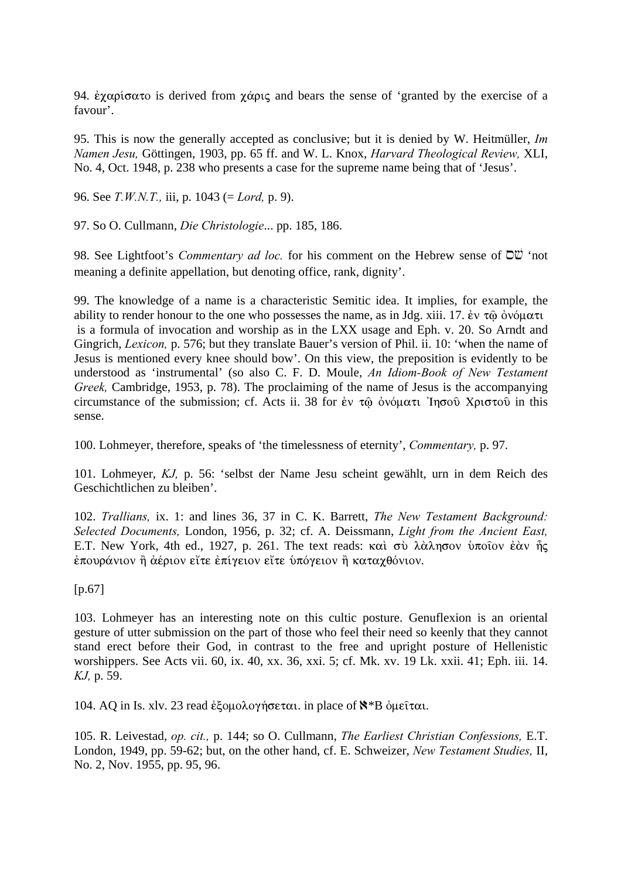94.  $\epsilon \chi \alpha \rho i \sigma \alpha \tau$  is derived from  $\chi \alpha \rho i \varsigma$  and bears the sense of 'granted by the exercise of a favour'.

95. This is now the generally accepted as conclusive; but it is denied by W. Heitmüller, *Im Namen Jesu,* Göttingen, 1903, pp. 65 ff. and W. L. Knox, *Harvard Theological Review,* XLI, No. 4, Oct. 1948, p. 238 who presents a case for the supreme name being that of 'Jesus'.

96. See *T.W.N.T.,* iii, p. 1043 (= *Lord,* p. 9).

97. So O. Cullmann, *Die Christologie*... pp. 185, 186.

98. See Lightfoot's *Commentary ad loc.* for his comment on the Hebrew sense of  $\overrightarrow{O}$  'not meaning a definite appellation, but denoting office, rank, dignity'.

99. The knowledge of a name is a characteristic Semitic idea. It implies, for example, the ability to render honour to the one who possesses the name, as in Jdg. xiii. 17.  $\dot{\epsilon}v \tau \hat{\omega} \dot{\omega} \dot{\omega} \mu \alpha \tau \dot{\omega}$ is a formula of invocation and worship as in the LXX usage and Eph. v. 20. So Arndt and Gingrich, *Lexicon,* p. 576; but they translate Bauer's version of Phil. ii. 10: 'when the name of Jesus is mentioned every knee should bow'. On this view, the preposition is evidently to be understood as 'instrumental' (so also C. F. D. Moule, *An Idiom-Book of New Testament Greek,* Cambridge, 1953, p. 78). The proclaiming of the name of Jesus is the accompanying circumstance of the submission; cf. Acts ii. 38 for  $\epsilon v \tau \hat{\omega}$   $\phi \phi \varphi \alpha \tau \hat{\omega}$  'In $\sigma \varphi \hat{\omega}$  X $\rho \varphi \sigma \varphi \hat{\omega}$  in this sense.

100. Lohmeyer, therefore, speaks of 'the timelessness of eternity', *Commentary,* p. 97.

101. Lohmeyer, *KJ,* p. 56: 'selbst der Name Jesu scheint gewählt, urn in dem Reich des Geschichtlichen zu bleiben'.

102. *Trallians,* ix. 1: and lines 36, 37 in C. K. Barrett, *The New Testament Background: Selected Documents,* London, 1956, p. 32; cf. A. Deissmann, *Light from the Ancient East,* E.T. New York, 4th ed., 1927, p. 261. The text reads: καὶ σὺ λὰλησον ὑποῖον ἐὰν ης  $\epsilon$ πουράνιον ή άέριον εΐτε έπίγειον εΐτε υπόγειον ή καταχθόνιον.

[p.67]

103. Lohmeyer has an interesting note on this cultic posture. Genuflexion is an oriental gesture of utter submission on the part of those who feel their need so keenly that they cannot stand erect before their God, in contrast to the free and upright posture of Hellenistic worshippers. See Acts vii. 60, ix. 40, xx. 36, xxi. 5; cf. Mk. xv. 19 Lk. xxii. 41; Eph. iii. 14. *KJ,* p. 59.

104. AQ in Is. xlv. 23 read έξομολογήσεται. in place of  $\mathbb{N}^*$ Β όμειται.

105. R. Leivestad, *op. cit.,* p. 144; so O. Cullmann, *The Earliest Christian Confessions,* E.T. London, 1949, pp. 59-62; but, on the other hand, cf. E. Schweizer, *New Testament Studies,* II, No. 2, Nov. 1955, pp. 95, 96.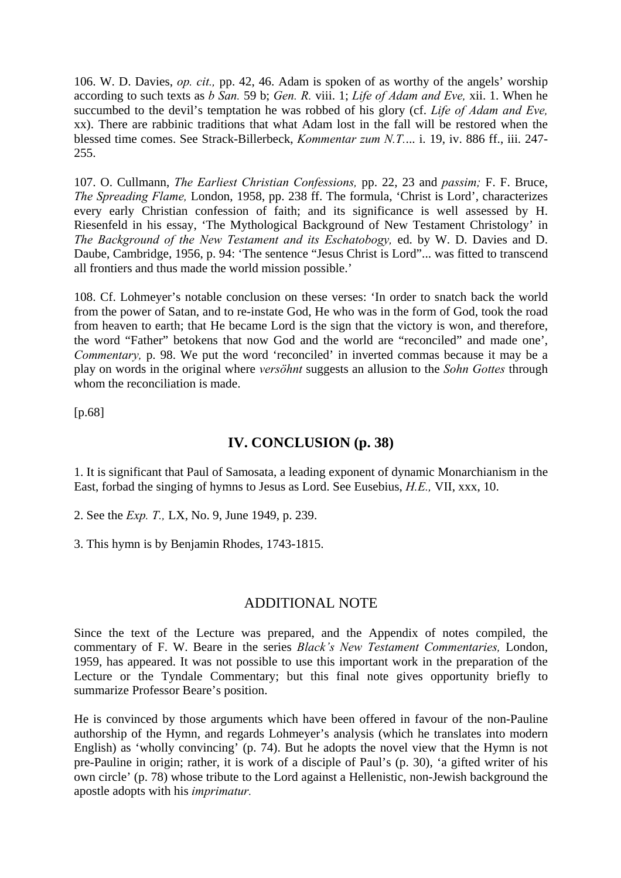106. W. D. Davies, *op. cit.,* pp. 42, 46. Adam is spoken of as worthy of the angels' worship according to such texts as *b San.* 59 b; *Gen. R.* viii. 1; *Life of Adam and Eve,* xii. 1. When he succumbed to the devil's temptation he was robbed of his glory (cf. *Life of Adam and Eve,* xx). There are rabbinic traditions that what Adam lost in the fall will be restored when the blessed time comes. See Strack-Billerbeck, *Kommentar zum N.T.*... i. 19, iv. 886 ff., iii. 247- 255.

107. O. Cullmann, *The Earliest Christian Confessions,* pp. 22, 23 and *passim;* F. F. Bruce, *The Spreading Flame,* London, 1958, pp. 238 ff. The formula, 'Christ is Lord', characterizes every early Christian confession of faith; and its significance is well assessed by H. Riesenfeld in his essay, 'The Mythological Background of New Testament Christology' in *The Background of the New Testament and its Eschatobogy,* ed. by W. D. Davies and D. Daube, Cambridge, 1956, p. 94: 'The sentence "Jesus Christ is Lord"... was fitted to transcend all frontiers and thus made the world mission possible.'

108. Cf. Lohmeyer's notable conclusion on these verses: 'In order to snatch back the world from the power of Satan, and to re-instate God, He who was in the form of God, took the road from heaven to earth; that He became Lord is the sign that the victory is won, and therefore, the word "Father" betokens that now God and the world are "reconciled" and made one', *Commentary, p. 98.* We put the word 'reconciled' in inverted commas because it may be a play on words in the original where *versöhnt* suggests an allusion to the *Sohn Gottes* through whom the reconciliation is made.

[p.68]

## **IV. CONCLUSION (p. 38)**

1. It is significant that Paul of Samosata, a leading exponent of dynamic Monarchianism in the East, forbad the singing of hymns to Jesus as Lord. See Eusebius, *H.E.,* VII, xxx, 10.

2. See the *Exp. T.,* LX, No. 9, June 1949, p. 239.

3. This hymn is by Benjamin Rhodes, 1743-1815.

## ADDITIONAL NOTE

Since the text of the Lecture was prepared, and the Appendix of notes compiled, the commentary of F. W. Beare in the series *Black's New Testament Commentaries,* London, 1959, has appeared. It was not possible to use this important work in the preparation of the Lecture or the Tyndale Commentary; but this final note gives opportunity briefly to summarize Professor Beare's position.

He is convinced by those arguments which have been offered in favour of the non-Pauline authorship of the Hymn, and regards Lohmeyer's analysis (which he translates into modern English) as 'wholly convincing' (p. 74). But he adopts the novel view that the Hymn is not pre-Pauline in origin; rather, it is work of a disciple of Paul's (p. 30), 'a gifted writer of his own circle' (p. 78) whose tribute to the Lord against a Hellenistic, non-Jewish background the apostle adopts with his *imprimatur.*